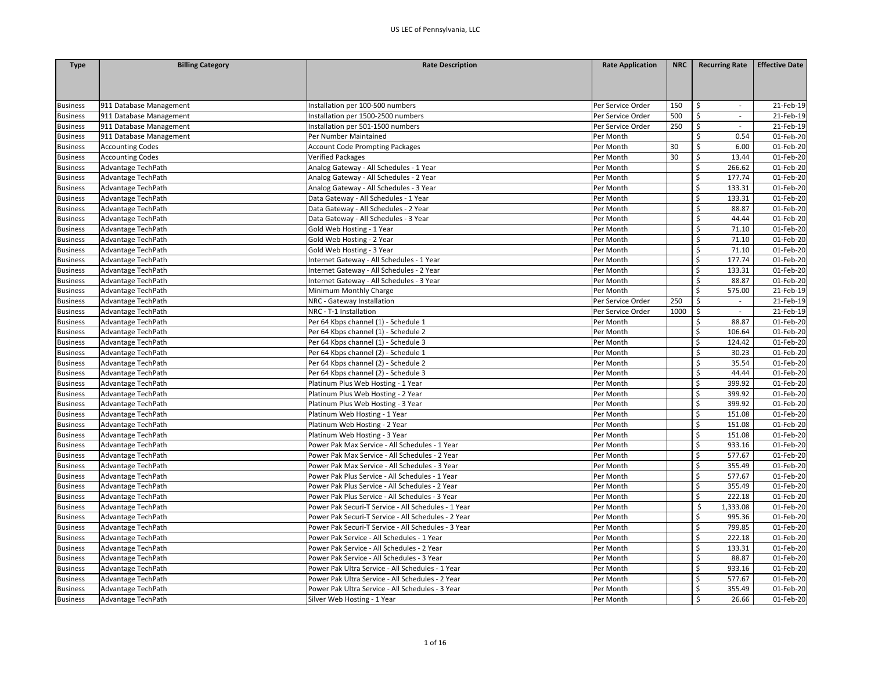| <b>Type</b>     | <b>Billing Category</b> | <b>Rate Description</b>                             | <b>Rate Application</b> | <b>NRC</b> | <b>Recurring Rate</b>             | <b>Effective Date</b>   |
|-----------------|-------------------------|-----------------------------------------------------|-------------------------|------------|-----------------------------------|-------------------------|
|                 |                         |                                                     |                         |            |                                   |                         |
|                 |                         |                                                     |                         |            |                                   |                         |
|                 |                         |                                                     |                         |            |                                   |                         |
| <b>Business</b> | 911 Database Management | Installation per 100-500 numbers                    | Per Service Order       | 150        | \$<br>$\overline{\phantom{a}}$    | 21-Feb-19               |
| <b>Business</b> | 911 Database Management | Installation per 1500-2500 numbers                  | Per Service Order       | 500        | \$<br>$\mathcal{L}_{\mathcal{A}}$ | 21-Feb-19               |
| <b>Business</b> | 911 Database Management | Installation per 501-1500 numbers                   | Per Service Order       | 250        | \$<br>$\sim$                      | 21-Feb-19               |
| <b>Business</b> | 911 Database Management | Per Number Maintained                               | Per Month               |            | $\zeta$<br>0.54                   | 01-Feb-20               |
| <b>Business</b> | <b>Accounting Codes</b> | <b>Account Code Prompting Packages</b>              | Per Month               | 30         | $\zeta$<br>6.00                   | 01-Feb-20               |
| <b>Business</b> | <b>Accounting Codes</b> | <b>Verified Packages</b>                            | Per Month               | 30         | $\zeta$<br>13.44                  | 01-Feb-20               |
| <b>Business</b> | Advantage TechPath      | Analog Gateway - All Schedules - 1 Year             | Per Month               |            | $\zeta$<br>266.62                 | 01-Feb-20               |
| <b>Business</b> | Advantage TechPath      | Analog Gateway - All Schedules - 2 Year             | Per Month               |            | $\zeta$<br>177.74                 | 01-Feb-20               |
| <b>Business</b> | Advantage TechPath      | Analog Gateway - All Schedules - 3 Year             | Per Month               |            | $\mathsf{\$}$<br>133.31           | 01-Feb-20               |
| <b>Business</b> | Advantage TechPath      | Data Gateway - All Schedules - 1 Year               | Per Month               |            | $\zeta$<br>133.31                 | 01-Feb-20               |
| <b>Business</b> | Advantage TechPath      | Data Gateway - All Schedules - 2 Year               | Per Month               |            | $\zeta$<br>88.87                  | 01-Feb-20               |
| <b>Business</b> | Advantage TechPath      | Data Gateway - All Schedules - 3 Year               | Per Month               |            | \$<br>44.44                       | 01-Feb-20               |
| <b>Business</b> | Advantage TechPath      | Gold Web Hosting - 1 Year                           | Per Month               |            | $\mathsf{\mathsf{S}}$<br>71.10    | 01-Feb-20               |
| <b>Business</b> | Advantage TechPath      | Gold Web Hosting - 2 Year                           | Per Month               |            | $\zeta$<br>71.10                  | 01-Feb-20               |
| <b>Business</b> | Advantage TechPath      | Gold Web Hosting - 3 Year                           | Per Month               |            | $\zeta$<br>71.10                  | 01-Feb-20               |
| <b>Business</b> | Advantage TechPath      | Internet Gateway - All Schedules - 1 Year           | Per Month               |            | \$<br>177.74                      | 01-Feb-20               |
| <b>Business</b> | Advantage TechPath      | Internet Gateway - All Schedules - 2 Year           | Per Month               |            | \$<br>133.31                      | 01-Feb-20               |
| <b>Business</b> | Advantage TechPath      | Internet Gateway - All Schedules - 3 Year           | Per Month               |            | $\overline{\mathsf{S}}$<br>88.87  | 01-Feb-20               |
| <b>Business</b> | Advantage TechPath      | Minimum Monthly Charge                              | Per Month               |            | Ś<br>575.00                       | 21-Feb-19               |
| <b>Business</b> | Advantage TechPath      | NRC - Gateway Installation                          | Per Service Order       | 250        | \$<br>$\mathcal{L}_{\mathcal{A}}$ | 21-Feb-19               |
| <b>Business</b> | Advantage TechPath      | NRC - T-1 Installation                              | Per Service Order       | 1000       | $\ddot{\mathsf{S}}$<br>$\sim$     | 21-Feb-19               |
| <b>Business</b> | Advantage TechPath      | Per 64 Kbps channel (1) - Schedule 1                | Per Month               |            | \$<br>88.87                       | 01-Feb-20               |
| <b>Business</b> | Advantage TechPath      | Per 64 Kbps channel (1) - Schedule 2                | Per Month               |            | \$<br>106.64                      | 01-Feb-20               |
| <b>Business</b> | Advantage TechPath      | Per 64 Kbps channel (1) - Schedule 3                | Per Month               |            | $\zeta$<br>124.42                 | 01-Feb-20               |
| <b>Business</b> | Advantage TechPath      | Per 64 Kbps channel (2) - Schedule 1                | Per Month               |            | $\mathsf{\mathsf{S}}$<br>30.23    | 01-Feb-20               |
| <b>Business</b> | Advantage TechPath      | Per 64 Kbps channel (2) - Schedule 2                | Per Month               |            | \$<br>35.54                       | 01-Feb-20               |
| <b>Business</b> | Advantage TechPath      | Per 64 Kbps channel (2) - Schedule 3                | Per Month               |            | $\zeta$<br>44.44                  | 01-Feb-20               |
| <b>Business</b> | Advantage TechPath      | Platinum Plus Web Hosting - 1 Year                  | Per Month               |            | $\zeta$<br>399.92                 | 01-Feb-20               |
| <b>Business</b> | Advantage TechPath      | Platinum Plus Web Hosting - 2 Year                  | Per Month               |            | \$<br>399.92                      | 01-Feb-20               |
| <b>Business</b> | Advantage TechPath      | Platinum Plus Web Hosting - 3 Year                  | Per Month               |            | $\zeta$<br>399.92                 | 01-Feb-20               |
| <b>Business</b> | Advantage TechPath      | Platinum Web Hosting - 1 Year                       | Per Month               |            | Ś<br>151.08                       | 01-Feb-20               |
| <b>Business</b> | Advantage TechPath      | Platinum Web Hosting - 2 Year                       | Per Month               |            | \$<br>151.08                      | 01-Feb-20               |
| <b>Business</b> | Advantage TechPath      | Platinum Web Hosting - 3 Year                       | Per Month               |            | \$<br>151.08                      | 01-Feb-20               |
| <b>Business</b> | Advantage TechPath      | Power Pak Max Service - All Schedules - 1 Year      | Per Month               |            | $\zeta$<br>933.16                 | 01-Feb-20               |
| <b>Business</b> | Advantage TechPath      | Power Pak Max Service - All Schedules - 2 Year      | Per Month               |            | \$<br>577.67                      | 01-Feb-20               |
| <b>Business</b> | Advantage TechPath      | Power Pak Max Service - All Schedules - 3 Year      | Per Month               |            | \$<br>355.49                      | 01-Feb-20               |
| <b>Business</b> | Advantage TechPath      | Power Pak Plus Service - All Schedules - 1 Year     | Per Month               |            | \$<br>577.67                      | 01-Feb-20               |
| <b>Business</b> | Advantage TechPath      | Power Pak Plus Service - All Schedules - 2 Year     | Per Month               |            | \$<br>355.49                      | 01-Feb-20               |
| <b>Business</b> | Advantage TechPath      | Power Pak Plus Service - All Schedules - 3 Year     | Per Month               |            | $\zeta$<br>222.18                 | 01-Feb-20               |
| <b>Business</b> | Advantage TechPath      | Power Pak Securi-T Service - All Schedules - 1 Year | Per Month               |            | Ś<br>1,333.08                     | 01-Feb-20               |
| <b>Business</b> | Advantage TechPath      | Power Pak Securi-T Service - All Schedules - 2 Year | Per Month               |            | \$<br>995.36                      | 01-Feb-20               |
| <b>Business</b> | Advantage TechPath      | Power Pak Securi-T Service - All Schedules - 3 Year | Per Month               |            | \$<br>799.85                      | 01-Feb-20               |
| <b>Business</b> | Advantage TechPath      | Power Pak Service - All Schedules - 1 Year          | Per Month               |            | Ś<br>222.18                       | $\overline{01}$ -Feb-20 |
| <b>Business</b> | Advantage TechPath      | Power Pak Service - All Schedules - 2 Year          | Per Month               |            | \$<br>133.31                      | 01-Feb-20               |
| <b>Business</b> | Advantage TechPath      | Power Pak Service - All Schedules - 3 Year          | Per Month               |            | $\overline{\mathsf{S}}$<br>88.87  | 01-Feb-20               |
| <b>Business</b> | Advantage TechPath      | Power Pak Ultra Service - All Schedules - 1 Year    | Per Month               |            | \$<br>933.16                      | 01-Feb-20               |
| <b>Business</b> | Advantage TechPath      | Power Pak Ultra Service - All Schedules - 2 Year    | Per Month               |            | \$<br>577.67                      | 01-Feb-20               |
| <b>Business</b> | Advantage TechPath      | Power Pak Ultra Service - All Schedules - 3 Year    | Per Month               |            | \$<br>355.49                      | 01-Feb-20               |
| <b>Business</b> | Advantage TechPath      | Silver Web Hosting - 1 Year                         | Per Month               |            | \$<br>26.66                       | 01-Feb-20               |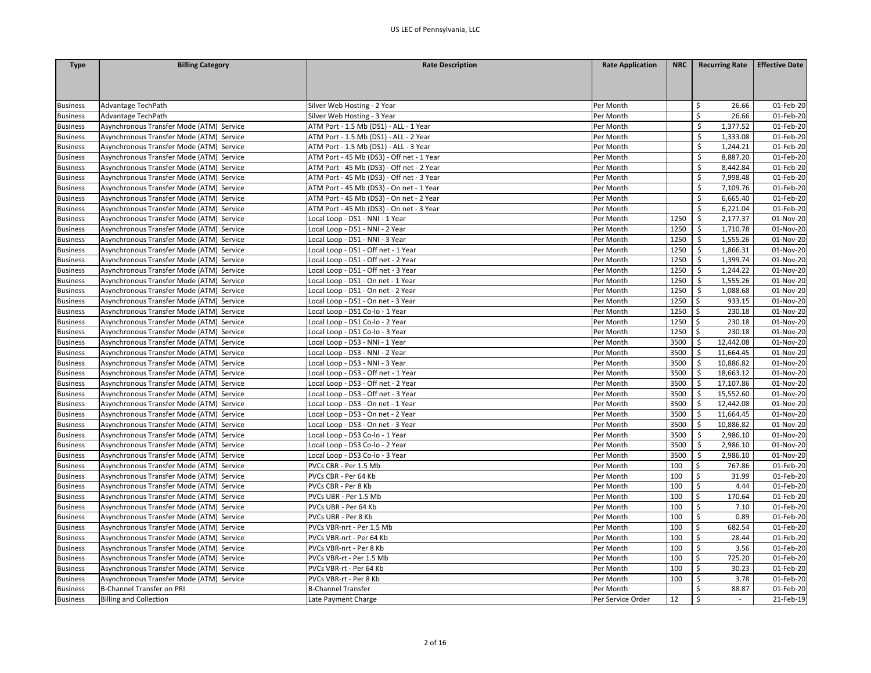| <b>Type</b>     | <b>Billing Category</b>                  | <b>Rate Description</b>                   | <b>Rate Application</b> | <b>NRC</b> | <b>Recurring Rate</b>       | <b>Effective Date</b> |
|-----------------|------------------------------------------|-------------------------------------------|-------------------------|------------|-----------------------------|-----------------------|
|                 |                                          |                                           |                         |            |                             |                       |
|                 |                                          |                                           |                         |            |                             |                       |
|                 |                                          |                                           |                         |            |                             |                       |
| <b>Business</b> | Advantage TechPath                       | Silver Web Hosting - 2 Year               | Per Month               |            | \$<br>26.66                 | 01-Feb-20             |
| <b>Business</b> | Advantage TechPath                       | Silver Web Hosting - 3 Year               | Per Month               |            | \$<br>26.66                 | 01-Feb-20             |
| <b>Business</b> | Asynchronous Transfer Mode (ATM) Service | ATM Port - 1.5 Mb (DS1) - ALL - 1 Year    | Per Month               |            | \$<br>1,377.52              | 01-Feb-20             |
| <b>Business</b> | Asynchronous Transfer Mode (ATM) Service | ATM Port - 1.5 Mb (DS1) - ALL - 2 Year    | Per Month               |            | \$<br>1,333.08              | 01-Feb-20             |
| <b>Business</b> | Asynchronous Transfer Mode (ATM) Service | ATM Port - 1.5 Mb (DS1) - ALL - 3 Year    | Per Month               |            | \$<br>1,244.21              | 01-Feb-20             |
| <b>Business</b> | Asynchronous Transfer Mode (ATM) Service | ATM Port - 45 Mb (DS3) - Off net - 1 Year | Per Month               |            | \$<br>8,887.20              | 01-Feb-20             |
| <b>Business</b> | Asynchronous Transfer Mode (ATM) Service | ATM Port - 45 Mb (DS3) - Off net - 2 Year | Per Month               |            | 8,442.84                    | 01-Feb-20             |
| <b>Business</b> | Asynchronous Transfer Mode (ATM) Service | ATM Port - 45 Mb (DS3) - Off net - 3 Year | Per Month               |            | \$<br>7,998.48              | 01-Feb-20             |
| <b>Business</b> | Asynchronous Transfer Mode (ATM) Service | ATM Port - 45 Mb (DS3) - On net - 1 Year  | Per Month               |            | Ś.<br>7,109.76              | 01-Feb-20             |
| <b>Business</b> | Asynchronous Transfer Mode (ATM) Service | ATM Port - 45 Mb (DS3) - On net - 2 Year  | Per Month               |            | Ś.<br>6,665.40              | 01-Feb-20             |
| <b>Business</b> | Asynchronous Transfer Mode (ATM) Service | ATM Port - 45 Mb (DS3) - On net - 3 Year  | Per Month               |            | \$<br>6,221.04              | 01-Feb-20             |
| <b>Business</b> | Asynchronous Transfer Mode (ATM) Service | Local Loop - DS1 - NNI - 1 Year           | Per Month               | 1250       | \$<br>2,177.37              | 01-Nov-20             |
| <b>Business</b> | Asynchronous Transfer Mode (ATM) Service | Local Loop - DS1 - NNI - 2 Year           | Per Month               | 1250       | \$<br>1,710.78              | 01-Nov-20             |
| <b>Business</b> | Asynchronous Transfer Mode (ATM) Service | Local Loop - DS1 - NNI - 3 Year           | Per Month               | 1250       | \$<br>1,555.26              | 01-Nov-20             |
| <b>Business</b> | Asynchronous Transfer Mode (ATM) Service | Local Loop - DS1 - Off net - 1 Year       | Per Month               | 1250       | 1,866.31<br>\$              | 01-Nov-20             |
| <b>Business</b> | Asynchronous Transfer Mode (ATM) Service | Local Loop - DS1 - Off net - 2 Year       | Per Month               | 1250       | \$<br>1,399.74              | 01-Nov-20             |
| <b>Business</b> | Asynchronous Transfer Mode (ATM) Service | Local Loop - DS1 - Off net - 3 Year       | Per Month               | 1250       | \$<br>1,244.22              | 01-Nov-20             |
| <b>Business</b> | Asynchronous Transfer Mode (ATM) Service | Local Loop - DS1 - On net - 1 Year        | Per Month               | 1250       | \$<br>1,555.26              | 01-Nov-20             |
| <b>Business</b> | Asynchronous Transfer Mode (ATM) Service | Local Loop - DS1 - On net - 2 Year        | Per Month               | 1250       | \$<br>1,088.68              | 01-Nov-20             |
| <b>Business</b> | Asynchronous Transfer Mode (ATM) Service | Local Loop - DS1 - On net - 3 Year        | Per Month               | 1250       | 933.15<br>\$                | 01-Nov-20             |
| <b>Business</b> | Asynchronous Transfer Mode (ATM) Service | Local Loop - DS1 Co-lo - 1 Year           | Per Month               | 1250       | \$<br>230.18                | 01-Nov-20             |
| <b>Business</b> | Asynchronous Transfer Mode (ATM) Service | Local Loop - DS1 Co-lo - 2 Year           | Per Month               | 1250       | \$<br>230.18                | 01-Nov-20             |
| <b>Business</b> | Asynchronous Transfer Mode (ATM) Service | Local Loop - DS1 Co-lo - 3 Year           | Per Month               | 1250       | \$<br>230.18                | 01-Nov-20             |
| <b>Business</b> | Asynchronous Transfer Mode (ATM) Service | Local Loop - DS3 - NNI - 1 Year           | Per Month               | 3500       | \$<br>12,442.08             | 01-Nov-20             |
| <b>Business</b> | Asynchronous Transfer Mode (ATM) Service | Local Loop - DS3 - NNI - 2 Year           | Per Month               | 3500       | \$<br>11,664.45             | 01-Nov-20             |
| <b>Business</b> | Asynchronous Transfer Mode (ATM) Service | Local Loop - DS3 - NNI - 3 Year           | Per Month               | 3500       | \$<br>10,886.82             | 01-Nov-20             |
| <b>Business</b> | Asynchronous Transfer Mode (ATM) Service | Local Loop - DS3 - Off net - 1 Year       | Per Month               | 3500       | \$<br>18,663.12             | 01-Nov-20             |
| <b>Business</b> | Asynchronous Transfer Mode (ATM) Service | Local Loop - DS3 - Off net - 2 Year       | Per Month               | 3500       | \$<br>17,107.86             | 01-Nov-20             |
| <b>Business</b> | Asynchronous Transfer Mode (ATM) Service | Local Loop - DS3 - Off net - 3 Year       | Per Month               | 3500       | \$<br>15,552.60             | 01-Nov-20             |
| <b>Business</b> | Asynchronous Transfer Mode (ATM) Service | Local Loop - DS3 - On net - 1 Year        | Per Month               | 3500       | \$<br>12.442.08             | 01-Nov-20             |
| <b>Business</b> | Asynchronous Transfer Mode (ATM) Service | Local Loop - DS3 - On net - 2 Year        | Per Month               | 3500       | \$<br>11,664.45             | 01-Nov-20             |
| <b>Business</b> | Asynchronous Transfer Mode (ATM) Service | Local Loop - DS3 - On net - 3 Year        | Per Month               | 3500       | 10,886.82<br>S.             | 01-Nov-20             |
| <b>Business</b> | Asynchronous Transfer Mode (ATM) Service | Local Loop - DS3 Co-lo - 1 Year           | Per Month               | 3500       | \$<br>2,986.10              | 01-Nov-20             |
| <b>Business</b> | Asynchronous Transfer Mode (ATM) Service | Local Loop - DS3 Co-lo - 2 Year           | Per Month               | 3500       | \$<br>2,986.10              | 01-Nov-20             |
| <b>Business</b> | Asynchronous Transfer Mode (ATM) Service | Local Loop - DS3 Co-lo - 3 Year           | Per Month               | 3500       | \$<br>2,986.10              | 01-Nov-20             |
| <b>Business</b> | Asynchronous Transfer Mode (ATM) Service | PVCs CBR - Per 1.5 Mb                     | Per Month               | 100        | \$<br>767.86                | 01-Feb-20             |
| <b>Business</b> | Asynchronous Transfer Mode (ATM) Service | PVCs CBR - Per 64 Kb                      | Per Month               | 100        | \$<br>31.99                 | 01-Feb-20             |
| <b>Business</b> | Asynchronous Transfer Mode (ATM) Service | PVCs CBR - Per 8 Kb                       | Per Month               | 100        | $\ddot{\mathsf{S}}$<br>4.44 | 01-Feb-20             |
| <b>Business</b> | Asynchronous Transfer Mode (ATM) Service | PVCs UBR - Per 1.5 Mb                     | Per Month               | 100        | Ŝ.<br>170.64                | 01-Feb-20             |
| <b>Business</b> | Asynchronous Transfer Mode (ATM) Service | PVCs UBR - Per 64 Kb                      | Per Month               | 100        | \$<br>7.10                  | 01-Feb-20             |
| <b>Business</b> | Asynchronous Transfer Mode (ATM) Service | PVCs UBR - Per 8 Kb                       | Per Month               | 100        | $\ddot{\mathsf{S}}$<br>0.89 | 01-Feb-20             |
| <b>Business</b> | Asynchronous Transfer Mode (ATM) Service | PVCs VBR-nrt - Per 1.5 Mb                 | Per Month               | 100        | \$<br>682.54                | 01-Feb-20             |
| <b>Business</b> | Asynchronous Transfer Mode (ATM) Service | PVCs VBR-nrt - Per 64 Kb                  | Per Month               | 100        | \$<br>28.44                 | 01-Feb-20             |
| <b>Business</b> | Asynchronous Transfer Mode (ATM) Service | PVCs VBR-nrt - Per 8 Kb                   | Per Month               | 100        | $\ddot{\mathsf{S}}$<br>3.56 | 01-Feb-20             |
| <b>Business</b> | Asynchronous Transfer Mode (ATM) Service | PVCs VBR-rt - Per 1.5 Mb                  | Per Month               | 100        | \$<br>725.20                | 01-Feb-20             |
| <b>Business</b> | Asynchronous Transfer Mode (ATM) Service | PVCs VBR-rt - Per 64 Kb                   | Per Month               | 100        | \$<br>30.23                 | 01-Feb-20             |
| <b>Business</b> | Asynchronous Transfer Mode (ATM) Service | PVCs VBR-rt - Per 8 Kb                    | Per Month               | 100        | \$<br>3.78                  | 01-Feb-20             |
| <b>Business</b> | B-Channel Transfer on PRI                | B-Channel Transfer                        | Per Month               |            | $\mathsf{\hat{S}}$<br>88.87 | 01-Feb-20             |
| <b>Business</b> | <b>Billing and Collection</b>            | Late Payment Charge                       | Per Service Order       | 12         | Ŝ.<br>$\sim$                | 21-Feb-19             |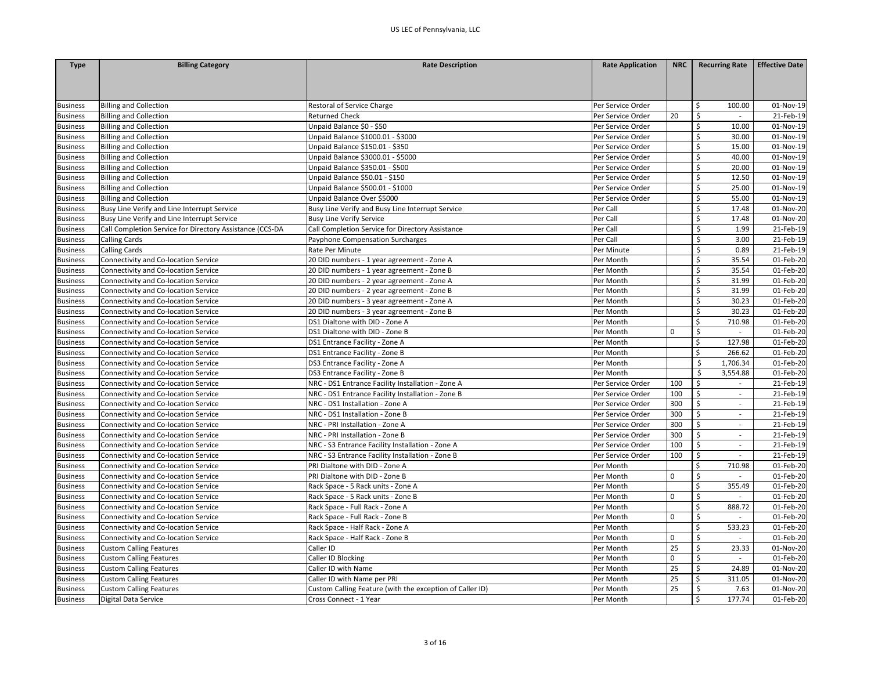| <b>Type</b>     | <b>Billing Category</b>                                  | <b>Rate Description</b>                                  | <b>Rate Application</b> | <b>NRC</b>  | <b>Recurring Rate</b>          | <b>Effective Date</b> |
|-----------------|----------------------------------------------------------|----------------------------------------------------------|-------------------------|-------------|--------------------------------|-----------------------|
|                 |                                                          |                                                          |                         |             |                                |                       |
|                 |                                                          |                                                          |                         |             |                                |                       |
|                 |                                                          |                                                          |                         |             |                                |                       |
| <b>Business</b> | <b>Billing and Collection</b>                            | Restoral of Service Charge                               | Per Service Order       |             | \$<br>100.00                   | 01-Nov-19             |
| <b>Business</b> | <b>Billing and Collection</b>                            | <b>Returned Check</b>                                    | Per Service Order       | 20          | \$                             | 21-Feb-19             |
| <b>Business</b> | <b>Billing and Collection</b>                            | Unpaid Balance \$0 - \$50                                | Per Service Order       |             | \$<br>10.00                    | 01-Nov-19             |
| <b>Business</b> | <b>Billing and Collection</b>                            | Unpaid Balance \$1000.01 - \$3000                        | Per Service Order       |             | \$<br>30.00                    | 01-Nov-19             |
| <b>Business</b> | <b>Billing and Collection</b>                            | Unpaid Balance \$150.01 - \$350                          | Per Service Order       |             | $\zeta$<br>15.00               | 01-Nov-19             |
| <b>Business</b> | <b>Billing and Collection</b>                            | Unpaid Balance \$3000.01 - \$5000                        | Per Service Order       |             | \$<br>40.00                    | 01-Nov-19             |
| <b>Business</b> | <b>Billing and Collection</b>                            | Unpaid Balance \$350.01 - \$500                          | Per Service Order       |             | \$<br>20.00                    | 01-Nov-19             |
| <b>Business</b> | <b>Billing and Collection</b>                            | Unpaid Balance \$50.01 - \$150                           | Per Service Order       |             | $\zeta$<br>12.50               | 01-Nov-19             |
| <b>Business</b> | <b>Billing and Collection</b>                            | Unpaid Balance \$500.01 - \$1000                         | Per Service Order       |             | \$<br>25.00                    | 01-Nov-19             |
| <b>Business</b> | <b>Billing and Collection</b>                            | Unpaid Balance Over \$5000                               | Per Service Order       |             | \$<br>55.00                    | 01-Nov-19             |
| <b>Business</b> | Busy Line Verify and Line Interrupt Service              | Busy Line Verify and Busy Line Interrupt Service         | Per Call                |             | $\zeta$<br>17.48               | 01-Nov-20             |
| <b>Business</b> | Busy Line Verify and Line Interrupt Service              | <b>Busy Line Verify Service</b>                          | Per Call                |             | \$<br>17.48                    | 01-Nov-20             |
| <b>Business</b> | Call Completion Service for Directory Assistance (CCS-DA | Call Completion Service for Directory Assistance         | Per Call                |             | \$<br>1.99                     | 21-Feb-19             |
| <b>Business</b> | <b>Calling Cards</b>                                     | Payphone Compensation Surcharges                         | Per Call                |             | \$<br>3.00                     | 21-Feb-19             |
| <b>Business</b> | <b>Calling Cards</b>                                     | Rate Per Minute                                          | Per Minute              |             | $\zeta$<br>0.89                | 21-Feb-19             |
| <b>Business</b> | Connectivity and Co-location Service                     | 20 DID numbers - 1 year agreement - Zone A               | Per Month               |             | \$<br>35.54                    | 01-Feb-20             |
| <b>Business</b> | Connectivity and Co-location Service                     | 20 DID numbers - 1 year agreement - Zone B               | Per Month               |             | \$<br>35.54                    | 01-Feb-20             |
| <b>Business</b> | Connectivity and Co-location Service                     | 20 DID numbers - 2 year agreement - Zone A               | Per Month               |             | $\zeta$<br>31.99               | 01-Feb-20             |
| <b>Business</b> | Connectivity and Co-location Service                     | 20 DID numbers - 2 year agreement - Zone B               | Per Month               |             | \$<br>31.99                    | 01-Feb-20             |
| <b>Business</b> | Connectivity and Co-location Service                     | 20 DID numbers - 3 year agreement - Zone A               | Per Month               |             | \$<br>30.23                    | 01-Feb-20             |
| <b>Business</b> | Connectivity and Co-location Service                     | 20 DID numbers - 3 year agreement - Zone B               | Per Month               |             | $\mathsf{\mathsf{S}}$<br>30.23 | 01-Feb-20             |
| <b>Business</b> | Connectivity and Co-location Service                     | DS1 Dialtone with DID - Zone A                           | Per Month               |             | \$<br>710.98                   | 01-Feb-20             |
| <b>Business</b> | Connectivity and Co-location Service                     | DS1 Dialtone with DID - Zone B                           | Per Month               | $\mathbf 0$ | \$<br>$\sim$                   | 01-Feb-20             |
| <b>Business</b> | Connectivity and Co-location Service                     | DS1 Entrance Facility - Zone A                           | Per Month               |             | $\zeta$<br>127.98              | 01-Feb-20             |
| <b>Business</b> | Connectivity and Co-location Service                     | DS1 Entrance Facility - Zone B                           | Per Month               |             | $\mathsf{\$}$<br>266.62        | 01-Feb-20             |
| <b>Business</b> | Connectivity and Co-location Service                     | DS3 Entrance Facility - Zone A                           | Per Month               |             | \$<br>1,706.34                 | 01-Feb-20             |
| <b>Business</b> | Connectivity and Co-location Service                     | DS3 Entrance Facility - Zone B                           | Per Month               |             | $\mathsf{\$}$<br>3,554.88      | 01-Feb-20             |
| <b>Business</b> | Connectivity and Co-location Service                     | NRC - DS1 Entrance Facility Installation - Zone A        | Per Service Order       | 100         | \$<br>$\sim$                   | 21-Feb-19             |
| <b>Business</b> | Connectivity and Co-location Service                     | NRC - DS1 Entrance Facility Installation - Zone B        | Per Service Order       | 100         | \$<br>$\sim$                   | 21-Feb-19             |
| <b>Business</b> | Connectivity and Co-location Service                     | NRC - DS1 Installation - Zone A                          | Per Service Order       | 300         | \$<br>$\sim$                   | 21-Feb-19             |
| <b>Business</b> | Connectivity and Co-location Service                     | NRC - DS1 Installation - Zone B                          | Per Service Order       | 300         | \$                             | 21-Feb-19             |
| <b>Business</b> | Connectivity and Co-location Service                     | NRC - PRI Installation - Zone A                          | Per Service Order       | 300         | \$<br>$\sim$                   | 21-Feb-19             |
| <b>Business</b> | Connectivity and Co-location Service                     | NRC - PRI Installation - Zone B                          | Per Service Order       | 300         | \$<br>$\sim$                   | 21-Feb-19             |
| <b>Business</b> | Connectivity and Co-location Service                     | NRC - S3 Entrance Facility Installation - Zone A         | Per Service Order       | 100         | \$<br>$\overline{\phantom{a}}$ | 21-Feb-19             |
| <b>Business</b> | Connectivity and Co-location Service                     | NRC - S3 Entrance Facility Installation - Zone B         | Per Service Order       | 100         | \$<br>$\sim$                   | 21-Feb-19             |
| <b>Business</b> | Connectivity and Co-location Service                     | PRI Dialtone with DID - Zone A                           | Per Month               |             | $\mathsf{\$}$<br>710.98        | 01-Feb-20             |
| <b>Business</b> | Connectivity and Co-location Service                     | PRI Dialtone with DID - Zone B                           | Per Month               | $\mathbf 0$ | $\zeta$                        | 01-Feb-20             |
| <b>Business</b> | Connectivity and Co-location Service                     | Rack Space - 5 Rack units - Zone A                       | Per Month               |             | $\zeta$<br>355.49              | 01-Feb-20             |
| <b>Business</b> | Connectivity and Co-location Service                     | Rack Space - 5 Rack units - Zone B                       | Per Month               | $\mathbf 0$ | \$<br>$\sim$                   | 01-Feb-20             |
| <b>Business</b> | Connectivity and Co-location Service                     | Rack Space - Full Rack - Zone A                          | Per Month               |             | \$<br>888.72                   | 01-Feb-20             |
|                 |                                                          | Rack Space - Full Rack - Zone B                          |                         | 0           |                                | 01-Feb-20             |
| <b>Business</b> | Connectivity and Co-location Service                     |                                                          | Per Month               |             | \$                             | 01-Feb-20             |
| <b>Business</b> | Connectivity and Co-location Service                     | Rack Space - Half Rack - Zone A                          | Per Month               |             | $\zeta$<br>533.23              |                       |
| <b>Business</b> | Connectivity and Co-location Service                     | Rack Space - Half Rack - Zone B                          | Per Month               | $\mathbf 0$ | Ś                              | 01-Feb-20             |
| <b>Business</b> | <b>Custom Calling Features</b>                           | Caller ID                                                | Per Month               | 25          | \$<br>23.33                    | 01-Nov-20             |
| <b>Business</b> | <b>Custom Calling Features</b>                           | Caller ID Blocking                                       | Per Month               | $\mathbf 0$ | \$<br>$\sim$                   | 01-Feb-20             |
| <b>Business</b> | <b>Custom Calling Features</b>                           | Caller ID with Name                                      | Per Month               | 25          | \$<br>24.89                    | 01-Nov-20             |
| <b>Business</b> | <b>Custom Calling Features</b>                           | Caller ID with Name per PRI                              | Per Month               | 25          | $\zeta$<br>311.05              | 01-Nov-20             |
| <b>Business</b> | <b>Custom Calling Features</b>                           | Custom Calling Feature (with the exception of Caller ID) | Per Month               | 25          | $\zeta$<br>7.63                | 01-Nov-20             |
| <b>Business</b> | <b>Digital Data Service</b>                              | Cross Connect - 1 Year                                   | Per Month               |             | $\mathsf{S}$<br>177.74         | 01-Feb-20             |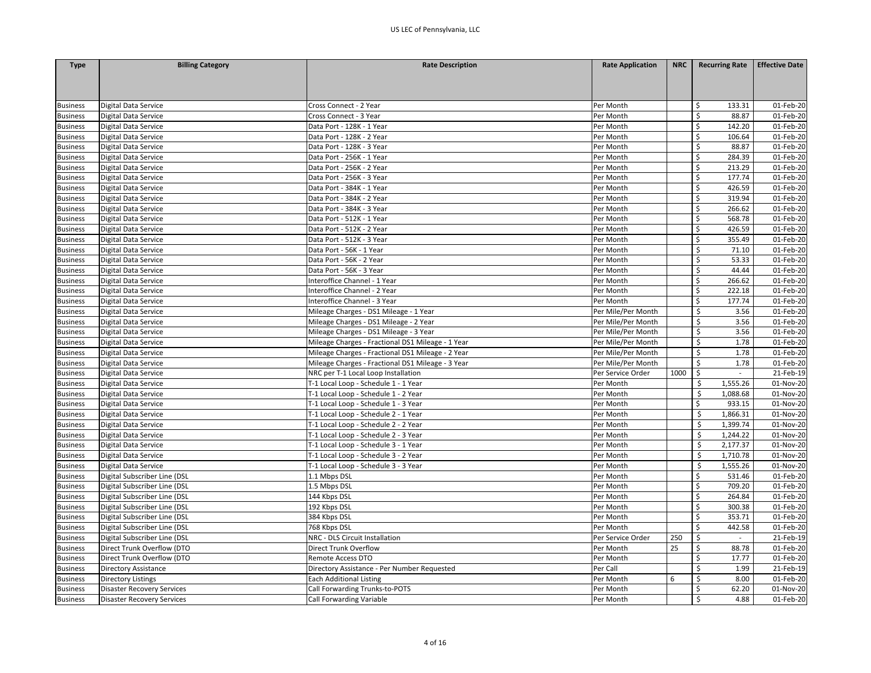| <b>Type</b>     | <b>Billing Category</b>           | <b>Rate Description</b>                           | <b>Rate Application</b> | <b>NRC</b> | <b>Recurring Rate</b> | <b>Effective Date</b> |
|-----------------|-----------------------------------|---------------------------------------------------|-------------------------|------------|-----------------------|-----------------------|
|                 |                                   |                                                   |                         |            |                       |                       |
|                 |                                   |                                                   |                         |            |                       |                       |
|                 |                                   |                                                   |                         |            |                       |                       |
| <b>Business</b> | Digital Data Service              | Cross Connect - 2 Year                            | Per Month               |            | Ŝ<br>133.31           | 01-Feb-20             |
| <b>Business</b> | Digital Data Service              | Cross Connect - 3 Year                            | Per Month               |            | \$<br>88.87           | 01-Feb-20             |
| <b>Business</b> | <b>Digital Data Service</b>       | Data Port - 128K - 1 Year                         | Per Month               |            | \$<br>142.20          | 01-Feb-20             |
| <b>Business</b> | Digital Data Service              | Data Port - 128K - 2 Year                         | Per Month               |            | \$<br>106.64          | 01-Feb-20             |
| <b>Business</b> | Digital Data Service              | Data Port - 128K - 3 Year                         | Per Month               |            | \$<br>88.87           | 01-Feb-20             |
| <b>Business</b> | Digital Data Service              | Data Port - 256K - 1 Year                         | Per Month               |            | \$<br>284.39          | 01-Feb-20             |
| <b>Business</b> | Digital Data Service              | Data Port - 256K - 2 Year                         | Per Month               |            | Ś<br>213.29           | 01-Feb-20             |
| <b>Business</b> | Digital Data Service              | Data Port - 256K - 3 Year                         | Per Month               |            | \$<br>177.74          | 01-Feb-20             |
| <b>Business</b> | <b>Digital Data Service</b>       | Data Port - 384K - 1 Year                         | Per Month               |            | \$<br>426.59          | 01-Feb-20             |
| <b>Business</b> | Digital Data Service              | Data Port - 384K - 2 Year                         | Per Month               |            | Ś<br>319.94           | 01-Feb-20             |
| <b>Business</b> | <b>Digital Data Service</b>       | Data Port - 384K - 3 Year                         | Per Month               |            | \$<br>266.62          | 01-Feb-20             |
| <b>Business</b> | Digital Data Service              | Data Port - 512K - 1 Year                         | Per Month               |            | \$<br>568.78          | 01-Feb-20             |
| <b>Business</b> | Digital Data Service              | Data Port - 512K - 2 Year                         | Per Month               |            | Ś<br>426.59           | 01-Feb-20             |
| <b>Business</b> | <b>Digital Data Service</b>       | Data Port - 512K - 3 Year                         | Per Month               |            | \$<br>355.49          | 01-Feb-20             |
| <b>Business</b> | Digital Data Service              | Data Port - 56K - 1 Year                          | Per Month               |            | \$<br>71.10           | 01-Feb-20             |
| <b>Business</b> | Digital Data Service              | Data Port - 56K - 2 Year                          | Per Month               |            | \$<br>53.33           | 01-Feb-20             |
| <b>Business</b> | Digital Data Service              | Data Port - 56K - 3 Year                          | Per Month               |            | \$<br>44.44           | 01-Feb-20             |
| <b>Business</b> | Digital Data Service              | Interoffice Channel - 1 Year                      | Per Month               |            | \$<br>266.62          | 01-Feb-20             |
| <b>Business</b> | Digital Data Service              | Interoffice Channel - 2 Year                      | Per Month               |            | Ś<br>222.18           | 01-Feb-20             |
| <b>Business</b> | Digital Data Service              | Interoffice Channel - 3 Year                      | Per Month               |            | \$<br>177.74          | 01-Feb-20             |
| <b>Business</b> | Digital Data Service              | Mileage Charges - DS1 Mileage - 1 Year            | Per Mile/Per Month      |            | $\mathsf{\$}$<br>3.56 | 01-Feb-20             |
| <b>Business</b> | Digital Data Service              | Mileage Charges - DS1 Mileage - 2 Year            | Per Mile/Per Month      |            | \$<br>3.56            | 01-Feb-20             |
| <b>Business</b> | Digital Data Service              | Mileage Charges - DS1 Mileage - 3 Year            | Per Mile/Per Month      |            | \$<br>3.56            | 01-Feb-20             |
| <b>Business</b> | Digital Data Service              | Mileage Charges - Fractional DS1 Mileage - 1 Year | Per Mile/Per Month      |            | $\zeta$<br>1.78       | 01-Feb-20             |
| <b>Business</b> | Digital Data Service              | Mileage Charges - Fractional DS1 Mileage - 2 Year | Per Mile/Per Month      |            | $\zeta$<br>1.78       | 01-Feb-20             |
| <b>Business</b> | Digital Data Service              | Mileage Charges - Fractional DS1 Mileage - 3 Year | Per Mile/Per Month      |            | \$<br>1.78            | 01-Feb-20             |
| <b>Business</b> | Digital Data Service              | NRC per T-1 Local Loop Installation               | Per Service Order       | 1000       | $\zeta$<br>$\sim$     | 21-Feb-19             |
| <b>Business</b> | Digital Data Service              | T-1 Local Loop - Schedule 1 - 1 Year              | Per Month               |            | \$<br>1,555.26        | 01-Nov-20             |
| <b>Business</b> | Digital Data Service              | T-1 Local Loop - Schedule 1 - 2 Year              | Per Month               |            | \$<br>1,088.68        | 01-Nov-20             |
| <b>Business</b> | Digital Data Service              | T-1 Local Loop - Schedule 1 - 3 Year              | Per Month               |            | Ś.<br>933.15          | 01-Nov-20             |
| <b>Business</b> | Digital Data Service              | T-1 Local Loop - Schedule 2 - 1 Year              | Per Month               |            | Ś<br>1,866.31         | 01-Nov-20             |
| <b>Business</b> | <b>Digital Data Service</b>       | T-1 Local Loop - Schedule 2 - 2 Year              | Per Month               |            | -\$<br>1,399.74       | 01-Nov-20             |
| <b>Business</b> | Digital Data Service              | T-1 Local Loop - Schedule 2 - 3 Year              | Per Month               |            | Ŝ.<br>1,244.22        | 01-Nov-20             |
| <b>Business</b> | Digital Data Service              | T-1 Local Loop - Schedule 3 - 1 Year              | Per Month               |            | \$<br>2,177.37        | 01-Nov-20             |
| <b>Business</b> | Digital Data Service              | T-1 Local Loop - Schedule 3 - 2 Year              | Per Month               |            | \$<br>1,710.78        | 01-Nov-20             |
| <b>Business</b> | Digital Data Service              | T-1 Local Loop - Schedule 3 - 3 Year              | Per Month               |            | Ś<br>1,555.26         | 01-Nov-20             |
| <b>Business</b> | Digital Subscriber Line (DSL      | 1.1 Mbps DSL                                      | Per Month               |            | Ś<br>531.46           | 01-Feb-20             |
| <b>Business</b> | Digital Subscriber Line (DSL      | 1.5 Mbps DSL                                      | Per Month               |            | \$<br>709.20          | 01-Feb-20             |
| <b>Business</b> | Digital Subscriber Line (DSL      | 144 Kbps DSL                                      | Per Month               |            | \$<br>264.84          | 01-Feb-20             |
| <b>Business</b> | Digital Subscriber Line (DSL      | 192 Kbps DSL                                      | Per Month               |            | \$<br>300.38          | 01-Feb-20             |
| <b>Business</b> | Digital Subscriber Line (DSL      | 384 Kbps DSL                                      | Per Month               |            | \$<br>353.71          | 01-Feb-20             |
| <b>Business</b> | Digital Subscriber Line (DSL      | 768 Kbps DSL                                      | Per Month               |            | \$<br>442.58          | 01-Feb-20             |
| <b>Business</b> | Digital Subscriber Line (DSL      | NRC - DLS Circuit Installation                    | Per Service Order       | 250        | \$                    | 21-Feb-19             |
| <b>Business</b> | Direct Trunk Overflow (DTO        | <b>Direct Trunk Overflow</b>                      | Per Month               | 25         | \$<br>88.78           | 01-Feb-20             |
| <b>Business</b> | Direct Trunk Overflow (DTO        | <b>Remote Access DTO</b>                          | Per Month               |            | \$<br>17.77           | 01-Feb-20             |
| <b>Business</b> | <b>Directory Assistance</b>       | Directory Assistance - Per Number Requested       | Per Call                |            | \$<br>1.99            | 21-Feb-19             |
| <b>Business</b> | <b>Directory Listings</b>         | <b>Each Additional Listing</b>                    | Per Month               | 6          | $\zeta$<br>8.00       | 01-Feb-20             |
| <b>Business</b> | <b>Disaster Recovery Services</b> | Call Forwarding Trunks-to-POTS                    | Per Month               |            | Ś<br>62.20            | 01-Nov-20             |
| <b>Business</b> | <b>Disaster Recovery Services</b> | Call Forwarding Variable                          | Per Month               |            | \$<br>4.88            | 01-Feb-20             |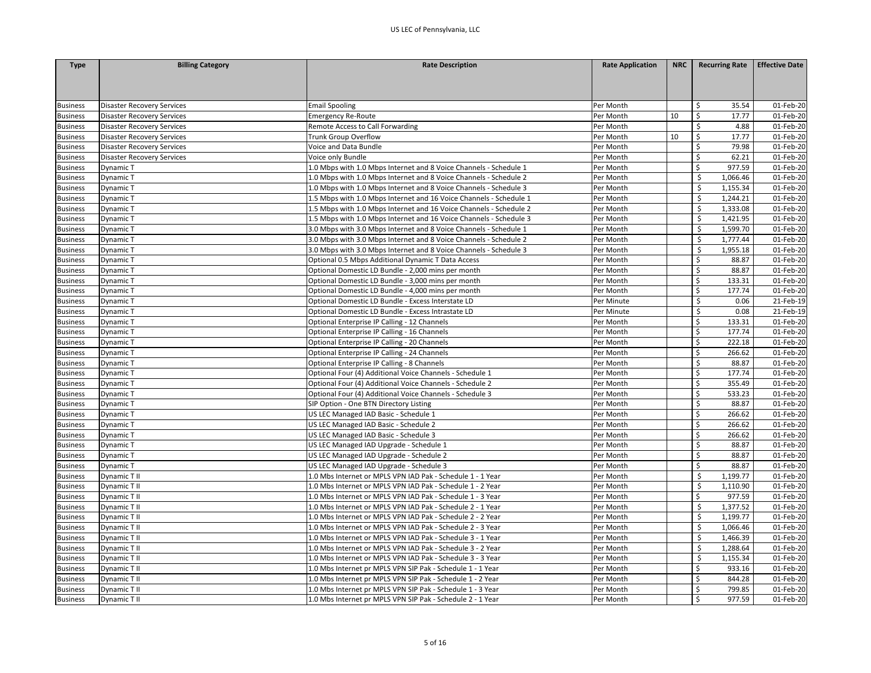| <b>Type</b>     | <b>Billing Category</b>           | <b>Rate Description</b>                                            | <b>Rate Application</b> | <b>NRC</b> | <b>Recurring Rate</b>          | <b>Effective Date</b> |
|-----------------|-----------------------------------|--------------------------------------------------------------------|-------------------------|------------|--------------------------------|-----------------------|
|                 |                                   |                                                                    |                         |            |                                |                       |
|                 |                                   |                                                                    |                         |            |                                |                       |
|                 |                                   |                                                                    |                         |            |                                |                       |
| <b>Business</b> | <b>Disaster Recovery Services</b> | <b>Email Spooling</b>                                              | Per Month               |            | \$<br>35.54                    | 01-Feb-20             |
| <b>Business</b> | Disaster Recovery Services        | <b>Emergency Re-Route</b>                                          | Per Month               | 10         | \$<br>17.77                    | 01-Feb-20             |
| <b>Business</b> | Disaster Recovery Services        | Remote Access to Call Forwarding                                   | Per Month               |            | $\zeta$<br>4.88                | 01-Feb-20             |
| <b>Business</b> | Disaster Recovery Services        | Trunk Group Overflow                                               | Per Month               | 10         | $\mathsf{\mathsf{S}}$<br>17.77 | 01-Feb-20             |
| <b>Business</b> | Disaster Recovery Services        | Voice and Data Bundle                                              | Per Month               |            | \$<br>79.98                    | 01-Feb-20             |
| <b>Business</b> | Disaster Recovery Services        | Voice only Bundle                                                  | Per Month               |            | $\zeta$<br>62.21               | 01-Feb-20             |
| <b>Business</b> | Dynamic T                         | 1.0 Mbps with 1.0 Mbps Internet and 8 Voice Channels - Schedule 1  | Per Month               |            | $\mathsf{\$}$<br>977.59        | 01-Feb-20             |
| <b>Business</b> | Dynamic T                         | 1.0 Mbps with 1.0 Mbps Internet and 8 Voice Channels - Schedule 2  | Per Month               |            | Ś<br>1,066.46                  | 01-Feb-20             |
| <b>Business</b> | Dynamic T                         | 1.0 Mbps with 1.0 Mbps Internet and 8 Voice Channels - Schedule 3  | Per Month               |            | 1,155.34<br>Ŝ.                 | 01-Feb-20             |
| <b>Business</b> | Dynamic T                         | 1.5 Mbps with 1.0 Mbps Internet and 16 Voice Channels - Schedule 1 | Per Month               |            | \$<br>1,244.21                 | 01-Feb-20             |
| <b>Business</b> | Dynamic T                         | 1.5 Mbps with 1.0 Mbps Internet and 16 Voice Channels - Schedule 2 | Per Month               |            | Ś<br>1,333.08                  | 01-Feb-20             |
| <b>Business</b> | Dynamic T                         | 1.5 Mbps with 1.0 Mbps Internet and 16 Voice Channels - Schedule 3 | Per Month               |            | 1,421.95<br>\$                 | 01-Feb-20             |
| <b>Business</b> | Dynamic T                         | 3.0 Mbps with 3.0 Mbps Internet and 8 Voice Channels - Schedule 1  | Per Month               |            | \$<br>1,599.70                 | 01-Feb-20             |
| <b>Business</b> | Dynamic T                         | 3.0 Mbps with 3.0 Mbps Internet and 8 Voice Channels - Schedule 2  | Per Month               |            | Ś<br>1,777.44                  | 01-Feb-20             |
| <b>Business</b> | Dynamic T                         | 3.0 Mbps with 3.0 Mbps Internet and 8 Voice Channels - Schedule 3  | Per Month               |            | \$<br>1,955.18                 | 01-Feb-20             |
| <b>Business</b> | Dynamic T                         | Optional 0.5 Mbps Additional Dynamic T Data Access                 | Per Month               |            | \$<br>88.87                    | 01-Feb-20             |
| <b>Business</b> | Dynamic T                         | Optional Domestic LD Bundle - 2,000 mins per month                 | Per Month               |            | \$<br>88.87                    | 01-Feb-20             |
| <b>Business</b> | Dynamic T                         | Optional Domestic LD Bundle - 3,000 mins per month                 | Per Month               |            | \$<br>133.31                   | 01-Feb-20             |
| <b>Business</b> | Dynamic T                         | Optional Domestic LD Bundle - 4,000 mins per month                 | Per Month               |            | \$<br>177.74                   | 01-Feb-20             |
| <b>Business</b> | Dynamic T                         | Optional Domestic LD Bundle - Excess Interstate LD                 | Per Minute              |            | \$<br>0.06                     | 21-Feb-19             |
| <b>Business</b> | Dynamic T                         | Optional Domestic LD Bundle - Excess Intrastate LD                 | Per Minute              |            | Ŝ.<br>0.08                     | 21-Feb-19             |
| <b>Business</b> | Dynamic T                         | Optional Enterprise IP Calling - 12 Channels                       | Per Month               |            | \$<br>133.31                   | 01-Feb-20             |
| <b>Business</b> | Dynamic T                         | Optional Enterprise IP Calling - 16 Channels                       | Per Month               |            | $\zeta$<br>177.74              | 01-Feb-20             |
| <b>Business</b> | Dynamic T                         | Optional Enterprise IP Calling - 20 Channels                       | Per Month               |            | \$<br>222.18                   | 01-Feb-20             |
| <b>Business</b> | Dynamic T                         | Optional Enterprise IP Calling - 24 Channels                       | Per Month               |            | Ś<br>266.62                    | 01-Feb-20             |
| <b>Business</b> | Dynamic T                         | Optional Enterprise IP Calling - 8 Channels                        | Per Month               |            | \$<br>88.87                    | 01-Feb-20             |
| <b>Business</b> | Dynamic T                         | Optional Four (4) Additional Voice Channels - Schedule 1           | Per Month               |            | \$<br>177.74                   | 01-Feb-20             |
| <b>Business</b> | Dynamic T                         | Optional Four (4) Additional Voice Channels - Schedule 2           | Per Month               |            | \$<br>355.49                   | 01-Feb-20             |
| <b>Business</b> | Dynamic T                         | Optional Four (4) Additional Voice Channels - Schedule 3           | Per Month               |            | \$<br>533.23                   | 01-Feb-20             |
| <b>Business</b> | Dynamic T                         | SIP Option - One BTN Directory Listing                             | Per Month               |            | $\zeta$<br>88.87               | 01-Feb-20             |
| <b>Business</b> | Dynamic T                         | US LEC Managed IAD Basic - Schedule 1                              | Per Month               |            | Ś<br>266.62                    | 01-Feb-20             |
| <b>Business</b> | Dynamic T                         | US LEC Managed IAD Basic - Schedule 2                              | Per Month               |            | $\zeta$<br>266.62              | 01-Feb-20             |
| <b>Business</b> | Dynamic T                         | US LEC Managed IAD Basic - Schedule 3                              | Per Month               |            | $\mathsf{\$}$<br>266.62        | 01-Feb-20             |
| <b>Business</b> | Dynamic T                         | US LEC Managed IAD Upgrade - Schedule 1                            | Per Month               |            | Ŝ.<br>88.87                    | 01-Feb-20             |
| <b>Business</b> | Dynamic T                         | US LEC Managed IAD Upgrade - Schedule 2                            | Per Month               |            | $\zeta$<br>88.87               | 01-Feb-20             |
| <b>Business</b> | Dynamic T                         | US LEC Managed IAD Upgrade - Schedule 3                            | Per Month               |            | \$<br>88.87                    | 01-Feb-20             |
| <b>Business</b> | Dynamic T II                      | 1.0 Mbs Internet or MPLS VPN IAD Pak - Schedule 1 - 1 Year         | Per Month               |            | Ś<br>1,199.77                  | 01-Feb-20             |
| <b>Business</b> | Dynamic T II                      | 1.0 Mbs Internet or MPLS VPN IAD Pak - Schedule 1 - 2 Year         | Per Month               |            | \$<br>1,110.90                 | 01-Feb-20             |
| <b>Business</b> | Dynamic T II                      | 1.0 Mbs Internet or MPLS VPN IAD Pak - Schedule 1 - 3 Year         | Per Month               |            | \$<br>977.59                   | 01-Feb-20             |
| <b>Business</b> | Dynamic T II                      | 1.0 Mbs Internet or MPLS VPN IAD Pak - Schedule 2 - 1 Year         | Per Month               |            | Ś<br>1,377.52                  | 01-Feb-20             |
| <b>Business</b> | Dynamic T II                      | 1.0 Mbs Internet or MPLS VPN IAD Pak - Schedule 2 - 2 Year         | Per Month               |            | 1,199.77<br>\$                 | 01-Feb-20             |
| <b>Business</b> | Dynamic T II                      | 1.0 Mbs Internet or MPLS VPN IAD Pak - Schedule 2 - 3 Year         | Per Month               |            | Ś<br>1,066.46                  | 01-Feb-20             |
| <b>Business</b> | Dynamic T II                      | 1.0 Mbs Internet or MPLS VPN IAD Pak - Schedule 3 - 1 Year         | Per Month               |            | 1,466.39                       | 01-Feb-20             |
| <b>Business</b> | Dynamic T II                      | 1.0 Mbs Internet or MPLS VPN IAD Pak - Schedule 3 - 2 Year         | Per Month               |            | 1,288.64<br>\$                 | 01-Feb-20             |
| <b>Business</b> | Dynamic T II                      | 1.0 Mbs Internet or MPLS VPN IAD Pak - Schedule 3 - 3 Year         | Per Month               |            | \$<br>1,155.34                 | 01-Feb-20             |
| <b>Business</b> | Dynamic T II                      | 1.0 Mbs Internet pr MPLS VPN SIP Pak - Schedule 1 - 1 Year         | Per Month               |            | \$<br>933.16                   | 01-Feb-20             |
| <b>Business</b> | Dynamic T II                      | 1.0 Mbs Internet pr MPLS VPN SIP Pak - Schedule 1 - 2 Year         | Per Month               |            | \$<br>844.28                   | 01-Feb-20             |
| <b>Business</b> | Dynamic T II                      | 1.0 Mbs Internet pr MPLS VPN SIP Pak - Schedule 1 - 3 Year         | Per Month               |            | Ś<br>799.85                    | 01-Feb-20             |
| <b>Business</b> | Dynamic T II                      | 1.0 Mbs Internet pr MPLS VPN SIP Pak - Schedule 2 - 1 Year         | Per Month               |            | 977.59<br>Ŝ.                   | 01-Feb-20             |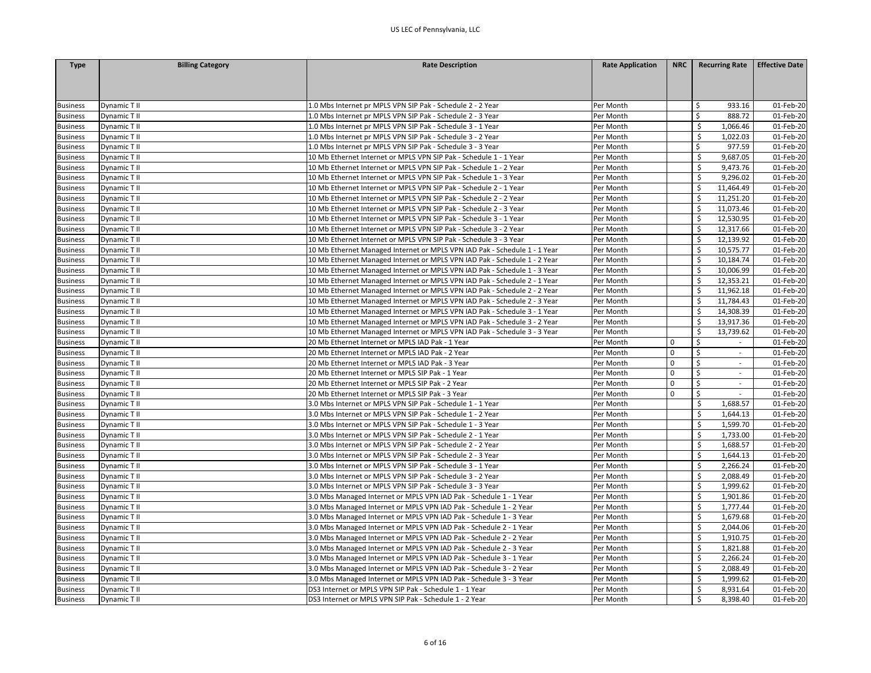| <b>Type</b>                        | <b>Billing Category</b> | <b>Rate Description</b>                                                   | <b>Rate Application</b> | <b>NRC</b>  | <b>Recurring Rate</b>  | <b>Effective Date</b> |
|------------------------------------|-------------------------|---------------------------------------------------------------------------|-------------------------|-------------|------------------------|-----------------------|
|                                    |                         |                                                                           |                         |             |                        |                       |
|                                    |                         |                                                                           |                         |             |                        |                       |
|                                    |                         |                                                                           |                         |             |                        |                       |
| <b>Business</b>                    | Dynamic T II            | 1.0 Mbs Internet pr MPLS VPN SIP Pak - Schedule 2 - 2 Year                | Per Month               |             | 933.16<br>Ŝ.           | 01-Feb-20             |
| <b>Business</b>                    | Dynamic T II            | 1.0 Mbs Internet pr MPLS VPN SIP Pak - Schedule 2 - 3 Year                | Per Month               |             | Ŝ.<br>888.72           | 01-Feb-20             |
| <b>Business</b>                    | Dynamic T II            | 1.0 Mbs Internet pr MPLS VPN SIP Pak - Schedule 3 - 1 Year                | Per Month               |             | 1,066.46<br>Ŝ.         | 01-Feb-20             |
| <b>Business</b>                    | Dynamic T II            | 1.0 Mbs Internet pr MPLS VPN SIP Pak - Schedule 3 - 2 Year                | Per Month               |             | Ŝ.<br>1,022.03         | 01-Feb-20             |
| <b>Business</b>                    | Dynamic T II            | 1.0 Mbs Internet pr MPLS VPN SIP Pak - Schedule 3 - 3 Year                | Per Month               |             | \$<br>977.59           | 01-Feb-20             |
| <b>Business</b>                    | Dynamic T II            | 10 Mb Ethernet Internet or MPLS VPN SIP Pak - Schedule 1 - 1 Year         | Per Month               |             | Ś.<br>9,687.05         | 01-Feb-20             |
| <b>Business</b>                    | Dynamic T II            | 10 Mb Ethernet Internet or MPLS VPN SIP Pak - Schedule 1 - 2 Year         | Per Month               |             | Ś<br>9,473.76          | 01-Feb-20             |
| <b>Business</b>                    | Dynamic T II            | 10 Mb Ethernet Internet or MPLS VPN SIP Pak - Schedule 1 - 3 Year         | Per Month               |             | Ś<br>9,296.02          | 01-Feb-20             |
| <b>Business</b>                    | Dynamic T II            | 10 Mb Ethernet Internet or MPLS VPN SIP Pak - Schedule 2 - 1 Year         | Per Month               |             | 11,464.49<br>Ŝ.        | 01-Feb-20             |
| <b>Business</b>                    | Dynamic T II            | 10 Mb Ethernet Internet or MPLS VPN SIP Pak - Schedule 2 - 2 Year         | Per Month               |             | 11,251.20<br>Ŝ.        | 01-Feb-20             |
| <b>Business</b>                    | Dynamic T II            | 10 Mb Ethernet Internet or MPLS VPN SIP Pak - Schedule 2 - 3 Year         | Per Month               |             | Ś<br>11,073.46         | 01-Feb-20             |
| <b>Business</b>                    | Dynamic T II            | 10 Mb Ethernet Internet or MPLS VPN SIP Pak - Schedule 3 - 1 Year         | Per Month               |             | 12,530.95<br>Ŝ.        | 01-Feb-20             |
| <b>Business</b>                    | Dynamic T II            | 10 Mb Ethernet Internet or MPLS VPN SIP Pak - Schedule 3 - 2 Year         | Per Month               |             | Ś<br>12,317.66         | 01-Feb-20             |
| <b>Business</b>                    | Dynamic T II            | 10 Mb Ethernet Internet or MPLS VPN SIP Pak - Schedule 3 - 3 Year         | Per Month               |             | 12,139.92<br>Ś         | 01-Feb-20             |
| <b>Business</b>                    | Dynamic T II            | 10 Mb Ethernet Managed Internet or MPLS VPN IAD Pak - Schedule 1 - 1 Year | Per Month               |             | 10,575.77<br>Ŝ.        | 01-Feb-20             |
| <b>Business</b>                    | Dynamic T II            | 10 Mb Ethernet Managed Internet or MPLS VPN IAD Pak - Schedule 1 - 2 Year | Per Month               |             | S.<br>10,184.74        | 01-Feb-20             |
| <b>Business</b>                    | Dynamic T II            | 10 Mb Ethernet Managed Internet or MPLS VPN IAD Pak - Schedule 1 - 3 Year | Per Month               |             | 10,006.99<br>Ŝ         | 01-Feb-20             |
| <b>Business</b>                    | Dynamic T II            | 10 Mb Ethernet Managed Internet or MPLS VPN IAD Pak - Schedule 2 - 1 Year | Per Month               |             | Ŝ.<br>12,353.21        | 01-Feb-20             |
| <b>Business</b>                    | Dynamic T II            | 10 Mb Ethernet Managed Internet or MPLS VPN IAD Pak - Schedule 2 - 2 Year | Per Month               |             | 11,962.18              | 01-Feb-20             |
| <b>Business</b>                    | Dynamic T II            | 10 Mb Ethernet Managed Internet or MPLS VPN IAD Pak - Schedule 2 - 3 Year | Per Month               |             | 11,784.43<br>Ś         | 01-Feb-20             |
| <b>Business</b>                    | Dynamic T II            | 10 Mb Ethernet Managed Internet or MPLS VPN IAD Pak - Schedule 3 - 1 Year | Per Month               |             | Ŝ.<br>14,308.39        | 01-Feb-20             |
| <b>Business</b>                    | Dynamic T II            | 10 Mb Ethernet Managed Internet or MPLS VPN IAD Pak - Schedule 3 - 2 Year | Per Month               |             | 13,917.36              | 01-Feb-20             |
| <b>Business</b>                    | Dynamic T II            | 10 Mb Ethernet Managed Internet or MPLS VPN IAD Pak - Schedule 3 - 3 Year | Per Month               |             | Ŝ.<br>13,739.62        | 01-Feb-20             |
| <b>Business</b>                    | Dynamic T II            | 20 Mb Ethernet Internet or MPLS IAD Pak - 1 Year                          | Per Month               | $\Omega$    | Ŝ.                     | 01-Feb-20             |
| <b>Business</b>                    | Dynamic T II            | 20 Mb Ethernet Internet or MPLS IAD Pak - 2 Year                          | Per Month               | $\Omega$    | \$<br>$\mathbf{r}$     | 01-Feb-20             |
| <b>Business</b>                    | Dynamic T II            | 20 Mb Ethernet Internet or MPLS IAD Pak - 3 Year                          | Per Month               | $\mathbf 0$ | $\mathsf{S}$<br>$\sim$ | 01-Feb-20             |
| <b>Business</b>                    | Dynamic T II            | 20 Mb Ethernet Internet or MPLS SIP Pak - 1 Year                          | Per Month               | $\mathbf 0$ | \$<br>$\sim$           | 01-Feb-20             |
| <b>Business</b>                    | Dynamic T II            | 20 Mb Ethernet Internet or MPLS SIP Pak - 2 Year                          | Per Month               | $\Omega$    | \$<br>$\blacksquare$   | 01-Feb-20             |
|                                    | Dynamic T II            | 20 Mb Ethernet Internet or MPLS SIP Pak - 3 Year                          | Per Month               | $\mathbf 0$ | $\zeta$                | 01-Feb-20             |
| <b>Business</b><br><b>Business</b> | Dynamic T II            | 3.0 Mbs Internet or MPLS VPN SIP Pak - Schedule 1 - 1 Year                | Per Month               |             | Ś.<br>1,688.57         | 01-Feb-20             |
|                                    |                         |                                                                           |                         |             | 1.644.13               |                       |
| <b>Business</b>                    | Dynamic T II            | 3.0 Mbs Internet or MPLS VPN SIP Pak - Schedule 1 - 2 Year                | Per Month               |             | \$<br>1,599.70         | 01-Feb-20             |
| <b>Business</b>                    | Dynamic T II            | 3.0 Mbs Internet or MPLS VPN SIP Pak - Schedule 1 - 3 Year                | Per Month               |             |                        | 01-Feb-20             |
| <b>Business</b>                    | Dynamic T II            | 3.0 Mbs Internet or MPLS VPN SIP Pak - Schedule 2 - 1 Year                | Per Month               |             | Ŝ.<br>1,733.00<br>Ś    | 01-Feb-20             |
| <b>Business</b>                    | Dynamic T II            | 3.0 Mbs Internet or MPLS VPN SIP Pak - Schedule 2 - 2 Year                | Per Month               |             | 1,688.57               | 01-Feb-20             |
| <b>Business</b>                    | Dynamic T II            | 3.0 Mbs Internet or MPLS VPN SIP Pak - Schedule 2 - 3 Year                | Per Month               |             | \$<br>1,644.13         | 01-Feb-20             |
| <b>Business</b>                    | Dynamic T II            | 3.0 Mbs Internet or MPLS VPN SIP Pak - Schedule 3 - 1 Year                | Per Month               |             | Ś<br>2,266.24          | 01-Feb-20             |
| <b>Business</b>                    | Dynamic T II            | 3.0 Mbs Internet or MPLS VPN SIP Pak - Schedule 3 - 2 Year                | Per Month               |             | Ś<br>2,088.49          | 01-Feb-20             |
| <b>Business</b>                    | Dynamic T II            | 3.0 Mbs Internet or MPLS VPN SIP Pak - Schedule 3 - 3 Year                | Per Month               |             | \$<br>1,999.62         | 01-Feb-20             |
| <b>Business</b>                    | Dynamic T II            | 3.0 Mbs Managed Internet or MPLS VPN IAD Pak - Schedule 1 - 1 Year        | Per Month               |             | \$<br>1,901.86         | 01-Feb-20             |
| <b>Business</b>                    | Dynamic T II            | 3.0 Mbs Managed Internet or MPLS VPN IAD Pak - Schedule 1 - 2 Year        | Per Month               |             | Ś<br>1,777.44          | 01-Feb-20             |
| <b>Business</b>                    | Dynamic T II            | 3.0 Mbs Managed Internet or MPLS VPN IAD Pak - Schedule 1 - 3 Year        | Per Month               |             | 1,679.68<br>\$         | 01-Feb-20             |
| <b>Business</b>                    | Dynamic T II            | 3.0 Mbs Managed Internet or MPLS VPN IAD Pak - Schedule 2 - 1 Year        | Per Month               |             | Ś<br>2,044.06          | 01-Feb-20             |
| <b>Business</b>                    | Dynamic T II            | 3.0 Mbs Managed Internet or MPLS VPN IAD Pak - Schedule 2 - 2 Year        | Per Month               |             | 1,910.75               | 01-Feb-20             |
| <b>Business</b>                    | Dynamic T II            | 3.0 Mbs Managed Internet or MPLS VPN IAD Pak - Schedule 2 - 3 Year        | Per Month               |             | 1,821.88<br>\$         | 01-Feb-20             |
| <b>Business</b>                    | Dynamic T II            | 3.0 Mbs Managed Internet or MPLS VPN IAD Pak - Schedule 3 - 1 Year        | Per Month               |             | \$<br>2,266.24         | 01-Feb-20             |
| <b>Business</b>                    | Dynamic T II            | 3.0 Mbs Managed Internet or MPLS VPN IAD Pak - Schedule 3 - 2 Year        | Per Month               |             | Ś<br>2,088.49          | 01-Feb-20             |
| <b>Business</b>                    | Dynamic T II            | 3.0 Mbs Managed Internet or MPLS VPN IAD Pak - Schedule 3 - 3 Year        | Per Month               |             | Ś<br>1,999.62          | 01-Feb-20             |
| <b>Business</b>                    | Dynamic T II            | DS3 Internet or MPLS VPN SIP Pak - Schedule 1 - 1 Year                    | Per Month               |             | Ś<br>8,931.64          | 01-Feb-20             |
| <b>Business</b>                    | Dynamic T II            | DS3 Internet or MPLS VPN SIP Pak - Schedule 1 - 2 Year                    | Per Month               |             | Ś.<br>8,398.40         | 01-Feb-20             |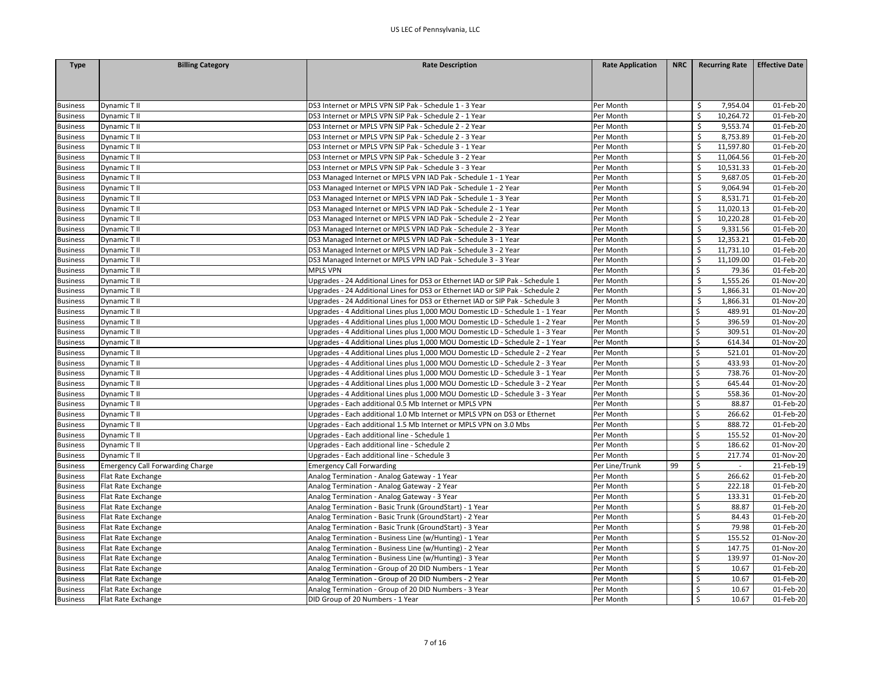| <b>Type</b>     | <b>Billing Category</b>          | <b>Rate Description</b>                                                        | <b>Rate Application</b> | <b>NRC</b> | <b>Recurring Rate</b>          | <b>Effective Date</b> |
|-----------------|----------------------------------|--------------------------------------------------------------------------------|-------------------------|------------|--------------------------------|-----------------------|
|                 |                                  |                                                                                |                         |            |                                |                       |
|                 |                                  |                                                                                |                         |            |                                |                       |
|                 |                                  |                                                                                |                         |            |                                |                       |
| <b>Business</b> | Dynamic T II                     | DS3 Internet or MPLS VPN SIP Pak - Schedule 1 - 3 Year                         | Per Month               |            | 7,954.04<br>Ś                  | 01-Feb-20             |
| <b>Business</b> | Dynamic T II                     | DS3 Internet or MPLS VPN SIP Pak - Schedule 2 - 1 Year                         | Per Month               |            | Ś.<br>10,264.72                | 01-Feb-20             |
| <b>Business</b> | Dynamic T II                     | DS3 Internet or MPLS VPN SIP Pak - Schedule 2 - 2 Year                         | Per Month               |            | 9,553.74<br>Ŝ.                 | 01-Feb-20             |
| <b>Business</b> | Dynamic T II                     | DS3 Internet or MPLS VPN SIP Pak - Schedule 2 - 3 Year                         | Per Month               |            | Ś.<br>8,753.89                 | 01-Feb-20             |
| <b>Business</b> | Dynamic T II                     | DS3 Internet or MPLS VPN SIP Pak - Schedule 3 - 1 Year                         | Per Month               |            | 11,597.80<br>\$                | 01-Feb-20             |
| <b>Business</b> | Dynamic T II                     | DS3 Internet or MPLS VPN SIP Pak - Schedule 3 - 2 Year                         | Per Month               |            | Ś.<br>11,064.56                | 01-Feb-20             |
| <b>Business</b> | Dynamic T II                     | DS3 Internet or MPLS VPN SIP Pak - Schedule 3 - 3 Year                         | Per Month               |            | \$<br>10,531.33                | 01-Feb-20             |
| <b>Business</b> | Dynamic T II                     | DS3 Managed Internet or MPLS VPN IAD Pak - Schedule 1 - 1 Year                 | Per Month               |            | Ś<br>9,687.05                  | 01-Feb-20             |
| <b>Business</b> | Dynamic T II                     | DS3 Managed Internet or MPLS VPN IAD Pak - Schedule 1 - 2 Year                 | Per Month               |            | 9,064.94<br>Ŝ.                 | 01-Feb-20             |
| <b>Business</b> | Dynamic T II                     | DS3 Managed Internet or MPLS VPN IAD Pak - Schedule 1 - 3 Year                 | Per Month               |            | \$<br>8,531.71                 | 01-Feb-20             |
| <b>Business</b> | Dynamic T II                     | DS3 Managed Internet or MPLS VPN IAD Pak - Schedule 2 - 1 Year                 | Per Month               |            | Ś<br>11,020.13                 | 01-Feb-20             |
| <b>Business</b> | Dynamic T II                     | DS3 Managed Internet or MPLS VPN IAD Pak - Schedule 2 - 2 Year                 | Per Month               |            | 10,220.28<br>\$                | 01-Feb-20             |
| <b>Business</b> | Dynamic T II                     | DS3 Managed Internet or MPLS VPN IAD Pak - Schedule 2 - 3 Year                 | Per Month               |            | Ś.<br>9,331.56                 | 01-Feb-20             |
| <b>Business</b> | Dynamic T II                     | DS3 Managed Internet or MPLS VPN IAD Pak - Schedule 3 - 1 Year                 | Per Month               |            | Ś<br>12,353.21                 | 01-Feb-20             |
| <b>Business</b> | Dynamic T II                     | DS3 Managed Internet or MPLS VPN IAD Pak - Schedule 3 - 2 Year                 | Per Month               |            | Ŝ.<br>11,731.10                | 01-Feb-20             |
| <b>Business</b> | Dynamic T II                     | DS3 Managed Internet or MPLS VPN IAD Pak - Schedule 3 - 3 Year                 | Per Month               |            | \$<br>11,109.00                | 01-Feb-20             |
| <b>Business</b> | Dynamic T II                     | <b>MPLS VPN</b>                                                                | Per Month               |            | -\$<br>79.36                   | 01-Feb-20             |
| <b>Business</b> | Dynamic T II                     | Upgrades - 24 Additional Lines for DS3 or Ethernet IAD or SIP Pak - Schedule 1 | Per Month               |            | 1,555.26<br>Ś                  | 01-Nov-20             |
| <b>Business</b> | Dynamic T II                     | Upgrades - 24 Additional Lines for DS3 or Ethernet IAD or SIP Pak - Schedule 2 | Per Month               |            | Ś<br>1,866.31                  | 01-Nov-20             |
| <b>Business</b> | Dynamic T II                     | Upgrades - 24 Additional Lines for DS3 or Ethernet IAD or SIP Pak - Schedule 3 | Per Month               |            | \$<br>1,866.31                 | 01-Nov-20             |
| <b>Business</b> | Dynamic T II                     | Upgrades - 4 Additional Lines plus 1,000 MOU Domestic LD - Schedule 1 - 1 Year | Per Month               |            | \$<br>489.91                   | 01-Nov-20             |
| <b>Business</b> | Dynamic T II                     | Upgrades - 4 Additional Lines plus 1,000 MOU Domestic LD - Schedule 1 - 2 Year | Per Month               |            | \$<br>396.59                   | 01-Nov-20             |
| <b>Business</b> | Dynamic T II                     | Upgrades - 4 Additional Lines plus 1,000 MOU Domestic LD - Schedule 1 - 3 Year | Per Month               |            | \$<br>309.51                   | 01-Nov-20             |
| <b>Business</b> | Dynamic T II                     | Upgrades - 4 Additional Lines plus 1,000 MOU Domestic LD - Schedule 2 - 1 Year | Per Month               |            | \$<br>614.34                   | 01-Nov-20             |
| <b>Business</b> | Dynamic T II                     | Upgrades - 4 Additional Lines plus 1,000 MOU Domestic LD - Schedule 2 - 2 Year | Per Month               |            | Ś<br>521.01                    | 01-Nov-20             |
| <b>Business</b> | Dynamic T II                     | Upgrades - 4 Additional Lines plus 1,000 MOU Domestic LD - Schedule 2 - 3 Year | Per Month               |            | \$<br>433.93                   | 01-Nov-20             |
| <b>Business</b> | Dynamic T II                     | Upgrades - 4 Additional Lines plus 1,000 MOU Domestic LD - Schedule 3 - 1 Year | Per Month               |            | \$<br>738.76                   | 01-Nov-20             |
| <b>Business</b> | Dynamic T II                     | Upgrades - 4 Additional Lines plus 1,000 MOU Domestic LD - Schedule 3 - 2 Year | Per Month               |            | \$<br>645.44                   | 01-Nov-20             |
| <b>Business</b> | Dynamic T II                     | Upgrades - 4 Additional Lines plus 1,000 MOU Domestic LD - Schedule 3 - 3 Year | Per Month               |            | \$<br>558.36                   | 01-Nov-20             |
| <b>Business</b> | Dynamic T II                     | Upgrades - Each additional 0.5 Mb Internet or MPLS VPN                         | Per Month               |            | $\mathsf{\mathsf{S}}$<br>88.87 | 01-Feb-20             |
| <b>Business</b> | Dynamic T II                     | Upgrades - Each additional 1.0 Mb Internet or MPLS VPN on DS3 or Ethernet      | Per Month               |            | Ś<br>266.62                    | 01-Feb-20             |
| <b>Business</b> | Dynamic T II                     | Upgrades - Each additional 1.5 Mb Internet or MPLS VPN on 3.0 Mbs              | Per Month               |            | $\zeta$<br>888.72              | 01-Feb-20             |
|                 |                                  |                                                                                |                         |            | \$<br>155.52                   | 01-Nov-20             |
| <b>Business</b> | Dynamic T II                     | Upgrades - Each additional line - Schedule 1                                   | Per Month               |            |                                |                       |
| <b>Business</b> | Dynamic T II                     | Upgrades - Each additional line - Schedule 2                                   | Per Month               |            | \$<br>186.62<br>\$<br>217.74   | 01-Nov-20             |
| <b>Business</b> | Dynamic T II                     | Upgrades - Each additional line - Schedule 3                                   | Per Month               |            |                                | 01-Nov-20             |
| <b>Business</b> | Emergency Call Forwarding Charge | <b>Emergency Call Forwarding</b>                                               | Per Line/Trunk          | 99         | \$                             | 21-Feb-19             |
| <b>Business</b> | Flat Rate Exchange               | Analog Termination - Analog Gateway - 1 Year                                   | Per Month               |            | $\zeta$<br>266.62              | 01-Feb-20             |
| <b>Business</b> | Flat Rate Exchange               | Analog Termination - Analog Gateway - 2 Year                                   | Per Month               |            | \$<br>222.18                   | 01-Feb-20             |
| <b>Business</b> | Flat Rate Exchange               | Analog Termination - Analog Gateway - 3 Year                                   | Per Month               |            | \$<br>133.31                   | 01-Feb-20             |
| <b>Business</b> | Flat Rate Exchange               | Analog Termination - Basic Trunk (GroundStart) - 1 Year                        | Per Month               |            | \$<br>88.87                    | 01-Feb-20             |
| <b>Business</b> | Flat Rate Exchange               | Analog Termination - Basic Trunk (GroundStart) - 2 Year                        | Per Month               |            | \$<br>84.43                    | 01-Feb-20             |
| <b>Business</b> | Flat Rate Exchange               | Analog Termination - Basic Trunk (GroundStart) - 3 Year                        | Per Month               |            | $\zeta$<br>79.98               | $01$ -Feb-20          |
| <b>Business</b> | Flat Rate Exchange               | Analog Termination - Business Line (w/Hunting) - 1 Year                        | Per Month               |            | Ś<br>155.52                    | 01-Nov-20             |
| <b>Business</b> | Flat Rate Exchange               | Analog Termination - Business Line (w/Hunting) - 2 Year                        | Per Month               |            | \$<br>147.75                   | 01-Nov-20             |
| <b>Business</b> | Flat Rate Exchange               | Analog Termination - Business Line (w/Hunting) - 3 Year                        | Per Month               |            | \$<br>139.97                   | 01-Nov-20             |
| <b>Business</b> | Flat Rate Exchange               | Analog Termination - Group of 20 DID Numbers - 1 Year                          | Per Month               |            | \$<br>10.67                    | 01-Feb-20             |
| <b>Business</b> | Flat Rate Exchange               | Analog Termination - Group of 20 DID Numbers - 2 Year                          | Per Month               |            | $\zeta$<br>10.67               | 01-Feb-20             |
| <b>Business</b> | Flat Rate Exchange               | Analog Termination - Group of 20 DID Numbers - 3 Year                          | Per Month               |            | $\mathsf{\mathsf{S}}$<br>10.67 | 01-Feb-20             |
| <b>Business</b> | Flat Rate Exchange               | DID Group of 20 Numbers - 1 Year                                               | Per Month               |            | Ŝ.<br>10.67                    | 01-Feb-20             |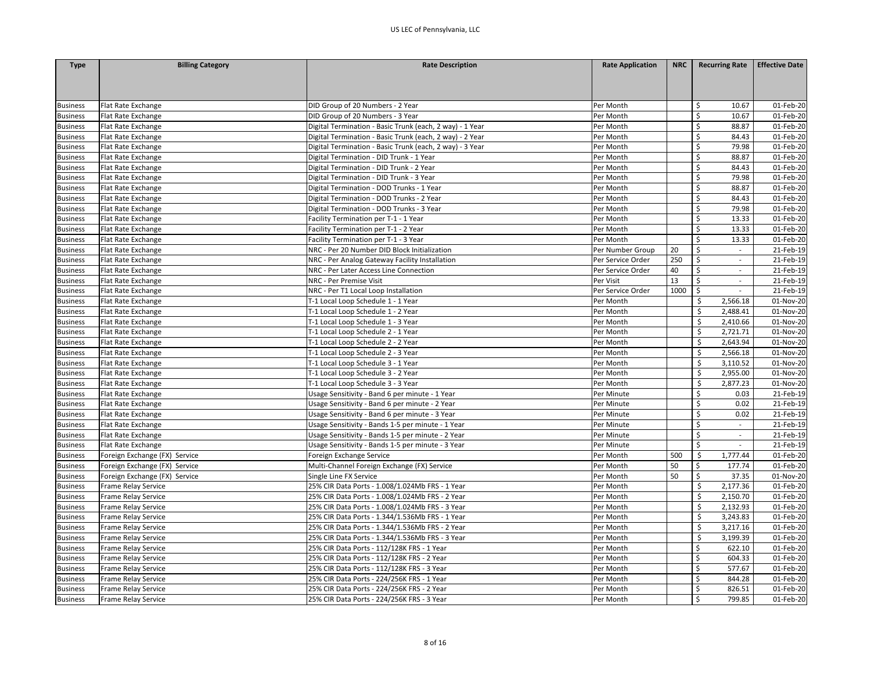| <b>Type</b>     | <b>Billing Category</b>       | <b>Rate Description</b>                                  | <b>Rate Application</b> | <b>NRC</b> | <b>Recurring Rate</b>          | <b>Effective Date</b> |
|-----------------|-------------------------------|----------------------------------------------------------|-------------------------|------------|--------------------------------|-----------------------|
|                 |                               |                                                          |                         |            |                                |                       |
|                 |                               |                                                          |                         |            |                                |                       |
|                 |                               |                                                          |                         |            |                                |                       |
| <b>Business</b> | Flat Rate Exchange            | DID Group of 20 Numbers - 2 Year                         | Per Month               |            | Ś<br>10.67                     | 01-Feb-20             |
| <b>Business</b> | Flat Rate Exchange            | DID Group of 20 Numbers - 3 Year                         | Per Month               |            | \$<br>10.67                    | 01-Feb-20             |
| <b>Business</b> | Flat Rate Exchange            | Digital Termination - Basic Trunk (each, 2 way) - 1 Year | Per Month               |            | \$<br>88.87                    | 01-Feb-20             |
| <b>Business</b> | Flat Rate Exchange            | Digital Termination - Basic Trunk (each, 2 way) - 2 Year | Per Month               |            | \$<br>84.43                    | 01-Feb-20             |
| <b>Business</b> | Flat Rate Exchange            | Digital Termination - Basic Trunk (each, 2 way) - 3 Year | Per Month               |            | \$<br>79.98                    | 01-Feb-20             |
| <b>Business</b> | Flat Rate Exchange            | Digital Termination - DID Trunk - 1 Year                 | Per Month               |            | \$<br>88.87                    | 01-Feb-20             |
| <b>Business</b> | Flat Rate Exchange            | Digital Termination - DID Trunk - 2 Year                 | Per Month               |            | Ś<br>84.43                     | 01-Feb-20             |
| <b>Business</b> | Flat Rate Exchange            | Digital Termination - DID Trunk - 3 Year                 | Per Month               |            | \$<br>79.98                    | 01-Feb-20             |
| <b>Business</b> | Flat Rate Exchange            | Digital Termination - DOD Trunks - 1 Year                | Per Month               |            | \$<br>88.87                    | 01-Feb-20             |
| <b>Business</b> | Flat Rate Exchange            | Digital Termination - DOD Trunks - 2 Year                | Per Month               |            | \$<br>84.43                    | 01-Feb-20             |
| <b>Business</b> | Flat Rate Exchange            | Digital Termination - DOD Trunks - 3 Year                | Per Month               |            | \$<br>79.98                    | 01-Feb-20             |
| <b>Business</b> | Flat Rate Exchange            | Facility Termination per T-1 - 1 Year                    | Per Month               |            | \$<br>13.33                    | 01-Feb-20             |
| <b>Business</b> | Flat Rate Exchange            | Facility Termination per T-1 - 2 Year                    | Per Month               |            | Ś<br>13.33                     | 01-Feb-20             |
| <b>Business</b> | Flat Rate Exchange            | Facility Termination per T-1 - 3 Year                    | Per Month               |            | \$<br>13.33                    | 01-Feb-20             |
| <b>Business</b> | Flat Rate Exchange            | NRC - Per 20 Number DID Block Initialization             | Per Number Group        | 20         | \$<br>$\sim$                   | 21-Feb-19             |
| <b>Business</b> | Flat Rate Exchange            | NRC - Per Analog Gateway Facility Installation           | Per Service Order       | 250        | \$<br>$\overline{\phantom{a}}$ | 21-Feb-19             |
| <b>Business</b> | Flat Rate Exchange            | NRC - Per Later Access Line Connection                   | Per Service Order       | 40         | \$<br>$\sim$                   | 21-Feb-19             |
| <b>Business</b> | Flat Rate Exchange            | NRC - Per Premise Visit                                  | Per Visit               | 13         | \$<br>$\sim$                   | 21-Feb-19             |
| <b>Business</b> | Flat Rate Exchange            | NRC - Per T1 Local Loop Installation                     | Per Service Order       | 1000       | \$                             | 21-Feb-19             |
| <b>Business</b> | Flat Rate Exchange            | T-1 Local Loop Schedule 1 - 1 Year                       | Per Month               |            | \$<br>2,566.18                 | 01-Nov-20             |
| <b>Business</b> | Flat Rate Exchange            | T-1 Local Loop Schedule 1 - 2 Year                       | Per Month               |            | 2,488.41<br>Ŝ.                 | 01-Nov-20             |
| <b>Business</b> | Flat Rate Exchange            | T-1 Local Loop Schedule 1 - 3 Year                       | Per Month               |            | Ś<br>2,410.66                  | 01-Nov-20             |
| <b>Business</b> | Flat Rate Exchange            | T-1 Local Loop Schedule 2 - 1 Year                       | Per Month               |            | Ś<br>2,721.71                  | 01-Nov-20             |
| <b>Business</b> | Flat Rate Exchange            | T-1 Local Loop Schedule 2 - 2 Year                       | Per Month               |            | Ś<br>2,643.94                  | 01-Nov-20             |
| <b>Business</b> | Flat Rate Exchange            | T-1 Local Loop Schedule 2 - 3 Year                       | Per Month               |            | Ś<br>2,566.18                  | 01-Nov-20             |
| <b>Business</b> | Flat Rate Exchange            | T-1 Local Loop Schedule 3 - 1 Year                       | Per Month               |            | 3,110.52<br>\$                 | 01-Nov-20             |
| <b>Business</b> | Flat Rate Exchange            | T-1 Local Loop Schedule 3 - 2 Year                       | Per Month               |            | \$<br>2,955.00                 | 01-Nov-20             |
| <b>Business</b> | Flat Rate Exchange            | T-1 Local Loop Schedule 3 - 3 Year                       | Per Month               |            | 2,877.23<br>Ś                  | 01-Nov-20             |
| <b>Business</b> | Flat Rate Exchange            | Usage Sensitivity - Band 6 per minute - 1 Year           | Per Minute              |            | \$<br>0.03                     | 21-Feb-19             |
| <b>Business</b> | Flat Rate Exchange            | Usage Sensitivity - Band 6 per minute - 2 Year           | Per Minute              |            | $\zeta$<br>0.02                | 21-Feb-19             |
| <b>Business</b> | Flat Rate Exchange            | Usage Sensitivity - Band 6 per minute - 3 Year           | Per Minute              |            | \$<br>0.02                     | 21-Feb-19             |
| <b>Business</b> | Flat Rate Exchange            | Usage Sensitivity - Bands 1-5 per minute - 1 Year        | Per Minute              |            | \$<br>$\sim$                   | 21-Feb-19             |
| <b>Business</b> | Flat Rate Exchange            | Usage Sensitivity - Bands 1-5 per minute - 2 Year        | Per Minute              |            | \$<br>$\sim$                   | 21-Feb-19             |
| <b>Business</b> | Flat Rate Exchange            | Usage Sensitivity - Bands 1-5 per minute - 3 Year        | Per Minute              |            | \$<br>$\sim$                   | 21-Feb-19             |
| <b>Business</b> | Foreign Exchange (FX) Service | Foreign Exchange Service                                 | Per Month               | 500        | \$<br>1,777.44                 | 01-Feb-20             |
| <b>Business</b> | Foreign Exchange (FX) Service | Multi-Channel Foreign Exchange (FX) Service              | Per Month               | 50         | 177.74<br>\$                   | 01-Feb-20             |
| <b>Business</b> | Foreign Exchange (FX) Service | Single Line FX Service                                   | Per Month               | 50         | \$<br>37.35                    | 01-Nov-20             |
| <b>Business</b> | Frame Relay Service           | 25% CIR Data Ports - 1.008/1.024Mb FRS - 1 Year          | Per Month               |            | 2,177.36<br>S.                 | 01-Feb-20             |
| <b>Business</b> | <b>Frame Relay Service</b>    | 25% CIR Data Ports - 1.008/1.024Mb FRS - 2 Year          | Per Month               |            | \$<br>2,150.70                 | 01-Feb-20             |
| <b>Business</b> | Frame Relay Service           | 25% CIR Data Ports - 1.008/1.024Mb FRS - 3 Year          | Per Month               |            | Ś<br>2,132.93                  | 01-Feb-20             |
| <b>Business</b> | Frame Relay Service           | 25% CIR Data Ports - 1.344/1.536Mb FRS - 1 Year          | Per Month               |            | 3,243.83<br>\$                 | 01-Feb-20             |
| <b>Business</b> | Frame Relay Service           | 25% CIR Data Ports - 1.344/1.536Mb FRS - 2 Year          | Per Month               |            | Ś<br>3,217.16                  | 01-Feb-20             |
| <b>Business</b> | Frame Relay Service           | 25% CIR Data Ports - 1.344/1.536Mb FRS - 3 Year          | Per Month               |            | Ś<br>3,199.39                  | 01-Feb-20             |
| <b>Business</b> | Frame Relay Service           | 25% CIR Data Ports - 112/128K FRS - 1 Year               | Per Month               |            | \$<br>622.10                   | 01-Feb-20             |
| <b>Business</b> | Frame Relay Service           | 25% CIR Data Ports - 112/128K FRS - 2 Year               | Per Month               |            | \$<br>604.33                   | 01-Feb-20             |
| <b>Business</b> | Frame Relay Service           | 25% CIR Data Ports - 112/128K FRS - 3 Year               | Per Month               |            | \$<br>577.67                   | 01-Feb-20             |
| <b>Business</b> | Frame Relay Service           | 25% CIR Data Ports - 224/256K FRS - 1 Year               | Per Month               |            | \$<br>844.28                   | 01-Feb-20             |
| <b>Business</b> | Frame Relay Service           | 25% CIR Data Ports - 224/256K FRS - 2 Year               | Per Month               |            | Ś<br>826.51                    | 01-Feb-20             |
| <b>Business</b> | <b>Frame Relay Service</b>    | 25% CIR Data Ports - 224/256K FRS - 3 Year               | Per Month               |            | Ŝ.<br>799.85                   | 01-Feb-20             |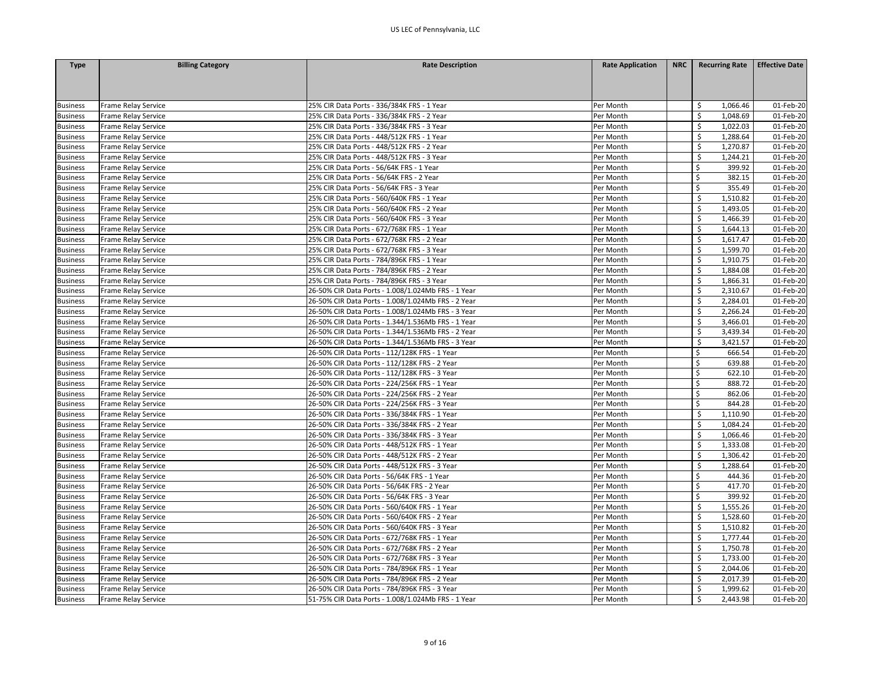| <b>Type</b>     | <b>Billing Category</b> | <b>Rate Description</b>                            | <b>Rate Application</b> | <b>NRC</b> | <b>Recurring Rate</b> | <b>Effective Date</b> |
|-----------------|-------------------------|----------------------------------------------------|-------------------------|------------|-----------------------|-----------------------|
|                 |                         |                                                    |                         |            |                       |                       |
|                 |                         |                                                    |                         |            |                       |                       |
|                 |                         |                                                    |                         |            |                       |                       |
| <b>Business</b> | Frame Relay Service     | 25% CIR Data Ports - 336/384K FRS - 1 Year         | Per Month               |            | Ś<br>1,066.46         | 01-Feb-20             |
| <b>Business</b> | Frame Relay Service     | 25% CIR Data Ports - 336/384K FRS - 2 Year         | Per Month               |            | -\$<br>1,048.69       | 01-Feb-20             |
| <b>Business</b> | Frame Relay Service     | 25% CIR Data Ports - 336/384K FRS - 3 Year         | Per Month               |            | \$<br>1,022.03        | 01-Feb-20             |
| <b>Business</b> | Frame Relay Service     | 25% CIR Data Ports - 448/512K FRS - 1 Year         | Per Month               |            | \$<br>1,288.64        | 01-Feb-20             |
| <b>Business</b> | Frame Relay Service     | 25% CIR Data Ports - 448/512K FRS - 2 Year         | Per Month               |            | \$<br>1,270.87        | 01-Feb-20             |
| <b>Business</b> | Frame Relay Service     | 25% CIR Data Ports - 448/512K FRS - 3 Year         | Per Month               |            | \$<br>1,244.21        | 01-Feb-20             |
| <b>Business</b> | Frame Relay Service     | 25% CIR Data Ports - 56/64K FRS - 1 Year           | Per Month               |            | 399.92                | 01-Feb-20             |
| <b>Business</b> | Frame Relay Service     | 25% CIR Data Ports - 56/64K FRS - 2 Year           | Per Month               |            | \$<br>382.15          | 01-Feb-20             |
| <b>Business</b> | Frame Relay Service     | 25% CIR Data Ports - 56/64K FRS - 3 Year           | Per Month               |            | \$<br>355.49          | 01-Feb-20             |
| <b>Business</b> | Frame Relay Service     | 25% CIR Data Ports - 560/640K FRS - 1 Year         | Per Month               |            | \$<br>1,510.82        | 01-Feb-20             |
| <b>Business</b> | Frame Relay Service     | 25% CIR Data Ports - 560/640K FRS - 2 Year         | Per Month               |            | \$<br>1,493.05        | 01-Feb-20             |
| <b>Business</b> | Frame Relay Service     | 25% CIR Data Ports - 560/640K FRS - 3 Year         | Per Month               |            | Ś<br>1,466.39         | 01-Feb-20             |
| <b>Business</b> | Frame Relay Service     | 25% CIR Data Ports - 672/768K FRS - 1 Year         | Per Month               |            | Ś<br>1,644.13         | 01-Feb-20             |
| <b>Business</b> | Frame Relay Service     | 25% CIR Data Ports - 672/768K FRS - 2 Year         | Per Month               |            | \$<br>1,617.47        | 01-Feb-20             |
| <b>Business</b> | Frame Relay Service     | 25% CIR Data Ports - 672/768K FRS - 3 Year         | Per Month               |            | \$<br>1,599.70        | 01-Feb-20             |
| <b>Business</b> | Frame Relay Service     | 25% CIR Data Ports - 784/896K FRS - 1 Year         | Per Month               |            | Ś<br>1,910.75         | 01-Feb-20             |
| <b>Business</b> | Frame Relay Service     | 25% CIR Data Ports - 784/896K FRS - 2 Year         | Per Month               |            | 1,884.08<br>\$        | 01-Feb-20             |
| <b>Business</b> | Frame Relay Service     | 25% CIR Data Ports - 784/896K FRS - 3 Year         | Per Month               |            | \$<br>1,866.31        | 01-Feb-20             |
| <b>Business</b> | Frame Relay Service     | 26-50% CIR Data Ports - 1.008/1.024Mb FRS - 1 Year | Per Month               |            | Ś<br>2,310.67         | 01-Feb-20             |
| <b>Business</b> | Frame Relay Service     | 26-50% CIR Data Ports - 1.008/1.024Mb FRS - 2 Year | Per Month               |            | 2,284.01<br>\$        | 01-Feb-20             |
| <b>Business</b> | Frame Relay Service     | 26-50% CIR Data Ports - 1.008/1.024Mb FRS - 3 Year | Per Month               |            | Ŝ.<br>2,266.24        | 01-Feb-20             |
| <b>Business</b> | Frame Relay Service     | 26-50% CIR Data Ports - 1.344/1.536Mb FRS - 1 Year | Per Month               |            | \$<br>3,466.01        | 01-Feb-20             |
| <b>Business</b> | Frame Relay Service     | 26-50% CIR Data Ports - 1.344/1.536Mb FRS - 2 Year | Per Month               |            | \$<br>3,439.34        | 01-Feb-20             |
| <b>Business</b> | Frame Relay Service     | 26-50% CIR Data Ports - 1.344/1.536Mb FRS - 3 Year | Per Month               |            | Ś<br>3,421.57         | 01-Feb-20             |
| <b>Business</b> | Frame Relay Service     | 26-50% CIR Data Ports - 112/128K FRS - 1 Year      | Per Month               |            | Ś<br>666.54           | 01-Feb-20             |
| <b>Business</b> | Frame Relay Service     | 26-50% CIR Data Ports - 112/128K FRS - 2 Year      | Per Month               |            | \$<br>639.88          | 01-Feb-20             |
| <b>Business</b> | Frame Relay Service     | 26-50% CIR Data Ports - 112/128K FRS - 3 Year      | Per Month               |            | \$<br>622.10          | 01-Feb-20             |
| <b>Business</b> | Frame Relay Service     | 26-50% CIR Data Ports - 224/256K FRS - 1 Year      | Per Month               |            | \$<br>888.72          | 01-Feb-20             |
| <b>Business</b> | Frame Relay Service     | 26-50% CIR Data Ports - 224/256K FRS - 2 Year      | Per Month               |            | \$<br>862.06          | 01-Feb-20             |
| <b>Business</b> | Frame Relay Service     | 26-50% CIR Data Ports - 224/256K FRS - 3 Year      | Per Month               |            | Ś<br>844.28           | 01-Feb-20             |
| <b>Business</b> | Frame Relay Service     | 26-50% CIR Data Ports - 336/384K FRS - 1 Year      | Per Month               |            | Ś<br>1,110.90         | 01-Feb-20             |
| <b>Business</b> | Frame Relay Service     | 26-50% CIR Data Ports - 336/384K FRS - 2 Year      | Per Month               |            | -\$<br>1,084.24       | 01-Feb-20             |
| <b>Business</b> | Frame Relay Service     | 26-50% CIR Data Ports - 336/384K FRS - 3 Year      | Per Month               |            | Ŝ.<br>1,066.46        | 01-Feb-20             |
| <b>Business</b> | Frame Relay Service     | 26-50% CIR Data Ports - 448/512K FRS - 1 Year      | Per Month               |            | \$<br>1,333.08        | 01-Feb-20             |
| <b>Business</b> | Frame Relay Service     | 26-50% CIR Data Ports - 448/512K FRS - 2 Year      | Per Month               |            | \$<br>1,306.42        | 01-Feb-20             |
| <b>Business</b> | Frame Relay Service     | 26-50% CIR Data Ports - 448/512K FRS - 3 Year      | Per Month               |            | \$<br>1,288.64        | 01-Feb-20             |
| <b>Business</b> | Frame Relay Service     | 26-50% CIR Data Ports - 56/64K FRS - 1 Year        | Per Month               |            | Ś<br>444.36           | 01-Feb-20             |
| <b>Business</b> | Frame Relay Service     | 26-50% CIR Data Ports - 56/64K FRS - 2 Year        | Per Month               |            | \$<br>417.70          | 01-Feb-20             |
| <b>Business</b> | Frame Relay Service     | 26-50% CIR Data Ports - 56/64K FRS - 3 Year        | Per Month               |            | \$<br>399.92          | 01-Feb-20             |
| <b>Business</b> | Frame Relay Service     | 26-50% CIR Data Ports - 560/640K FRS - 1 Year      | Per Month               |            | \$<br>1,555.26        | 01-Feb-20             |
| <b>Business</b> | Frame Relay Service     | 26-50% CIR Data Ports - 560/640K FRS - 2 Year      | Per Month               |            | \$<br>1,528.60        | 01-Feb-20             |
| <b>Business</b> | Frame Relay Service     | 26-50% CIR Data Ports - 560/640K FRS - 3 Year      | Per Month               |            | \$<br>1,510.82        | 01-Feb-20             |
| <b>Business</b> | Frame Relay Service     | 26-50% CIR Data Ports - 672/768K FRS - 1 Year      | Per Month               |            | 1,777.44              | 01-Feb-20             |
| <b>Business</b> | Frame Relay Service     | 26-50% CIR Data Ports - 672/768K FRS - 2 Year      | Per Month               |            | 1,750.78<br>\$        | 01-Feb-20             |
| <b>Business</b> | Frame Relay Service     | 26-50% CIR Data Ports - 672/768K FRS - 3 Year      | Per Month               |            | -\$<br>1,733.00       | 01-Feb-20             |
| <b>Business</b> | Frame Relay Service     | 26-50% CIR Data Ports - 784/896K FRS - 1 Year      | Per Month               |            | \$<br>2,044.06        | 01-Feb-20             |
| <b>Business</b> | Frame Relay Service     | 26-50% CIR Data Ports - 784/896K FRS - 2 Year      | Per Month               |            | Ś<br>2,017.39         | 01-Feb-20             |
| <b>Business</b> | Frame Relay Service     | 26-50% CIR Data Ports - 784/896K FRS - 3 Year      | Per Month               |            | Ś<br>1,999.62         | 01-Feb-20             |
| <b>Business</b> | Frame Relay Service     | 51-75% CIR Data Ports - 1.008/1.024Mb FRS - 1 Year | Per Month               |            | \$<br>2,443.98        | 01-Feb-20             |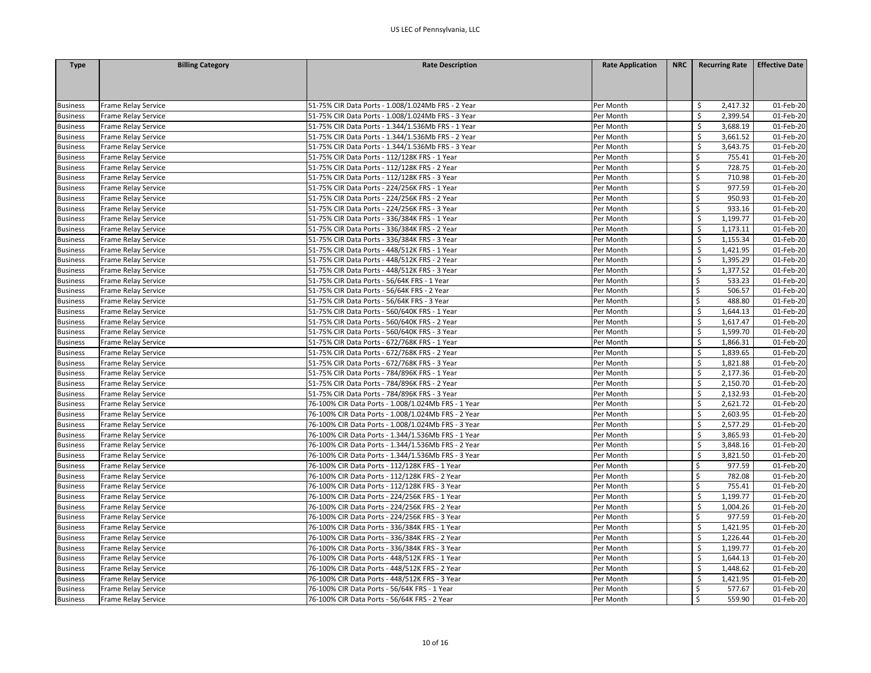| <b>Type</b>     | <b>Billing Category</b> | <b>Rate Description</b>                             | <b>Rate Application</b> | <b>NRC</b> | <b>Recurring Rate</b> | <b>Effective Date</b> |
|-----------------|-------------------------|-----------------------------------------------------|-------------------------|------------|-----------------------|-----------------------|
|                 |                         |                                                     |                         |            |                       |                       |
|                 |                         |                                                     |                         |            |                       |                       |
|                 |                         |                                                     |                         |            |                       |                       |
| <b>Business</b> | Frame Relay Service     | 51-75% CIR Data Ports - 1.008/1.024Mb FRS - 2 Year  | Per Month               |            | 2,417.32<br>\$.       | 01-Feb-20             |
| <b>Business</b> | Frame Relay Service     | 51-75% CIR Data Ports - 1.008/1.024Mb FRS - 3 Year  | Per Month               |            | Ś<br>2,399.54         | 01-Feb-20             |
| <b>Business</b> | Frame Relay Service     | 51-75% CIR Data Ports - 1.344/1.536Mb FRS - 1 Year  | Per Month               |            | 3,688.19<br>\$        | 01-Feb-20             |
| <b>Business</b> | Frame Relay Service     | 51-75% CIR Data Ports - 1.344/1.536Mb FRS - 2 Year  | Per Month               |            | \$<br>3,661.52        | 01-Feb-20             |
| <b>Business</b> | Frame Relay Service     | 51-75% CIR Data Ports - 1.344/1.536Mb FRS - 3 Year  | Per Month               |            | \$<br>3,643.75        | 01-Feb-20             |
| <b>Business</b> | Frame Relay Service     | 51-75% CIR Data Ports - 112/128K FRS - 1 Year       | Per Month               |            | \$<br>755.41          | 01-Feb-20             |
| <b>Business</b> | Frame Relay Service     | 51-75% CIR Data Ports - 112/128K FRS - 2 Year       | Per Month               |            | Ś<br>728.75           | 01-Feb-20             |
| <b>Business</b> | Frame Relay Service     | 51-75% CIR Data Ports - 112/128K FRS - 3 Year       | Per Month               |            | Ś<br>710.98           | 01-Feb-20             |
| <b>Business</b> | Frame Relay Service     | 51-75% CIR Data Ports - 224/256K FRS - 1 Year       | Per Month               |            | \$<br>977.59          | 01-Feb-20             |
| <b>Business</b> | Frame Relay Service     | 51-75% CIR Data Ports - 224/256K FRS - 2 Year       | Per Month               |            | \$<br>950.93          | 01-Feb-20             |
| <b>Business</b> | Frame Relay Service     | 51-75% CIR Data Ports - 224/256K FRS - 3 Year       | Per Month               |            | \$<br>933.16          | 01-Feb-20             |
| <b>Business</b> | Frame Relay Service     | 51-75% CIR Data Ports - 336/384K FRS - 1 Year       | Per Month               |            | \$<br>1,199.77        | 01-Feb-20             |
| <b>Business</b> | Frame Relay Service     | 51-75% CIR Data Ports - 336/384K FRS - 2 Year       | Per Month               |            | \$<br>1,173.11        | 01-Feb-20             |
| <b>Business</b> | Frame Relay Service     | 51-75% CIR Data Ports - 336/384K FRS - 3 Year       | Per Month               |            | \$<br>1,155.34        | 01-Feb-20             |
| <b>Business</b> | Frame Relay Service     | 51-75% CIR Data Ports - 448/512K FRS - 1 Year       | Per Month               |            | \$<br>1,421.95        | 01-Feb-20             |
| <b>Business</b> | Frame Relay Service     | 51-75% CIR Data Ports - 448/512K FRS - 2 Year       | Per Month               |            | \$<br>1,395.29        | 01-Feb-20             |
| <b>Business</b> | Frame Relay Service     | 51-75% CIR Data Ports - 448/512K FRS - 3 Year       | Per Month               |            | \$<br>1,377.52        | 01-Feb-20             |
| <b>Business</b> | Frame Relay Service     | 51-75% CIR Data Ports - 56/64K FRS - 1 Year         | Per Month               |            | Ś<br>533.23           | 01-Feb-20             |
| <b>Business</b> | Frame Relay Service     | 51-75% CIR Data Ports - 56/64K FRS - 2 Year         | Per Month               |            | \$<br>506.57          | 01-Feb-20             |
| <b>Business</b> | Frame Relay Service     | 51-75% CIR Data Ports - 56/64K FRS - 3 Year         | Per Month               |            | 488.80<br>Ŝ           | 01-Feb-20             |
| <b>Business</b> | Frame Relay Service     | 51-75% CIR Data Ports - 560/640K FRS - 1 Year       | Per Month               |            | -\$<br>1,644.13       | 01-Feb-20             |
| <b>Business</b> | Frame Relay Service     | 51-75% CIR Data Ports - 560/640K FRS - 2 Year       | Per Month               |            | \$<br>1,617.47        | 01-Feb-20             |
| <b>Business</b> | Frame Relay Service     | 51-75% CIR Data Ports - 560/640K FRS - 3 Year       | Per Month               |            | \$<br>1,599.70        | 01-Feb-20             |
| <b>Business</b> | Frame Relay Service     | 51-75% CIR Data Ports - 672/768K FRS - 1 Year       | Per Month               |            | \$<br>1,866.31        | 01-Feb-20             |
| <b>Business</b> | Frame Relay Service     | 51-75% CIR Data Ports - 672/768K FRS - 2 Year       | Per Month               |            | \$<br>1,839.65        | 01-Feb-20             |
| <b>Business</b> | Frame Relay Service     | 51-75% CIR Data Ports - 672/768K FRS - 3 Year       | Per Month               |            | \$<br>1,821.88        | 01-Feb-20             |
| <b>Business</b> | Frame Relay Service     | 51-75% CIR Data Ports - 784/896K FRS - 1 Year       | Per Month               |            | \$<br>2,177.36        | 01-Feb-20             |
| <b>Business</b> | Frame Relay Service     | 51-75% CIR Data Ports - 784/896K FRS - 2 Year       | Per Month               |            | \$<br>2,150.70        | 01-Feb-20             |
| <b>Business</b> | Frame Relay Service     | 51-75% CIR Data Ports - 784/896K FRS - 3 Year       | Per Month               |            | \$<br>2,132.93        | 01-Feb-20             |
| <b>Business</b> | Frame Relay Service     | 76-100% CIR Data Ports - 1.008/1.024Mb FRS - 1 Year | Per Month               |            | Ś<br>2,621.72         | 01-Feb-20             |
| <b>Business</b> | Frame Relay Service     | 76-100% CIR Data Ports - 1.008/1.024Mb FRS - 2 Year | Per Month               |            | Ś<br>2,603.95         | 01-Feb-20             |
| <b>Business</b> | Frame Relay Service     | 76-100% CIR Data Ports - 1.008/1.024Mb FRS - 3 Year | Per Month               |            | -\$<br>2,577.29       | 01-Feb-20             |
| <b>Business</b> | Frame Relay Service     | 76-100% CIR Data Ports - 1.344/1.536Mb FRS - 1 Year | Per Month               |            | \$<br>3,865.93        | 01-Feb-20             |
| <b>Business</b> | Frame Relay Service     | 76-100% CIR Data Ports - 1.344/1.536Mb FRS - 2 Year | Per Month               |            | \$<br>3,848.16        | 01-Feb-20             |
| <b>Business</b> | Frame Relay Service     | 76-100% CIR Data Ports - 1.344/1.536Mb FRS - 3 Year | Per Month               |            | -\$<br>3,821.50       | 01-Feb-20             |
| <b>Business</b> | Frame Relay Service     | 76-100% CIR Data Ports - 112/128K FRS - 1 Year      | Per Month               |            | 977.59<br>Ŝ           | 01-Feb-20             |
| <b>Business</b> | Frame Relay Service     | 76-100% CIR Data Ports - 112/128K FRS - 2 Year      | Per Month               |            | Ś<br>782.08           | 01-Feb-20             |
| <b>Business</b> | Frame Relay Service     | 76-100% CIR Data Ports - 112/128K FRS - 3 Year      | Per Month               |            | \$<br>755.41          | 01-Feb-20             |
| <b>Business</b> | Frame Relay Service     | 76-100% CIR Data Ports - 224/256K FRS - 1 Year      | Per Month               |            | \$<br>1,199.77        | 01-Feb-20             |
| <b>Business</b> | Frame Relay Service     | 76-100% CIR Data Ports - 224/256K FRS - 2 Year      | Per Month               |            | Ŝ.<br>1,004.26        | 01-Feb-20             |
| <b>Business</b> | Frame Relay Service     | 76-100% CIR Data Ports - 224/256K FRS - 3 Year      | Per Month               |            | 977.59<br>\$          | 01-Feb-20             |
| <b>Business</b> | Frame Relay Service     | 76-100% CIR Data Ports - 336/384K FRS - 1 Year      | Per Month               |            | \$<br>1,421.95        | 01-Feb-20             |
| <b>Business</b> | Frame Relay Service     | 76-100% CIR Data Ports - 336/384K FRS - 2 Year      | Per Month               |            | 1,226.44              | 01-Feb-20             |
| <b>Business</b> | Frame Relay Service     | 76-100% CIR Data Ports - 336/384K FRS - 3 Year      | Per Month               |            | \$<br>1,199.77        | 01-Feb-20             |
| <b>Business</b> | Frame Relay Service     | 76-100% CIR Data Ports - 448/512K FRS - 1 Year      | Per Month               |            | -\$<br>1,644.13       | 01-Feb-20             |
| <b>Business</b> | Frame Relay Service     | 76-100% CIR Data Ports - 448/512K FRS - 2 Year      | Per Month               |            | \$<br>1,448.62        | 01-Feb-20             |
| <b>Business</b> | Frame Relay Service     | 76-100% CIR Data Ports - 448/512K FRS - 3 Year      | Per Month               |            | \$<br>1,421.95        | 01-Feb-20             |
| <b>Business</b> | Frame Relay Service     | 76-100% CIR Data Ports - 56/64K FRS - 1 Year        | Per Month               |            | Ś<br>577.67           | 01-Feb-20             |
| <b>Business</b> | Frame Relay Service     | 76-100% CIR Data Ports - 56/64K FRS - 2 Year        | Per Month               |            | Ś<br>559.90           | 01-Feb-20             |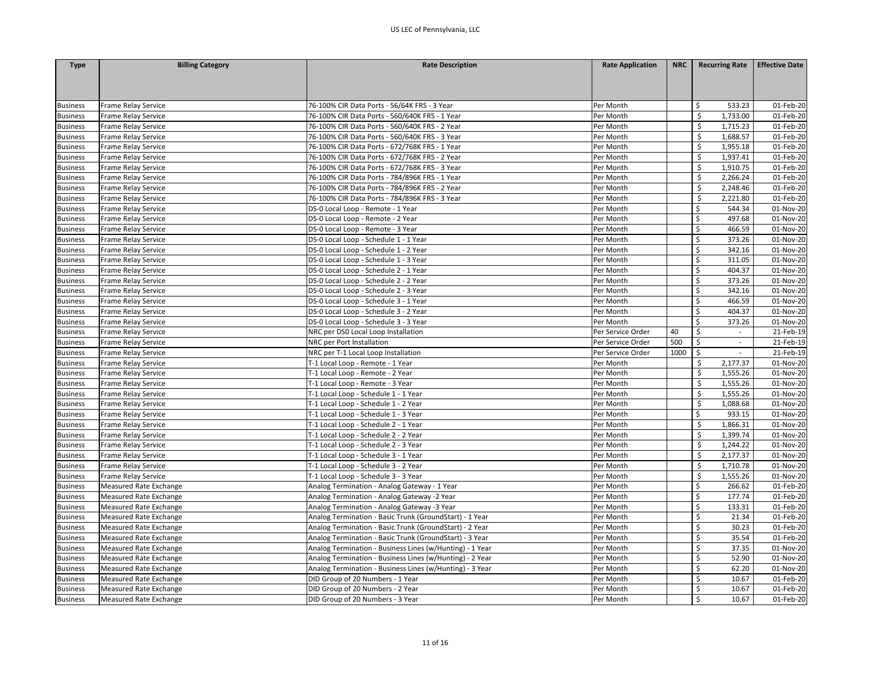| Frame Relay Service<br>76-100% CIR Data Ports - 56/64K FRS - 3 Year<br>Per Month<br>\$<br>533.23<br>01-Feb-20<br>$\zeta$<br>76-100% CIR Data Ports - 560/640K FRS - 1 Year<br>Per Month<br>1,733.00<br>01-Feb-20<br>Frame Relay Service<br>\$<br>Frame Relay Service<br>76-100% CIR Data Ports - 560/640K FRS - 2 Year<br>Per Month<br>1,715.23<br>01-Feb-20<br>\$<br>1,688.57<br>Frame Relay Service<br>76-100% CIR Data Ports - 560/640K FRS - 3 Year<br>Per Month<br>01-Feb-20<br>76-100% CIR Data Ports - 672/768K FRS - 1 Year<br>\$<br>1,955.18<br>01-Feb-20<br>Frame Relay Service<br>Per Month<br>$\zeta$<br>Frame Relay Service<br>76-100% CIR Data Ports - 672/768K FRS - 2 Year<br>Per Month<br>1,937.41<br>01-Feb-20<br>\$<br>1,910.75<br>76-100% CIR Data Ports - 672/768K FRS - 3 Year<br>Per Month<br>01-Feb-20<br>Frame Relay Service<br>$\zeta$<br>76-100% CIR Data Ports - 784/896K FRS - 1 Year<br>Per Month<br>2,266.24<br>01-Feb-20<br>Frame Relay Service<br>\$<br>Frame Relay Service<br>76-100% CIR Data Ports - 784/896K FRS - 2 Year<br>Per Month<br>2,248.46<br>01-Feb-20<br>\$<br>2,221.80<br>76-100% CIR Data Ports - 784/896K FRS - 3 Year<br>01-Feb-20<br>Frame Relay Service<br>Per Month<br>\$<br>DS-0 Local Loop - Remote - 1 Year<br>544.34<br>01-Nov-20<br>Frame Relay Service<br>Per Month<br>DS-0 Local Loop - Remote - 2 Year<br>497.68<br>01-Nov-20<br>Frame Relay Service<br>Per Month<br>\$<br>\$<br>Frame Relay Service<br>DS-0 Local Loop - Remote - 3 Year<br>Per Month<br>466.59<br>01-Nov-20<br>$\zeta$<br>373.26<br>01-Nov-20<br>Frame Relay Service<br>DS-0 Local Loop - Schedule 1 - 1 Year<br>Per Month<br>\$<br>DS-0 Local Loop - Schedule 1 - 2 Year<br>342.16<br>Frame Relay Service<br>Per Month<br>01-Nov-20<br>Ś<br>311.05<br>01-Nov-20<br>Frame Relay Service<br>DS-0 Local Loop - Schedule 1 - 3 Year<br>Per Month<br>\$<br>DS-0 Local Loop - Schedule 2 - 1 Year<br>Per Month<br>404.37<br>01-Nov-20<br>Frame Relay Service<br>DS-0 Local Loop - Schedule 2 - 2 Year<br>\$<br>373.26<br>01-Nov-20<br>Frame Relay Service<br>Per Month<br>\$<br>342.16<br>DS-0 Local Loop - Schedule 2 - 3 Year<br>01-Nov-20<br>Frame Relay Service<br>Per Month<br>\$<br>466.59<br><b>Business</b><br>Frame Relay Service<br>DS-0 Local Loop - Schedule 3 - 1 Year<br>Per Month<br>01-Nov-20<br>\$<br>404.37<br>01-Nov-20<br><b>Business</b><br>Frame Relay Service<br>DS-0 Local Loop - Schedule 3 - 2 Year<br>Per Month<br>\$<br>373.26<br><b>Business</b><br>Frame Relay Service<br>DS-0 Local Loop - Schedule 3 - 3 Year<br>Per Month<br>01-Nov-20<br>\$<br><b>Business</b><br>Frame Relay Service<br>NRC per DS0 Local Loop Installation<br>Per Service Order<br>40<br>21-Feb-19<br>$\sim$<br>500<br>\$<br><b>Business</b><br>Frame Relay Service<br>NRC per Port Installation<br>Per Service Order<br>21-Feb-19<br>$\mathsf{S}$<br>1000<br>21-Feb-19<br><b>Business</b><br>Frame Relay Service<br>NRC per T-1 Local Loop Installation<br>Per Service Order<br>S.<br>01-Nov-20<br><b>Business</b><br>Frame Relay Service<br>T-1 Local Loop - Remote - 1 Year<br>Per Month<br>2,177.37<br>\$<br><b>Business</b><br>Frame Relay Service<br>T-1 Local Loop - Remote - 2 Year<br>Per Month<br>1,555.26<br>01-Nov-20<br>\$<br>1,555.26<br>01-Nov-20<br><b>Business</b><br>Frame Relay Service<br>T-1 Local Loop - Remote - 3 Year<br>Per Month<br>T-1 Local Loop - Schedule 1 - 1 Year<br>\$<br>1,555.26<br>01-Nov-20<br><b>Business</b><br>Frame Relay Service<br>Per Month<br>$\zeta$<br><b>Business</b><br>Frame Relay Service<br>T-1 Local Loop - Schedule 1 - 2 Year<br>Per Month<br>1,088.68<br>01-Nov-20<br>Ś<br>933.15<br>01-Nov-20<br>Frame Relay Service<br>T-1 Local Loop - Schedule 1 - 3 Year<br>Per Month<br><b>Business</b><br>\$<br><b>Business</b><br>Frame Relay Service<br>T-1 Local Loop - Schedule 2 - 1 Year<br>Per Month<br>1,866.31<br>01-Nov-20<br>\$<br><b>Business</b><br>Frame Relay Service<br>T-1 Local Loop - Schedule 2 - 2 Year<br>Per Month<br>1,399.74<br>01-Nov-20<br>\$<br>1,244.22<br>T-1 Local Loop - Schedule 2 - 3 Year<br>01-Nov-20<br><b>Business</b><br>Frame Relay Service<br>Per Month<br>\$<br>T-1 Local Loop - Schedule 3 - 1 Year<br>2,177.37<br>01-Nov-20<br><b>Business</b><br>Frame Relay Service<br>Per Month<br>\$<br>Frame Relay Service<br>T-1 Local Loop - Schedule 3 - 2 Year<br>Per Month<br>1,710.78<br>01-Nov-20<br><b>Business</b><br>$\zeta$<br>T-1 Local Loop - Schedule 3 - 3 Year<br>1,555.26<br><b>Business</b><br>Frame Relay Service<br>Per Month<br>01-Nov-20<br>\$<br>Per Month<br>266.62<br>01-Feb-20<br><b>Business</b><br>Measured Rate Exchange<br>Analog Termination - Analog Gateway - 1 Year | <b>Type</b>     | <b>Billing Category</b> | <b>Rate Description</b> | <b>Rate Application</b> | <b>NRC</b> | <b>Recurring Rate</b> | <b>Effective Date</b> |
|------------------------------------------------------------------------------------------------------------------------------------------------------------------------------------------------------------------------------------------------------------------------------------------------------------------------------------------------------------------------------------------------------------------------------------------------------------------------------------------------------------------------------------------------------------------------------------------------------------------------------------------------------------------------------------------------------------------------------------------------------------------------------------------------------------------------------------------------------------------------------------------------------------------------------------------------------------------------------------------------------------------------------------------------------------------------------------------------------------------------------------------------------------------------------------------------------------------------------------------------------------------------------------------------------------------------------------------------------------------------------------------------------------------------------------------------------------------------------------------------------------------------------------------------------------------------------------------------------------------------------------------------------------------------------------------------------------------------------------------------------------------------------------------------------------------------------------------------------------------------------------------------------------------------------------------------------------------------------------------------------------------------------------------------------------------------------------------------------------------------------------------------------------------------------------------------------------------------------------------------------------------------------------------------------------------------------------------------------------------------------------------------------------------------------------------------------------------------------------------------------------------------------------------------------------------------------------------------------------------------------------------------------------------------------------------------------------------------------------------------------------------------------------------------------------------------------------------------------------------------------------------------------------------------------------------------------------------------------------------------------------------------------------------------------------------------------------------------------------------------------------------------------------------------------------------------------------------------------------------------------------------------------------------------------------------------------------------------------------------------------------------------------------------------------------------------------------------------------------------------------------------------------------------------------------------------------------------------------------------------------------------------------------------------------------------------------------------------------------------------------------------------------------------------------------------------------------------------------------------------------------------------------------------------------------------------------------------------------------------------------------------------------------------------------------------------------------------------------------------------------------------------------------------------------------------------------------------------------------------------------------------------------------------------------------------------------------------------------------------------------------------------------------------------------------------------------------------------------------------------------------------------------------------------------------------------------------------------------------------------------------------------------------------------------------------------------------------------|-----------------|-------------------------|-------------------------|-------------------------|------------|-----------------------|-----------------------|
|                                                                                                                                                                                                                                                                                                                                                                                                                                                                                                                                                                                                                                                                                                                                                                                                                                                                                                                                                                                                                                                                                                                                                                                                                                                                                                                                                                                                                                                                                                                                                                                                                                                                                                                                                                                                                                                                                                                                                                                                                                                                                                                                                                                                                                                                                                                                                                                                                                                                                                                                                                                                                                                                                                                                                                                                                                                                                                                                                                                                                                                                                                                                                                                                                                                                                                                                                                                                                                                                                                                                                                                                                                                                                                                                                                                                                                                                                                                                                                                                                                                                                                                                                                                                                                                                                                                                                                                                                                                                                                                                                                                                                                                                                                                        |                 |                         |                         |                         |            |                       |                       |
|                                                                                                                                                                                                                                                                                                                                                                                                                                                                                                                                                                                                                                                                                                                                                                                                                                                                                                                                                                                                                                                                                                                                                                                                                                                                                                                                                                                                                                                                                                                                                                                                                                                                                                                                                                                                                                                                                                                                                                                                                                                                                                                                                                                                                                                                                                                                                                                                                                                                                                                                                                                                                                                                                                                                                                                                                                                                                                                                                                                                                                                                                                                                                                                                                                                                                                                                                                                                                                                                                                                                                                                                                                                                                                                                                                                                                                                                                                                                                                                                                                                                                                                                                                                                                                                                                                                                                                                                                                                                                                                                                                                                                                                                                                                        |                 |                         |                         |                         |            |                       |                       |
|                                                                                                                                                                                                                                                                                                                                                                                                                                                                                                                                                                                                                                                                                                                                                                                                                                                                                                                                                                                                                                                                                                                                                                                                                                                                                                                                                                                                                                                                                                                                                                                                                                                                                                                                                                                                                                                                                                                                                                                                                                                                                                                                                                                                                                                                                                                                                                                                                                                                                                                                                                                                                                                                                                                                                                                                                                                                                                                                                                                                                                                                                                                                                                                                                                                                                                                                                                                                                                                                                                                                                                                                                                                                                                                                                                                                                                                                                                                                                                                                                                                                                                                                                                                                                                                                                                                                                                                                                                                                                                                                                                                                                                                                                                                        |                 |                         |                         |                         |            |                       |                       |
|                                                                                                                                                                                                                                                                                                                                                                                                                                                                                                                                                                                                                                                                                                                                                                                                                                                                                                                                                                                                                                                                                                                                                                                                                                                                                                                                                                                                                                                                                                                                                                                                                                                                                                                                                                                                                                                                                                                                                                                                                                                                                                                                                                                                                                                                                                                                                                                                                                                                                                                                                                                                                                                                                                                                                                                                                                                                                                                                                                                                                                                                                                                                                                                                                                                                                                                                                                                                                                                                                                                                                                                                                                                                                                                                                                                                                                                                                                                                                                                                                                                                                                                                                                                                                                                                                                                                                                                                                                                                                                                                                                                                                                                                                                                        | <b>Business</b> |                         |                         |                         |            |                       |                       |
|                                                                                                                                                                                                                                                                                                                                                                                                                                                                                                                                                                                                                                                                                                                                                                                                                                                                                                                                                                                                                                                                                                                                                                                                                                                                                                                                                                                                                                                                                                                                                                                                                                                                                                                                                                                                                                                                                                                                                                                                                                                                                                                                                                                                                                                                                                                                                                                                                                                                                                                                                                                                                                                                                                                                                                                                                                                                                                                                                                                                                                                                                                                                                                                                                                                                                                                                                                                                                                                                                                                                                                                                                                                                                                                                                                                                                                                                                                                                                                                                                                                                                                                                                                                                                                                                                                                                                                                                                                                                                                                                                                                                                                                                                                                        | <b>Business</b> |                         |                         |                         |            |                       |                       |
|                                                                                                                                                                                                                                                                                                                                                                                                                                                                                                                                                                                                                                                                                                                                                                                                                                                                                                                                                                                                                                                                                                                                                                                                                                                                                                                                                                                                                                                                                                                                                                                                                                                                                                                                                                                                                                                                                                                                                                                                                                                                                                                                                                                                                                                                                                                                                                                                                                                                                                                                                                                                                                                                                                                                                                                                                                                                                                                                                                                                                                                                                                                                                                                                                                                                                                                                                                                                                                                                                                                                                                                                                                                                                                                                                                                                                                                                                                                                                                                                                                                                                                                                                                                                                                                                                                                                                                                                                                                                                                                                                                                                                                                                                                                        | <b>Business</b> |                         |                         |                         |            |                       |                       |
|                                                                                                                                                                                                                                                                                                                                                                                                                                                                                                                                                                                                                                                                                                                                                                                                                                                                                                                                                                                                                                                                                                                                                                                                                                                                                                                                                                                                                                                                                                                                                                                                                                                                                                                                                                                                                                                                                                                                                                                                                                                                                                                                                                                                                                                                                                                                                                                                                                                                                                                                                                                                                                                                                                                                                                                                                                                                                                                                                                                                                                                                                                                                                                                                                                                                                                                                                                                                                                                                                                                                                                                                                                                                                                                                                                                                                                                                                                                                                                                                                                                                                                                                                                                                                                                                                                                                                                                                                                                                                                                                                                                                                                                                                                                        | <b>Business</b> |                         |                         |                         |            |                       |                       |
|                                                                                                                                                                                                                                                                                                                                                                                                                                                                                                                                                                                                                                                                                                                                                                                                                                                                                                                                                                                                                                                                                                                                                                                                                                                                                                                                                                                                                                                                                                                                                                                                                                                                                                                                                                                                                                                                                                                                                                                                                                                                                                                                                                                                                                                                                                                                                                                                                                                                                                                                                                                                                                                                                                                                                                                                                                                                                                                                                                                                                                                                                                                                                                                                                                                                                                                                                                                                                                                                                                                                                                                                                                                                                                                                                                                                                                                                                                                                                                                                                                                                                                                                                                                                                                                                                                                                                                                                                                                                                                                                                                                                                                                                                                                        | <b>Business</b> |                         |                         |                         |            |                       |                       |
|                                                                                                                                                                                                                                                                                                                                                                                                                                                                                                                                                                                                                                                                                                                                                                                                                                                                                                                                                                                                                                                                                                                                                                                                                                                                                                                                                                                                                                                                                                                                                                                                                                                                                                                                                                                                                                                                                                                                                                                                                                                                                                                                                                                                                                                                                                                                                                                                                                                                                                                                                                                                                                                                                                                                                                                                                                                                                                                                                                                                                                                                                                                                                                                                                                                                                                                                                                                                                                                                                                                                                                                                                                                                                                                                                                                                                                                                                                                                                                                                                                                                                                                                                                                                                                                                                                                                                                                                                                                                                                                                                                                                                                                                                                                        | <b>Business</b> |                         |                         |                         |            |                       |                       |
|                                                                                                                                                                                                                                                                                                                                                                                                                                                                                                                                                                                                                                                                                                                                                                                                                                                                                                                                                                                                                                                                                                                                                                                                                                                                                                                                                                                                                                                                                                                                                                                                                                                                                                                                                                                                                                                                                                                                                                                                                                                                                                                                                                                                                                                                                                                                                                                                                                                                                                                                                                                                                                                                                                                                                                                                                                                                                                                                                                                                                                                                                                                                                                                                                                                                                                                                                                                                                                                                                                                                                                                                                                                                                                                                                                                                                                                                                                                                                                                                                                                                                                                                                                                                                                                                                                                                                                                                                                                                                                                                                                                                                                                                                                                        | <b>Business</b> |                         |                         |                         |            |                       |                       |
|                                                                                                                                                                                                                                                                                                                                                                                                                                                                                                                                                                                                                                                                                                                                                                                                                                                                                                                                                                                                                                                                                                                                                                                                                                                                                                                                                                                                                                                                                                                                                                                                                                                                                                                                                                                                                                                                                                                                                                                                                                                                                                                                                                                                                                                                                                                                                                                                                                                                                                                                                                                                                                                                                                                                                                                                                                                                                                                                                                                                                                                                                                                                                                                                                                                                                                                                                                                                                                                                                                                                                                                                                                                                                                                                                                                                                                                                                                                                                                                                                                                                                                                                                                                                                                                                                                                                                                                                                                                                                                                                                                                                                                                                                                                        | <b>Business</b> |                         |                         |                         |            |                       |                       |
|                                                                                                                                                                                                                                                                                                                                                                                                                                                                                                                                                                                                                                                                                                                                                                                                                                                                                                                                                                                                                                                                                                                                                                                                                                                                                                                                                                                                                                                                                                                                                                                                                                                                                                                                                                                                                                                                                                                                                                                                                                                                                                                                                                                                                                                                                                                                                                                                                                                                                                                                                                                                                                                                                                                                                                                                                                                                                                                                                                                                                                                                                                                                                                                                                                                                                                                                                                                                                                                                                                                                                                                                                                                                                                                                                                                                                                                                                                                                                                                                                                                                                                                                                                                                                                                                                                                                                                                                                                                                                                                                                                                                                                                                                                                        | <b>Business</b> |                         |                         |                         |            |                       |                       |
|                                                                                                                                                                                                                                                                                                                                                                                                                                                                                                                                                                                                                                                                                                                                                                                                                                                                                                                                                                                                                                                                                                                                                                                                                                                                                                                                                                                                                                                                                                                                                                                                                                                                                                                                                                                                                                                                                                                                                                                                                                                                                                                                                                                                                                                                                                                                                                                                                                                                                                                                                                                                                                                                                                                                                                                                                                                                                                                                                                                                                                                                                                                                                                                                                                                                                                                                                                                                                                                                                                                                                                                                                                                                                                                                                                                                                                                                                                                                                                                                                                                                                                                                                                                                                                                                                                                                                                                                                                                                                                                                                                                                                                                                                                                        | <b>Business</b> |                         |                         |                         |            |                       |                       |
|                                                                                                                                                                                                                                                                                                                                                                                                                                                                                                                                                                                                                                                                                                                                                                                                                                                                                                                                                                                                                                                                                                                                                                                                                                                                                                                                                                                                                                                                                                                                                                                                                                                                                                                                                                                                                                                                                                                                                                                                                                                                                                                                                                                                                                                                                                                                                                                                                                                                                                                                                                                                                                                                                                                                                                                                                                                                                                                                                                                                                                                                                                                                                                                                                                                                                                                                                                                                                                                                                                                                                                                                                                                                                                                                                                                                                                                                                                                                                                                                                                                                                                                                                                                                                                                                                                                                                                                                                                                                                                                                                                                                                                                                                                                        | <b>Business</b> |                         |                         |                         |            |                       |                       |
|                                                                                                                                                                                                                                                                                                                                                                                                                                                                                                                                                                                                                                                                                                                                                                                                                                                                                                                                                                                                                                                                                                                                                                                                                                                                                                                                                                                                                                                                                                                                                                                                                                                                                                                                                                                                                                                                                                                                                                                                                                                                                                                                                                                                                                                                                                                                                                                                                                                                                                                                                                                                                                                                                                                                                                                                                                                                                                                                                                                                                                                                                                                                                                                                                                                                                                                                                                                                                                                                                                                                                                                                                                                                                                                                                                                                                                                                                                                                                                                                                                                                                                                                                                                                                                                                                                                                                                                                                                                                                                                                                                                                                                                                                                                        | <b>Business</b> |                         |                         |                         |            |                       |                       |
|                                                                                                                                                                                                                                                                                                                                                                                                                                                                                                                                                                                                                                                                                                                                                                                                                                                                                                                                                                                                                                                                                                                                                                                                                                                                                                                                                                                                                                                                                                                                                                                                                                                                                                                                                                                                                                                                                                                                                                                                                                                                                                                                                                                                                                                                                                                                                                                                                                                                                                                                                                                                                                                                                                                                                                                                                                                                                                                                                                                                                                                                                                                                                                                                                                                                                                                                                                                                                                                                                                                                                                                                                                                                                                                                                                                                                                                                                                                                                                                                                                                                                                                                                                                                                                                                                                                                                                                                                                                                                                                                                                                                                                                                                                                        | <b>Business</b> |                         |                         |                         |            |                       |                       |
|                                                                                                                                                                                                                                                                                                                                                                                                                                                                                                                                                                                                                                                                                                                                                                                                                                                                                                                                                                                                                                                                                                                                                                                                                                                                                                                                                                                                                                                                                                                                                                                                                                                                                                                                                                                                                                                                                                                                                                                                                                                                                                                                                                                                                                                                                                                                                                                                                                                                                                                                                                                                                                                                                                                                                                                                                                                                                                                                                                                                                                                                                                                                                                                                                                                                                                                                                                                                                                                                                                                                                                                                                                                                                                                                                                                                                                                                                                                                                                                                                                                                                                                                                                                                                                                                                                                                                                                                                                                                                                                                                                                                                                                                                                                        | <b>Business</b> |                         |                         |                         |            |                       |                       |
|                                                                                                                                                                                                                                                                                                                                                                                                                                                                                                                                                                                                                                                                                                                                                                                                                                                                                                                                                                                                                                                                                                                                                                                                                                                                                                                                                                                                                                                                                                                                                                                                                                                                                                                                                                                                                                                                                                                                                                                                                                                                                                                                                                                                                                                                                                                                                                                                                                                                                                                                                                                                                                                                                                                                                                                                                                                                                                                                                                                                                                                                                                                                                                                                                                                                                                                                                                                                                                                                                                                                                                                                                                                                                                                                                                                                                                                                                                                                                                                                                                                                                                                                                                                                                                                                                                                                                                                                                                                                                                                                                                                                                                                                                                                        | <b>Business</b> |                         |                         |                         |            |                       |                       |
|                                                                                                                                                                                                                                                                                                                                                                                                                                                                                                                                                                                                                                                                                                                                                                                                                                                                                                                                                                                                                                                                                                                                                                                                                                                                                                                                                                                                                                                                                                                                                                                                                                                                                                                                                                                                                                                                                                                                                                                                                                                                                                                                                                                                                                                                                                                                                                                                                                                                                                                                                                                                                                                                                                                                                                                                                                                                                                                                                                                                                                                                                                                                                                                                                                                                                                                                                                                                                                                                                                                                                                                                                                                                                                                                                                                                                                                                                                                                                                                                                                                                                                                                                                                                                                                                                                                                                                                                                                                                                                                                                                                                                                                                                                                        | <b>Business</b> |                         |                         |                         |            |                       |                       |
|                                                                                                                                                                                                                                                                                                                                                                                                                                                                                                                                                                                                                                                                                                                                                                                                                                                                                                                                                                                                                                                                                                                                                                                                                                                                                                                                                                                                                                                                                                                                                                                                                                                                                                                                                                                                                                                                                                                                                                                                                                                                                                                                                                                                                                                                                                                                                                                                                                                                                                                                                                                                                                                                                                                                                                                                                                                                                                                                                                                                                                                                                                                                                                                                                                                                                                                                                                                                                                                                                                                                                                                                                                                                                                                                                                                                                                                                                                                                                                                                                                                                                                                                                                                                                                                                                                                                                                                                                                                                                                                                                                                                                                                                                                                        | <b>Business</b> |                         |                         |                         |            |                       |                       |
|                                                                                                                                                                                                                                                                                                                                                                                                                                                                                                                                                                                                                                                                                                                                                                                                                                                                                                                                                                                                                                                                                                                                                                                                                                                                                                                                                                                                                                                                                                                                                                                                                                                                                                                                                                                                                                                                                                                                                                                                                                                                                                                                                                                                                                                                                                                                                                                                                                                                                                                                                                                                                                                                                                                                                                                                                                                                                                                                                                                                                                                                                                                                                                                                                                                                                                                                                                                                                                                                                                                                                                                                                                                                                                                                                                                                                                                                                                                                                                                                                                                                                                                                                                                                                                                                                                                                                                                                                                                                                                                                                                                                                                                                                                                        | <b>Business</b> |                         |                         |                         |            |                       |                       |
|                                                                                                                                                                                                                                                                                                                                                                                                                                                                                                                                                                                                                                                                                                                                                                                                                                                                                                                                                                                                                                                                                                                                                                                                                                                                                                                                                                                                                                                                                                                                                                                                                                                                                                                                                                                                                                                                                                                                                                                                                                                                                                                                                                                                                                                                                                                                                                                                                                                                                                                                                                                                                                                                                                                                                                                                                                                                                                                                                                                                                                                                                                                                                                                                                                                                                                                                                                                                                                                                                                                                                                                                                                                                                                                                                                                                                                                                                                                                                                                                                                                                                                                                                                                                                                                                                                                                                                                                                                                                                                                                                                                                                                                                                                                        | <b>Business</b> |                         |                         |                         |            |                       |                       |
|                                                                                                                                                                                                                                                                                                                                                                                                                                                                                                                                                                                                                                                                                                                                                                                                                                                                                                                                                                                                                                                                                                                                                                                                                                                                                                                                                                                                                                                                                                                                                                                                                                                                                                                                                                                                                                                                                                                                                                                                                                                                                                                                                                                                                                                                                                                                                                                                                                                                                                                                                                                                                                                                                                                                                                                                                                                                                                                                                                                                                                                                                                                                                                                                                                                                                                                                                                                                                                                                                                                                                                                                                                                                                                                                                                                                                                                                                                                                                                                                                                                                                                                                                                                                                                                                                                                                                                                                                                                                                                                                                                                                                                                                                                                        |                 |                         |                         |                         |            |                       |                       |
|                                                                                                                                                                                                                                                                                                                                                                                                                                                                                                                                                                                                                                                                                                                                                                                                                                                                                                                                                                                                                                                                                                                                                                                                                                                                                                                                                                                                                                                                                                                                                                                                                                                                                                                                                                                                                                                                                                                                                                                                                                                                                                                                                                                                                                                                                                                                                                                                                                                                                                                                                                                                                                                                                                                                                                                                                                                                                                                                                                                                                                                                                                                                                                                                                                                                                                                                                                                                                                                                                                                                                                                                                                                                                                                                                                                                                                                                                                                                                                                                                                                                                                                                                                                                                                                                                                                                                                                                                                                                                                                                                                                                                                                                                                                        |                 |                         |                         |                         |            |                       |                       |
|                                                                                                                                                                                                                                                                                                                                                                                                                                                                                                                                                                                                                                                                                                                                                                                                                                                                                                                                                                                                                                                                                                                                                                                                                                                                                                                                                                                                                                                                                                                                                                                                                                                                                                                                                                                                                                                                                                                                                                                                                                                                                                                                                                                                                                                                                                                                                                                                                                                                                                                                                                                                                                                                                                                                                                                                                                                                                                                                                                                                                                                                                                                                                                                                                                                                                                                                                                                                                                                                                                                                                                                                                                                                                                                                                                                                                                                                                                                                                                                                                                                                                                                                                                                                                                                                                                                                                                                                                                                                                                                                                                                                                                                                                                                        |                 |                         |                         |                         |            |                       |                       |
|                                                                                                                                                                                                                                                                                                                                                                                                                                                                                                                                                                                                                                                                                                                                                                                                                                                                                                                                                                                                                                                                                                                                                                                                                                                                                                                                                                                                                                                                                                                                                                                                                                                                                                                                                                                                                                                                                                                                                                                                                                                                                                                                                                                                                                                                                                                                                                                                                                                                                                                                                                                                                                                                                                                                                                                                                                                                                                                                                                                                                                                                                                                                                                                                                                                                                                                                                                                                                                                                                                                                                                                                                                                                                                                                                                                                                                                                                                                                                                                                                                                                                                                                                                                                                                                                                                                                                                                                                                                                                                                                                                                                                                                                                                                        |                 |                         |                         |                         |            |                       |                       |
|                                                                                                                                                                                                                                                                                                                                                                                                                                                                                                                                                                                                                                                                                                                                                                                                                                                                                                                                                                                                                                                                                                                                                                                                                                                                                                                                                                                                                                                                                                                                                                                                                                                                                                                                                                                                                                                                                                                                                                                                                                                                                                                                                                                                                                                                                                                                                                                                                                                                                                                                                                                                                                                                                                                                                                                                                                                                                                                                                                                                                                                                                                                                                                                                                                                                                                                                                                                                                                                                                                                                                                                                                                                                                                                                                                                                                                                                                                                                                                                                                                                                                                                                                                                                                                                                                                                                                                                                                                                                                                                                                                                                                                                                                                                        |                 |                         |                         |                         |            |                       |                       |
|                                                                                                                                                                                                                                                                                                                                                                                                                                                                                                                                                                                                                                                                                                                                                                                                                                                                                                                                                                                                                                                                                                                                                                                                                                                                                                                                                                                                                                                                                                                                                                                                                                                                                                                                                                                                                                                                                                                                                                                                                                                                                                                                                                                                                                                                                                                                                                                                                                                                                                                                                                                                                                                                                                                                                                                                                                                                                                                                                                                                                                                                                                                                                                                                                                                                                                                                                                                                                                                                                                                                                                                                                                                                                                                                                                                                                                                                                                                                                                                                                                                                                                                                                                                                                                                                                                                                                                                                                                                                                                                                                                                                                                                                                                                        |                 |                         |                         |                         |            |                       |                       |
|                                                                                                                                                                                                                                                                                                                                                                                                                                                                                                                                                                                                                                                                                                                                                                                                                                                                                                                                                                                                                                                                                                                                                                                                                                                                                                                                                                                                                                                                                                                                                                                                                                                                                                                                                                                                                                                                                                                                                                                                                                                                                                                                                                                                                                                                                                                                                                                                                                                                                                                                                                                                                                                                                                                                                                                                                                                                                                                                                                                                                                                                                                                                                                                                                                                                                                                                                                                                                                                                                                                                                                                                                                                                                                                                                                                                                                                                                                                                                                                                                                                                                                                                                                                                                                                                                                                                                                                                                                                                                                                                                                                                                                                                                                                        |                 |                         |                         |                         |            |                       |                       |
|                                                                                                                                                                                                                                                                                                                                                                                                                                                                                                                                                                                                                                                                                                                                                                                                                                                                                                                                                                                                                                                                                                                                                                                                                                                                                                                                                                                                                                                                                                                                                                                                                                                                                                                                                                                                                                                                                                                                                                                                                                                                                                                                                                                                                                                                                                                                                                                                                                                                                                                                                                                                                                                                                                                                                                                                                                                                                                                                                                                                                                                                                                                                                                                                                                                                                                                                                                                                                                                                                                                                                                                                                                                                                                                                                                                                                                                                                                                                                                                                                                                                                                                                                                                                                                                                                                                                                                                                                                                                                                                                                                                                                                                                                                                        |                 |                         |                         |                         |            |                       |                       |
|                                                                                                                                                                                                                                                                                                                                                                                                                                                                                                                                                                                                                                                                                                                                                                                                                                                                                                                                                                                                                                                                                                                                                                                                                                                                                                                                                                                                                                                                                                                                                                                                                                                                                                                                                                                                                                                                                                                                                                                                                                                                                                                                                                                                                                                                                                                                                                                                                                                                                                                                                                                                                                                                                                                                                                                                                                                                                                                                                                                                                                                                                                                                                                                                                                                                                                                                                                                                                                                                                                                                                                                                                                                                                                                                                                                                                                                                                                                                                                                                                                                                                                                                                                                                                                                                                                                                                                                                                                                                                                                                                                                                                                                                                                                        |                 |                         |                         |                         |            |                       |                       |
|                                                                                                                                                                                                                                                                                                                                                                                                                                                                                                                                                                                                                                                                                                                                                                                                                                                                                                                                                                                                                                                                                                                                                                                                                                                                                                                                                                                                                                                                                                                                                                                                                                                                                                                                                                                                                                                                                                                                                                                                                                                                                                                                                                                                                                                                                                                                                                                                                                                                                                                                                                                                                                                                                                                                                                                                                                                                                                                                                                                                                                                                                                                                                                                                                                                                                                                                                                                                                                                                                                                                                                                                                                                                                                                                                                                                                                                                                                                                                                                                                                                                                                                                                                                                                                                                                                                                                                                                                                                                                                                                                                                                                                                                                                                        |                 |                         |                         |                         |            |                       |                       |
|                                                                                                                                                                                                                                                                                                                                                                                                                                                                                                                                                                                                                                                                                                                                                                                                                                                                                                                                                                                                                                                                                                                                                                                                                                                                                                                                                                                                                                                                                                                                                                                                                                                                                                                                                                                                                                                                                                                                                                                                                                                                                                                                                                                                                                                                                                                                                                                                                                                                                                                                                                                                                                                                                                                                                                                                                                                                                                                                                                                                                                                                                                                                                                                                                                                                                                                                                                                                                                                                                                                                                                                                                                                                                                                                                                                                                                                                                                                                                                                                                                                                                                                                                                                                                                                                                                                                                                                                                                                                                                                                                                                                                                                                                                                        |                 |                         |                         |                         |            |                       |                       |
|                                                                                                                                                                                                                                                                                                                                                                                                                                                                                                                                                                                                                                                                                                                                                                                                                                                                                                                                                                                                                                                                                                                                                                                                                                                                                                                                                                                                                                                                                                                                                                                                                                                                                                                                                                                                                                                                                                                                                                                                                                                                                                                                                                                                                                                                                                                                                                                                                                                                                                                                                                                                                                                                                                                                                                                                                                                                                                                                                                                                                                                                                                                                                                                                                                                                                                                                                                                                                                                                                                                                                                                                                                                                                                                                                                                                                                                                                                                                                                                                                                                                                                                                                                                                                                                                                                                                                                                                                                                                                                                                                                                                                                                                                                                        |                 |                         |                         |                         |            |                       |                       |
|                                                                                                                                                                                                                                                                                                                                                                                                                                                                                                                                                                                                                                                                                                                                                                                                                                                                                                                                                                                                                                                                                                                                                                                                                                                                                                                                                                                                                                                                                                                                                                                                                                                                                                                                                                                                                                                                                                                                                                                                                                                                                                                                                                                                                                                                                                                                                                                                                                                                                                                                                                                                                                                                                                                                                                                                                                                                                                                                                                                                                                                                                                                                                                                                                                                                                                                                                                                                                                                                                                                                                                                                                                                                                                                                                                                                                                                                                                                                                                                                                                                                                                                                                                                                                                                                                                                                                                                                                                                                                                                                                                                                                                                                                                                        |                 |                         |                         |                         |            |                       |                       |
|                                                                                                                                                                                                                                                                                                                                                                                                                                                                                                                                                                                                                                                                                                                                                                                                                                                                                                                                                                                                                                                                                                                                                                                                                                                                                                                                                                                                                                                                                                                                                                                                                                                                                                                                                                                                                                                                                                                                                                                                                                                                                                                                                                                                                                                                                                                                                                                                                                                                                                                                                                                                                                                                                                                                                                                                                                                                                                                                                                                                                                                                                                                                                                                                                                                                                                                                                                                                                                                                                                                                                                                                                                                                                                                                                                                                                                                                                                                                                                                                                                                                                                                                                                                                                                                                                                                                                                                                                                                                                                                                                                                                                                                                                                                        |                 |                         |                         |                         |            |                       |                       |
|                                                                                                                                                                                                                                                                                                                                                                                                                                                                                                                                                                                                                                                                                                                                                                                                                                                                                                                                                                                                                                                                                                                                                                                                                                                                                                                                                                                                                                                                                                                                                                                                                                                                                                                                                                                                                                                                                                                                                                                                                                                                                                                                                                                                                                                                                                                                                                                                                                                                                                                                                                                                                                                                                                                                                                                                                                                                                                                                                                                                                                                                                                                                                                                                                                                                                                                                                                                                                                                                                                                                                                                                                                                                                                                                                                                                                                                                                                                                                                                                                                                                                                                                                                                                                                                                                                                                                                                                                                                                                                                                                                                                                                                                                                                        |                 |                         |                         |                         |            |                       |                       |
|                                                                                                                                                                                                                                                                                                                                                                                                                                                                                                                                                                                                                                                                                                                                                                                                                                                                                                                                                                                                                                                                                                                                                                                                                                                                                                                                                                                                                                                                                                                                                                                                                                                                                                                                                                                                                                                                                                                                                                                                                                                                                                                                                                                                                                                                                                                                                                                                                                                                                                                                                                                                                                                                                                                                                                                                                                                                                                                                                                                                                                                                                                                                                                                                                                                                                                                                                                                                                                                                                                                                                                                                                                                                                                                                                                                                                                                                                                                                                                                                                                                                                                                                                                                                                                                                                                                                                                                                                                                                                                                                                                                                                                                                                                                        |                 |                         |                         |                         |            |                       |                       |
|                                                                                                                                                                                                                                                                                                                                                                                                                                                                                                                                                                                                                                                                                                                                                                                                                                                                                                                                                                                                                                                                                                                                                                                                                                                                                                                                                                                                                                                                                                                                                                                                                                                                                                                                                                                                                                                                                                                                                                                                                                                                                                                                                                                                                                                                                                                                                                                                                                                                                                                                                                                                                                                                                                                                                                                                                                                                                                                                                                                                                                                                                                                                                                                                                                                                                                                                                                                                                                                                                                                                                                                                                                                                                                                                                                                                                                                                                                                                                                                                                                                                                                                                                                                                                                                                                                                                                                                                                                                                                                                                                                                                                                                                                                                        |                 |                         |                         |                         |            |                       |                       |
|                                                                                                                                                                                                                                                                                                                                                                                                                                                                                                                                                                                                                                                                                                                                                                                                                                                                                                                                                                                                                                                                                                                                                                                                                                                                                                                                                                                                                                                                                                                                                                                                                                                                                                                                                                                                                                                                                                                                                                                                                                                                                                                                                                                                                                                                                                                                                                                                                                                                                                                                                                                                                                                                                                                                                                                                                                                                                                                                                                                                                                                                                                                                                                                                                                                                                                                                                                                                                                                                                                                                                                                                                                                                                                                                                                                                                                                                                                                                                                                                                                                                                                                                                                                                                                                                                                                                                                                                                                                                                                                                                                                                                                                                                                                        |                 |                         |                         |                         |            |                       |                       |
|                                                                                                                                                                                                                                                                                                                                                                                                                                                                                                                                                                                                                                                                                                                                                                                                                                                                                                                                                                                                                                                                                                                                                                                                                                                                                                                                                                                                                                                                                                                                                                                                                                                                                                                                                                                                                                                                                                                                                                                                                                                                                                                                                                                                                                                                                                                                                                                                                                                                                                                                                                                                                                                                                                                                                                                                                                                                                                                                                                                                                                                                                                                                                                                                                                                                                                                                                                                                                                                                                                                                                                                                                                                                                                                                                                                                                                                                                                                                                                                                                                                                                                                                                                                                                                                                                                                                                                                                                                                                                                                                                                                                                                                                                                                        |                 |                         |                         |                         |            |                       |                       |
| \$<br>Measured Rate Exchange<br>Analog Termination - Analog Gateway -2 Year<br>Per Month<br>177.74<br>01-Feb-20                                                                                                                                                                                                                                                                                                                                                                                                                                                                                                                                                                                                                                                                                                                                                                                                                                                                                                                                                                                                                                                                                                                                                                                                                                                                                                                                                                                                                                                                                                                                                                                                                                                                                                                                                                                                                                                                                                                                                                                                                                                                                                                                                                                                                                                                                                                                                                                                                                                                                                                                                                                                                                                                                                                                                                                                                                                                                                                                                                                                                                                                                                                                                                                                                                                                                                                                                                                                                                                                                                                                                                                                                                                                                                                                                                                                                                                                                                                                                                                                                                                                                                                                                                                                                                                                                                                                                                                                                                                                                                                                                                                                        | <b>Business</b> |                         |                         |                         |            |                       |                       |
| Ś<br>133.31<br>01-Feb-20<br><b>Measured Rate Exchange</b><br>Per Month<br>Analog Termination - Analog Gateway -3 Year                                                                                                                                                                                                                                                                                                                                                                                                                                                                                                                                                                                                                                                                                                                                                                                                                                                                                                                                                                                                                                                                                                                                                                                                                                                                                                                                                                                                                                                                                                                                                                                                                                                                                                                                                                                                                                                                                                                                                                                                                                                                                                                                                                                                                                                                                                                                                                                                                                                                                                                                                                                                                                                                                                                                                                                                                                                                                                                                                                                                                                                                                                                                                                                                                                                                                                                                                                                                                                                                                                                                                                                                                                                                                                                                                                                                                                                                                                                                                                                                                                                                                                                                                                                                                                                                                                                                                                                                                                                                                                                                                                                                  | <b>Business</b> |                         |                         |                         |            |                       |                       |
| \$<br>21.34<br>01-Feb-20<br>Measured Rate Exchange<br>Analog Termination - Basic Trunk (GroundStart) - 1 Year<br>Per Month                                                                                                                                                                                                                                                                                                                                                                                                                                                                                                                                                                                                                                                                                                                                                                                                                                                                                                                                                                                                                                                                                                                                                                                                                                                                                                                                                                                                                                                                                                                                                                                                                                                                                                                                                                                                                                                                                                                                                                                                                                                                                                                                                                                                                                                                                                                                                                                                                                                                                                                                                                                                                                                                                                                                                                                                                                                                                                                                                                                                                                                                                                                                                                                                                                                                                                                                                                                                                                                                                                                                                                                                                                                                                                                                                                                                                                                                                                                                                                                                                                                                                                                                                                                                                                                                                                                                                                                                                                                                                                                                                                                             | <b>Business</b> |                         |                         |                         |            |                       |                       |
| \$<br>Measured Rate Exchange<br>Analog Termination - Basic Trunk (GroundStart) - 2 Year<br>Per Month<br>30.23<br>01-Feb-20                                                                                                                                                                                                                                                                                                                                                                                                                                                                                                                                                                                                                                                                                                                                                                                                                                                                                                                                                                                                                                                                                                                                                                                                                                                                                                                                                                                                                                                                                                                                                                                                                                                                                                                                                                                                                                                                                                                                                                                                                                                                                                                                                                                                                                                                                                                                                                                                                                                                                                                                                                                                                                                                                                                                                                                                                                                                                                                                                                                                                                                                                                                                                                                                                                                                                                                                                                                                                                                                                                                                                                                                                                                                                                                                                                                                                                                                                                                                                                                                                                                                                                                                                                                                                                                                                                                                                                                                                                                                                                                                                                                             | <b>Business</b> |                         |                         |                         |            |                       |                       |
| Ś<br>35.54<br>01-Feb-20<br>Measured Rate Exchange<br>Analog Termination - Basic Trunk (GroundStart) - 3 Year<br>Per Month                                                                                                                                                                                                                                                                                                                                                                                                                                                                                                                                                                                                                                                                                                                                                                                                                                                                                                                                                                                                                                                                                                                                                                                                                                                                                                                                                                                                                                                                                                                                                                                                                                                                                                                                                                                                                                                                                                                                                                                                                                                                                                                                                                                                                                                                                                                                                                                                                                                                                                                                                                                                                                                                                                                                                                                                                                                                                                                                                                                                                                                                                                                                                                                                                                                                                                                                                                                                                                                                                                                                                                                                                                                                                                                                                                                                                                                                                                                                                                                                                                                                                                                                                                                                                                                                                                                                                                                                                                                                                                                                                                                              | <b>Business</b> |                         |                         |                         |            |                       |                       |
| Analog Termination - Business Lines (w/Hunting) - 1 Year<br>\$<br>Measured Rate Exchange<br>Per Month<br>37.35<br>01-Nov-20                                                                                                                                                                                                                                                                                                                                                                                                                                                                                                                                                                                                                                                                                                                                                                                                                                                                                                                                                                                                                                                                                                                                                                                                                                                                                                                                                                                                                                                                                                                                                                                                                                                                                                                                                                                                                                                                                                                                                                                                                                                                                                                                                                                                                                                                                                                                                                                                                                                                                                                                                                                                                                                                                                                                                                                                                                                                                                                                                                                                                                                                                                                                                                                                                                                                                                                                                                                                                                                                                                                                                                                                                                                                                                                                                                                                                                                                                                                                                                                                                                                                                                                                                                                                                                                                                                                                                                                                                                                                                                                                                                                            | <b>Business</b> |                         |                         |                         |            |                       |                       |
| \$<br>Analog Termination - Business Lines (w/Hunting) - 2 Year<br>Per Month<br>52.90<br>01-Nov-20<br>Measured Rate Exchange                                                                                                                                                                                                                                                                                                                                                                                                                                                                                                                                                                                                                                                                                                                                                                                                                                                                                                                                                                                                                                                                                                                                                                                                                                                                                                                                                                                                                                                                                                                                                                                                                                                                                                                                                                                                                                                                                                                                                                                                                                                                                                                                                                                                                                                                                                                                                                                                                                                                                                                                                                                                                                                                                                                                                                                                                                                                                                                                                                                                                                                                                                                                                                                                                                                                                                                                                                                                                                                                                                                                                                                                                                                                                                                                                                                                                                                                                                                                                                                                                                                                                                                                                                                                                                                                                                                                                                                                                                                                                                                                                                                            | <b>Business</b> |                         |                         |                         |            |                       |                       |
| Analog Termination - Business Lines (w/Hunting) - 3 Year<br>\$<br>62.20<br>01-Nov-20<br>Measured Rate Exchange<br>Per Month                                                                                                                                                                                                                                                                                                                                                                                                                                                                                                                                                                                                                                                                                                                                                                                                                                                                                                                                                                                                                                                                                                                                                                                                                                                                                                                                                                                                                                                                                                                                                                                                                                                                                                                                                                                                                                                                                                                                                                                                                                                                                                                                                                                                                                                                                                                                                                                                                                                                                                                                                                                                                                                                                                                                                                                                                                                                                                                                                                                                                                                                                                                                                                                                                                                                                                                                                                                                                                                                                                                                                                                                                                                                                                                                                                                                                                                                                                                                                                                                                                                                                                                                                                                                                                                                                                                                                                                                                                                                                                                                                                                            | <b>Business</b> |                         |                         |                         |            |                       |                       |
| \$<br>01-Feb-20<br><b>Measured Rate Exchange</b><br>DID Group of 20 Numbers - 1 Year<br>Per Month<br>10.67                                                                                                                                                                                                                                                                                                                                                                                                                                                                                                                                                                                                                                                                                                                                                                                                                                                                                                                                                                                                                                                                                                                                                                                                                                                                                                                                                                                                                                                                                                                                                                                                                                                                                                                                                                                                                                                                                                                                                                                                                                                                                                                                                                                                                                                                                                                                                                                                                                                                                                                                                                                                                                                                                                                                                                                                                                                                                                                                                                                                                                                                                                                                                                                                                                                                                                                                                                                                                                                                                                                                                                                                                                                                                                                                                                                                                                                                                                                                                                                                                                                                                                                                                                                                                                                                                                                                                                                                                                                                                                                                                                                                             | <b>Business</b> |                         |                         |                         |            |                       |                       |
| \$<br>DID Group of 20 Numbers - 2 Year<br>10.67<br>Measured Rate Exchange<br>Per Month<br>01-Feb-20                                                                                                                                                                                                                                                                                                                                                                                                                                                                                                                                                                                                                                                                                                                                                                                                                                                                                                                                                                                                                                                                                                                                                                                                                                                                                                                                                                                                                                                                                                                                                                                                                                                                                                                                                                                                                                                                                                                                                                                                                                                                                                                                                                                                                                                                                                                                                                                                                                                                                                                                                                                                                                                                                                                                                                                                                                                                                                                                                                                                                                                                                                                                                                                                                                                                                                                                                                                                                                                                                                                                                                                                                                                                                                                                                                                                                                                                                                                                                                                                                                                                                                                                                                                                                                                                                                                                                                                                                                                                                                                                                                                                                    | <b>Business</b> |                         |                         |                         |            |                       |                       |
| $\mathsf{\hat{S}}$<br>Per Month<br>10.67<br>01-Feb-20<br><b>Measured Rate Exchange</b><br>DID Group of 20 Numbers - 3 Year                                                                                                                                                                                                                                                                                                                                                                                                                                                                                                                                                                                                                                                                                                                                                                                                                                                                                                                                                                                                                                                                                                                                                                                                                                                                                                                                                                                                                                                                                                                                                                                                                                                                                                                                                                                                                                                                                                                                                                                                                                                                                                                                                                                                                                                                                                                                                                                                                                                                                                                                                                                                                                                                                                                                                                                                                                                                                                                                                                                                                                                                                                                                                                                                                                                                                                                                                                                                                                                                                                                                                                                                                                                                                                                                                                                                                                                                                                                                                                                                                                                                                                                                                                                                                                                                                                                                                                                                                                                                                                                                                                                             | <b>Business</b> |                         |                         |                         |            |                       |                       |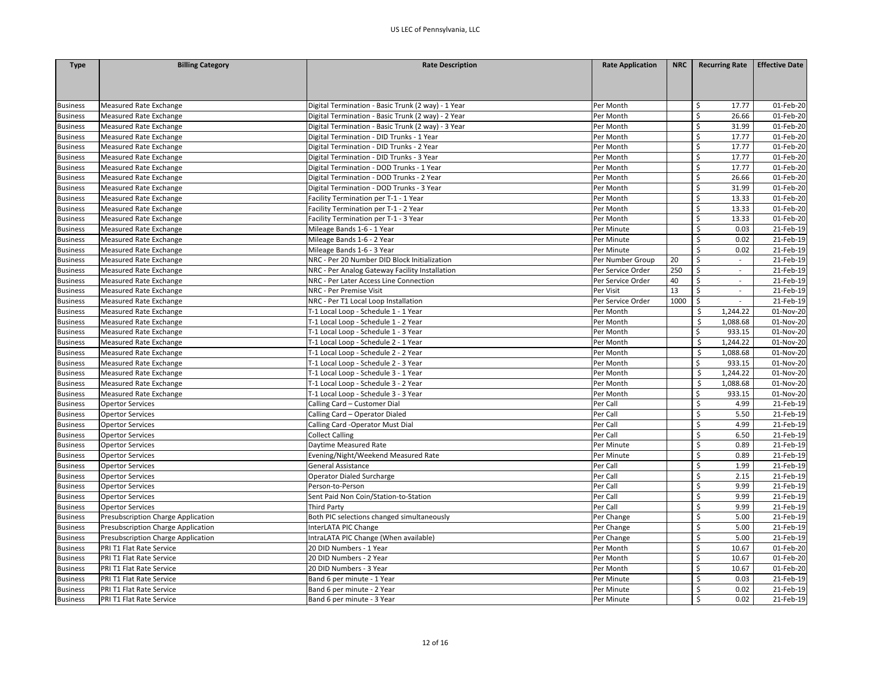| Type                               | <b>Billing Category</b>                                                  | <b>Rate Description</b>                                       | <b>Rate Application</b>  | <b>NRC</b> | <b>Recurring Rate</b>            | <b>Effective Date</b> |
|------------------------------------|--------------------------------------------------------------------------|---------------------------------------------------------------|--------------------------|------------|----------------------------------|-----------------------|
|                                    |                                                                          |                                                               |                          |            |                                  |                       |
|                                    |                                                                          |                                                               |                          |            |                                  |                       |
|                                    |                                                                          |                                                               |                          |            |                                  |                       |
| <b>Business</b>                    | Measured Rate Exchange                                                   | Digital Termination - Basic Trunk (2 way) - 1 Year            | Per Month                |            | \$<br>17.77                      | 01-Feb-20             |
| <b>Business</b>                    | Measured Rate Exchange                                                   | Digital Termination - Basic Trunk (2 way) - 2 Year            | Per Month                |            | \$<br>26.66                      | 01-Feb-20             |
| <b>Business</b>                    | Measured Rate Exchange                                                   | Digital Termination - Basic Trunk (2 way) - 3 Year            | Per Month                |            | \$<br>31.99                      | 01-Feb-20             |
| <b>Business</b>                    | <b>Measured Rate Exchange</b>                                            | Digital Termination - DID Trunks - 1 Year                     | Per Month                |            | \$<br>17.77                      | 01-Feb-20             |
| <b>Business</b>                    | Measured Rate Exchange                                                   | Digital Termination - DID Trunks - 2 Year                     | Per Month                |            | \$<br>17.77                      | 01-Feb-20             |
| <b>Business</b>                    | Measured Rate Exchange                                                   | Digital Termination - DID Trunks - 3 Year                     | Per Month                |            | \$<br>17.77                      | 01-Feb-20             |
| <b>Business</b>                    | Measured Rate Exchange                                                   | Digital Termination - DOD Trunks - 1 Year                     | Per Month                |            | \$<br>17.77                      | 01-Feb-20             |
| <b>Business</b>                    | Measured Rate Exchange                                                   | Digital Termination - DOD Trunks - 2 Year                     | Per Month                |            | \$<br>26.66                      | 01-Feb-20             |
| <b>Business</b>                    | Measured Rate Exchange                                                   | Digital Termination - DOD Trunks - 3 Year                     | Per Month                |            | \$<br>31.99                      | 01-Feb-20             |
| <b>Business</b>                    | Measured Rate Exchange                                                   | Facility Termination per T-1 - 1 Year                         | Per Month                |            | \$<br>13.33                      | 01-Feb-20             |
| <b>Business</b>                    | Measured Rate Exchange                                                   | Facility Termination per T-1 - 2 Year                         | Per Month                |            | \$<br>13.33                      | 01-Feb-20             |
| <b>Business</b>                    | <b>Measured Rate Exchange</b>                                            | Facility Termination per T-1 - 3 Year                         | Per Month                |            | \$<br>13.33                      | 01-Feb-20             |
| <b>Business</b>                    | Measured Rate Exchange                                                   | Mileage Bands 1-6 - 1 Year                                    | Per Minute               |            | $\zeta$<br>0.03                  | 21-Feb-19             |
| <b>Business</b>                    | Measured Rate Exchange                                                   | Mileage Bands 1-6 - 2 Year                                    | Per Minute               |            | \$<br>0.02                       | 21-Feb-19             |
| <b>Business</b>                    | Measured Rate Exchange                                                   | Mileage Bands 1-6 - 3 Year                                    | Per Minute               |            | \$<br>0.02                       | 21-Feb-19             |
| <b>Business</b>                    | <b>Measured Rate Exchange</b>                                            | NRC - Per 20 Number DID Block Initialization                  | Per Number Group         | 20         | \$<br>$\mathbb{Z}^{\times}$      | 21-Feb-19             |
| <b>Business</b>                    | <b>Measured Rate Exchange</b>                                            | NRC - Per Analog Gateway Facility Installation                | Per Service Order        | 250        | \$<br>$\sim$                     | 21-Feb-19             |
| <b>Business</b>                    | <b>Measured Rate Exchange</b>                                            | NRC - Per Later Access Line Connection                        | Per Service Order        | 40         | \$<br>$\sim$                     | 21-Feb-19             |
| <b>Business</b>                    | Measured Rate Exchange                                                   | NRC - Per Premise Visit                                       | Per Visit                | 13         | \$                               | 21-Feb-19             |
| <b>Business</b>                    | Measured Rate Exchange                                                   | NRC - Per T1 Local Loop Installation                          | Per Service Order        | 1000       | \$                               | 21-Feb-19             |
| <b>Business</b>                    | <b>Measured Rate Exchange</b>                                            | T-1 Local Loop - Schedule 1 - 1 Year                          | Per Month                |            | S.<br>1,244.22                   | 01-Nov-20             |
| <b>Business</b>                    | Measured Rate Exchange                                                   | T-1 Local Loop - Schedule 1 - 2 Year                          | Per Month                |            | \$<br>1,088.68                   | 01-Nov-20             |
| <b>Business</b>                    | Measured Rate Exchange                                                   | T-1 Local Loop - Schedule 1 - 3 Year                          | Per Month                |            | \$<br>933.15                     | 01-Nov-20             |
| <b>Business</b>                    | Measured Rate Exchange                                                   | T-1 Local Loop - Schedule 2 - 1 Year                          | Per Month                |            | Ś<br>1,244.22                    | 01-Nov-20             |
| <b>Business</b>                    | Measured Rate Exchange                                                   | T-1 Local Loop - Schedule 2 - 2 Year                          | Per Month                |            | Ś<br>1,088.68                    | 01-Nov-20             |
| <b>Business</b>                    | Measured Rate Exchange                                                   | T-1 Local Loop - Schedule 2 - 3 Year                          | Per Month                |            | \$<br>933.15                     | 01-Nov-20             |
| <b>Business</b>                    | Measured Rate Exchange                                                   | T-1 Local Loop - Schedule 3 - 1 Year                          | Per Month                |            | \$<br>1,244.22                   | 01-Nov-20             |
| <b>Business</b>                    | Measured Rate Exchange                                                   | T-1 Local Loop - Schedule 3 - 2 Year                          | Per Month                |            | \$<br>1,088.68                   | 01-Nov-20             |
| <b>Business</b>                    | Measured Rate Exchange                                                   | T-1 Local Loop - Schedule 3 - 3 Year                          | Per Month                |            | \$<br>933.15                     | 01-Nov-20             |
| <b>Business</b>                    | <b>Opertor Services</b>                                                  | Calling Card - Customer Dial                                  | Per Call                 |            | \$<br>4.99                       | 21-Feb-19             |
| <b>Business</b>                    | <b>Opertor Services</b>                                                  | Calling Card - Operator Dialed                                | Per Call                 |            | $\zeta$<br>5.50                  | 21-Feb-19             |
| <b>Business</b>                    | <b>Opertor Services</b>                                                  | Calling Card -Operator Must Dial                              | Per Call                 |            | \$<br>4.99                       | 21-Feb-19             |
| <b>Business</b>                    | <b>Opertor Services</b>                                                  | <b>Collect Calling</b>                                        | Per Call                 |            | \$<br>6.50                       | 21-Feb-19             |
| <b>Business</b>                    | <b>Opertor Services</b>                                                  | Daytime Measured Rate                                         | Per Minute               |            | \$<br>0.89                       | 21-Feb-19             |
| <b>Business</b>                    | <b>Opertor Services</b>                                                  | Evening/Night/Weekend Measured Rate                           | Per Minute               |            | $\zeta$<br>0.89                  | 21-Feb-19             |
| <b>Business</b>                    | Opertor Services                                                         | General Assistance                                            | Per Call                 |            | \$<br>1.99                       | 21-Feb-19             |
| <b>Business</b>                    | <b>Opertor Services</b>                                                  | Operator Dialed Surcharge                                     | Per Call                 |            | $\zeta$<br>2.15                  | 21-Feb-19             |
| <b>Business</b>                    | <b>Opertor Services</b>                                                  | Person-to-Person                                              | Per Call                 |            | 9.99<br>\$                       | 21-Feb-19             |
| <b>Business</b>                    | Opertor Services                                                         | Sent Paid Non Coin/Station-to-Station                         | Per Call                 |            | \$<br>9.99                       | 21-Feb-19             |
| <b>Business</b>                    | <b>Opertor Services</b>                                                  | Third Party                                                   | Per Call                 |            | \$<br>9.99                       | 21-Feb-19             |
| <b>Business</b>                    | Presubscription Charge Application                                       | Both PIC selections changed simultaneously                    | Per Change               |            | \$<br>5.00                       | 21-Feb-19             |
|                                    |                                                                          |                                                               |                          |            | $\zeta$<br>5.00                  | 21-Feb-19             |
| <b>Business</b><br><b>Business</b> | Presubscription Charge Application<br>Presubscription Charge Application | InterLATA PIC Change<br>IntraLATA PIC Change (When available) | Per Change<br>Per Change |            | Ś<br>5.00                        | 21-Feb-19             |
|                                    |                                                                          |                                                               |                          |            |                                  |                       |
| <b>Business</b>                    | PRI T1 Flat Rate Service                                                 | 20 DID Numbers - 1 Year                                       | Per Month                |            | \$<br>10.67<br>\$                | 01-Feb-20             |
| <b>Business</b>                    | PRI T1 Flat Rate Service                                                 | 20 DID Numbers - 2 Year                                       | Per Month                |            | 10.67                            | 01-Feb-20             |
| <b>Business</b>                    | PRI T1 Flat Rate Service                                                 | 20 DID Numbers - 3 Year                                       | Per Month                |            | \$<br>10.67                      | 01-Feb-20             |
| <b>Business</b>                    | PRI T1 Flat Rate Service                                                 | Band 6 per minute - 1 Year                                    | Per Minute               |            | $\zeta$<br>0.03<br>$\mathsf{\$}$ | 21-Feb-19             |
| <b>Business</b>                    | PRI T1 Flat Rate Service                                                 | Band 6 per minute - 2 Year                                    | Per Minute               |            | 0.02<br>\$                       | 21-Feb-19             |
| <b>Business</b>                    | PRI T1 Flat Rate Service                                                 | Band 6 per minute - 3 Year                                    | Per Minute               |            | 0.02                             | 21-Feb-19             |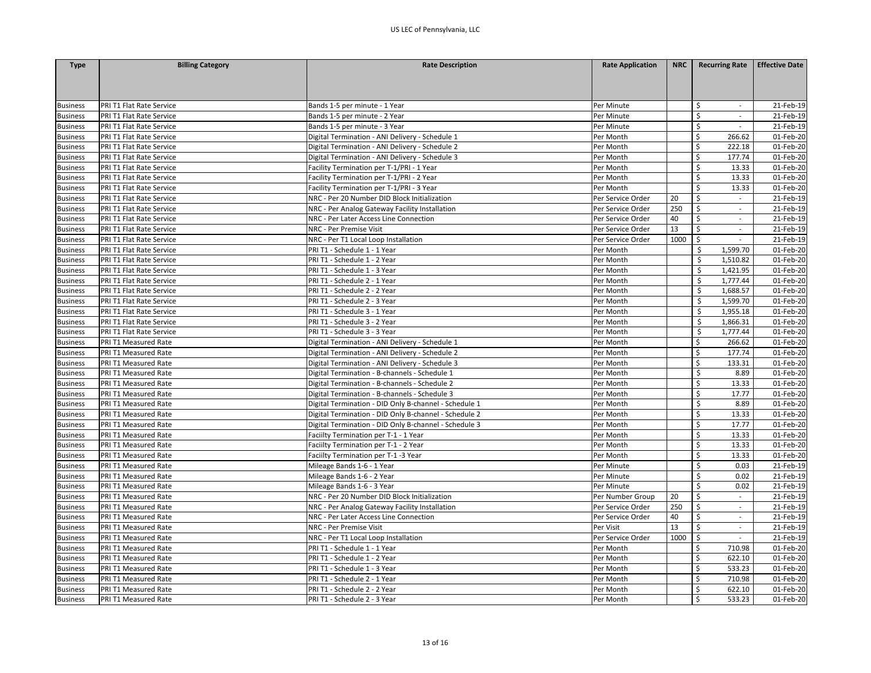| <b>Type</b>     | <b>Billing Category</b>  | <b>Rate Description</b>                               | <b>Rate Application</b> | <b>NRC</b> | <b>Recurring Rate</b>             | <b>Effective Date</b> |
|-----------------|--------------------------|-------------------------------------------------------|-------------------------|------------|-----------------------------------|-----------------------|
|                 |                          |                                                       |                         |            |                                   |                       |
|                 |                          |                                                       |                         |            |                                   |                       |
|                 |                          |                                                       |                         |            |                                   |                       |
| <b>Business</b> | PRI T1 Flat Rate Service | Bands 1-5 per minute - 1 Year                         | Per Minute              |            | \$<br>$\overline{\phantom{a}}$    | 21-Feb-19             |
| <b>Business</b> | PRI T1 Flat Rate Service | Bands 1-5 per minute - 2 Year                         | Per Minute              |            | \$                                | 21-Feb-19             |
| <b>Business</b> | PRI T1 Flat Rate Service | Bands 1-5 per minute - 3 Year                         | Per Minute              |            | \$<br>$\sim$                      | 21-Feb-19             |
| <b>Business</b> | PRI T1 Flat Rate Service | Digital Termination - ANI Delivery - Schedule 1       | Per Month               |            | \$<br>266.62                      | 01-Feb-20             |
| <b>Business</b> | PRI T1 Flat Rate Service | Digital Termination - ANI Delivery - Schedule 2       | Per Month               |            | \$<br>222.18                      | 01-Feb-20             |
| <b>Business</b> | PRI T1 Flat Rate Service | Digital Termination - ANI Delivery - Schedule 3       | Per Month               |            | \$<br>177.74                      | 01-Feb-20             |
| <b>Business</b> | PRI T1 Flat Rate Service | Facility Termination per T-1/PRI - 1 Year             | Per Month               |            | \$<br>13.33                       | 01-Feb-20             |
| <b>Business</b> | PRI T1 Flat Rate Service | Facility Termination per T-1/PRI - 2 Year             | Per Month               |            | Ś<br>13.33                        | 01-Feb-20             |
| <b>Business</b> | PRI T1 Flat Rate Service | Facility Termination per T-1/PRI - 3 Year             | Per Month               |            | \$<br>13.33                       | 01-Feb-20             |
| <b>Business</b> | PRI T1 Flat Rate Service | NRC - Per 20 Number DID Block Initialization          | Per Service Order       | 20         | \$<br>$\sim$                      | 21-Feb-19             |
| <b>Business</b> | PRI T1 Flat Rate Service | NRC - Per Analog Gateway Facility Installation        | Per Service Order       | 250        | \$<br>$\mathcal{L}_{\mathcal{A}}$ | 21-Feb-19             |
| <b>Business</b> | PRI T1 Flat Rate Service | NRC - Per Later Access Line Connection                | Per Service Order       | 40         | \$<br>$\overline{\phantom{a}}$    | 21-Feb-19             |
| <b>Business</b> | PRI T1 Flat Rate Service | NRC - Per Premise Visit                               | Per Service Order       | 13         | \$<br>$\sim$                      | 21-Feb-19             |
| <b>Business</b> | PRI T1 Flat Rate Service | NRC - Per T1 Local Loop Installation                  | Per Service Order       | 1000       | Ŝ.                                | 21-Feb-19             |
| <b>Business</b> | PRI T1 Flat Rate Service | PRI T1 - Schedule 1 - 1 Year                          | Per Month               |            | \$<br>1,599.70                    | 01-Feb-20             |
| <b>Business</b> | PRI T1 Flat Rate Service | PRI T1 - Schedule 1 - 2 Year                          | Per Month               |            | \$<br>1,510.82                    | 01-Feb-20             |
| <b>Business</b> | PRI T1 Flat Rate Service | PRI T1 - Schedule 1 - 3 Year                          | Per Month               |            | Ś<br>1,421.95                     | 01-Feb-20             |
| <b>Business</b> | PRI T1 Flat Rate Service | PRI T1 - Schedule 2 - 1 Year                          | Per Month               |            | 1,777.44<br>\$                    | 01-Feb-20             |
| <b>Business</b> | PRI T1 Flat Rate Service | PRI T1 - Schedule 2 - 2 Year                          | Per Month               |            | 1,688.57<br>\$                    | 01-Feb-20             |
| <b>Business</b> | PRI T1 Flat Rate Service | PRI T1 - Schedule 2 - 3 Year                          | Per Month               |            | Ś<br>1,599.70                     | 01-Feb-20             |
| <b>Business</b> | PRI T1 Flat Rate Service | PRI T1 - Schedule 3 - 1 Year                          | Per Month               |            | 1,955.18<br>Ŝ.                    | 01-Feb-20             |
| <b>Business</b> | PRI T1 Flat Rate Service | PRI T1 - Schedule 3 - 2 Year                          | Per Month               |            | \$<br>1,866.31                    | 01-Feb-20             |
| <b>Business</b> | PRI T1 Flat Rate Service | PRI T1 - Schedule 3 - 3 Year                          | Per Month               |            | \$<br>1,777.44                    | 01-Feb-20             |
| <b>Business</b> | PRI T1 Measured Rate     | Digital Termination - ANI Delivery - Schedule 1       | Per Month               |            | 266.62<br>\$                      | 01-Feb-20             |
| <b>Business</b> | PRI T1 Measured Rate     | Digital Termination - ANI Delivery - Schedule 2       | Per Month               |            | \$<br>177.74                      | 01-Feb-20             |
| <b>Business</b> | PRI T1 Measured Rate     | Digital Termination - ANI Delivery - Schedule 3       | Per Month               |            | Ś<br>133.31                       | 01-Feb-20             |
| <b>Business</b> | PRI T1 Measured Rate     | Digital Termination - B-channels - Schedule 1         | Per Month               |            | \$<br>8.89                        | 01-Feb-20             |
| <b>Business</b> | PRI T1 Measured Rate     | Digital Termination - B-channels - Schedule 2         | Per Month               |            | \$<br>13.33                       | 01-Feb-20             |
| <b>Business</b> | PRI T1 Measured Rate     | Digital Termination - B-channels - Schedule 3         | Per Month               |            | \$<br>17.77                       | 01-Feb-20             |
| <b>Business</b> | PRI T1 Measured Rate     | Digital Termination - DID Only B-channel - Schedule 1 | Per Month               |            | \$<br>8.89                        | 01-Feb-20             |
| <b>Business</b> | PRI T1 Measured Rate     | Digital Termination - DID Only B-channel - Schedule 2 | Per Month               |            | \$<br>13.33                       | 01-Feb-20             |
| <b>Business</b> | PRI T1 Measured Rate     | Digital Termination - DID Only B-channel - Schedule 3 | Per Month               |            | Ś<br>17.77                        | 01-Feb-20             |
| <b>Business</b> | PRI T1 Measured Rate     | Faciilty Termination per T-1 - 1 Year                 | Per Month               |            | \$<br>13.33                       | 01-Feb-20             |
| <b>Business</b> | PRI T1 Measured Rate     | Faciilty Termination per T-1 - 2 Year                 | Per Month               |            | \$<br>13.33                       | 01-Feb-20             |
| <b>Business</b> | PRI T1 Measured Rate     | Faciilty Termination per T-1 -3 Year                  | Per Month               |            | Ŝ.<br>13.33                       | 01-Feb-20             |
| <b>Business</b> | PRI T1 Measured Rate     | Mileage Bands 1-6 - 1 Year                            | Per Minute              |            | \$<br>0.03                        | 21-Feb-19             |
| <b>Business</b> | PRI T1 Measured Rate     | Mileage Bands 1-6 - 2 Year                            | Per Minute              |            | $\zeta$<br>0.02                   | 21-Feb-19             |
| <b>Business</b> | PRI T1 Measured Rate     | Mileage Bands 1-6 - 3 Year                            | Per Minute              |            | $\mathsf{\$}$<br>0.02             | 21-Feb-19             |
| <b>Business</b> | PRI T1 Measured Rate     | NRC - Per 20 Number DID Block Initialization          | Per Number Group        | 20         | \$<br>$\overline{\phantom{a}}$    | 21-Feb-19             |
| <b>Business</b> | PRI T1 Measured Rate     | NRC - Per Analog Gateway Facility Installation        | Per Service Order       | 250        | \$<br>$\sim$                      | 21-Feb-19             |
| <b>Business</b> | PRI T1 Measured Rate     | NRC - Per Later Access Line Connection                | Per Service Order       | 40         | \$<br>$\overline{\phantom{a}}$    | 21-Feb-19             |
| <b>Business</b> | PRI T1 Measured Rate     | NRC - Per Premise Visit                               | Per Visit               | 13         | \$<br>$\sim$                      | 21-Feb-19             |
| <b>Business</b> | PRI T1 Measured Rate     | NRC - Per T1 Local Loop Installation                  | Per Service Order       | 1000       | \$                                | 21-Feb-19             |
| <b>Business</b> | PRI T1 Measured Rate     | PRI T1 - Schedule 1 - 1 Year                          | Per Month               |            | Ŝ<br>710.98                       | 01-Feb-20             |
| <b>Business</b> | PRI T1 Measured Rate     | PRI T1 - Schedule 1 - 2 Year                          | Per Month               |            | \$<br>622.10                      | 01-Feb-20             |
| <b>Business</b> | PRI T1 Measured Rate     | PRI T1 - Schedule 1 - 3 Year                          | Per Month               |            | \$<br>533.23                      | 01-Feb-20             |
| <b>Business</b> | PRI T1 Measured Rate     | PRI T1 - Schedule 2 - 1 Year                          | Per Month               |            | \$<br>710.98                      | 01-Feb-20             |
| <b>Business</b> | PRI T1 Measured Rate     | PRI T1 - Schedule 2 - 2 Year                          | Per Month               |            | \$<br>622.10                      | 01-Feb-20             |
| <b>Business</b> | PRI T1 Measured Rate     | PRI T1 - Schedule 2 - 3 Year                          | Per Month               |            | Ś<br>533.23                       | 01-Feb-20             |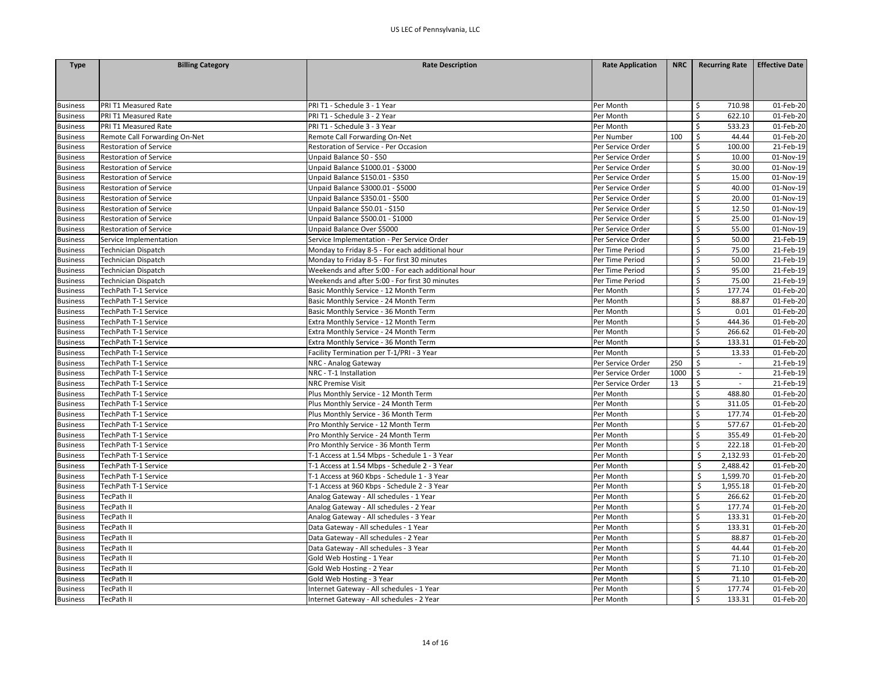| <b>Type</b>     | <b>Billing Category</b>       | <b>Rate Description</b>                            | <b>Rate Application</b> | <b>NRC</b> | <b>Recurring Rate</b>             | <b>Effective Date</b> |
|-----------------|-------------------------------|----------------------------------------------------|-------------------------|------------|-----------------------------------|-----------------------|
|                 |                               |                                                    |                         |            |                                   |                       |
|                 |                               |                                                    |                         |            |                                   |                       |
|                 |                               |                                                    |                         |            |                                   |                       |
| <b>Business</b> | PRI T1 Measured Rate          | PRI T1 - Schedule 3 - 1 Year                       | Per Month               |            | Ś<br>710.98                       | 01-Feb-20             |
| <b>Business</b> | PRI T1 Measured Rate          | PRI T1 - Schedule 3 - 2 Year                       | Per Month               |            | \$<br>622.10                      | 01-Feb-20             |
| <b>Business</b> | PRI T1 Measured Rate          | PRI T1 - Schedule 3 - 3 Year                       | Per Month               |            | \$<br>533.23                      | 01-Feb-20             |
| <b>Business</b> | Remote Call Forwarding On-Net | Remote Call Forwarding On-Net                      | Per Number              | 100        | \$<br>44.44                       | 01-Feb-20             |
| <b>Business</b> | <b>Restoration of Service</b> | Restoration of Service - Per Occasion              | Per Service Order       |            | \$<br>100.00                      | 21-Feb-19             |
| <b>Business</b> | <b>Restoration of Service</b> | Unpaid Balance \$0 - \$50                          | Per Service Order       |            | $\zeta$<br>10.00                  | 01-Nov-19             |
| <b>Business</b> | <b>Restoration of Service</b> | Unpaid Balance \$1000.01 - \$3000                  | Per Service Order       |            | Ś<br>30.00                        | 01-Nov-19             |
| <b>Business</b> | <b>Restoration of Service</b> | Unpaid Balance \$150.01 - \$350                    | Per Service Order       |            | \$<br>15.00                       | 01-Nov-19             |
| <b>Business</b> | <b>Restoration of Service</b> | Unpaid Balance \$3000.01 - \$5000                  | Per Service Order       |            | \$<br>40.00                       | 01-Nov-19             |
| <b>Business</b> | <b>Restoration of Service</b> | Unpaid Balance \$350.01 - \$500                    | Per Service Order       |            | \$<br>20.00                       | 01-Nov-19             |
| <b>Business</b> | <b>Restoration of Service</b> | Unpaid Balance \$50.01 - \$150                     | Per Service Order       |            | \$<br>12.50                       | 01-Nov-19             |
| <b>Business</b> | <b>Restoration of Service</b> | Unpaid Balance \$500.01 - \$1000                   | Per Service Order       |            | \$<br>25.00                       | 01-Nov-19             |
| <b>Business</b> | <b>Restoration of Service</b> | Unpaid Balance Over \$5000                         | Per Service Order       |            | \$<br>55.00                       | 01-Nov-19             |
| <b>Business</b> | Service Implementation        | Service Implementation - Per Service Order         | Per Service Order       |            | \$<br>50.00                       | 21-Feb-19             |
| <b>Business</b> | <b>Technician Dispatch</b>    | Monday to Friday 8-5 - For each additional hour    | Per Time Period         |            | \$<br>75.00                       | 21-Feb-19             |
| <b>Business</b> | <b>Technician Dispatch</b>    | Monday to Friday 8-5 - For first 30 minutes        | Per Time Period         |            | \$<br>50.00                       | 21-Feb-19             |
| <b>Business</b> | <b>Technician Dispatch</b>    | Weekends and after 5:00 - For each additional hour | Per Time Period         |            | \$<br>95.00                       | 21-Feb-19             |
| <b>Business</b> | Technician Dispatch           | Weekends and after 5:00 - For first 30 minutes     | Per Time Period         |            | \$<br>75.00                       | 21-Feb-19             |
| <b>Business</b> | TechPath T-1 Service          | Basic Monthly Service - 12 Month Term              | Per Month               |            | Ś<br>177.74                       | 01-Feb-20             |
| <b>Business</b> | TechPath T-1 Service          | Basic Monthly Service - 24 Month Term              | Per Month               |            | \$<br>88.87                       | 01-Feb-20             |
| <b>Business</b> | TechPath T-1 Service          | Basic Monthly Service - 36 Month Term              | Per Month               |            | $\sf S$<br>0.01                   | 01-Feb-20             |
| <b>Business</b> | TechPath T-1 Service          | Extra Monthly Service - 12 Month Term              | Per Month               |            | \$<br>444.36                      | 01-Feb-20             |
| <b>Business</b> | TechPath T-1 Service          | Extra Monthly Service - 24 Month Term              | Per Month               |            | \$<br>266.62                      | 01-Feb-20             |
| <b>Business</b> | TechPath T-1 Service          | Extra Monthly Service - 36 Month Term              | Per Month               |            | \$<br>133.31                      | 01-Feb-20             |
| <b>Business</b> | TechPath T-1 Service          | Facility Termination per T-1/PRI - 3 Year          | Per Month               |            | \$<br>13.33                       | 01-Feb-20             |
| <b>Business</b> | TechPath T-1 Service          | NRC - Analog Gateway                               | Per Service Order       | 250        | \$<br>$\mathcal{L}_{\mathcal{A}}$ | 21-Feb-19             |
| <b>Business</b> | TechPath T-1 Service          | NRC - T-1 Installation                             | Per Service Order       | 1000       | $\ddot{\mathsf{S}}$<br>$\sim$     | 21-Feb-19             |
| <b>Business</b> | TechPath T-1 Service          | <b>NRC Premise Visit</b>                           | Per Service Order       | 13         | \$<br>$\blacksquare$              | 21-Feb-19             |
| <b>Business</b> | TechPath T-1 Service          | Plus Monthly Service - 12 Month Term               | Per Month               |            | \$<br>488.80                      | 01-Feb-20             |
| <b>Business</b> | TechPath T-1 Service          | Plus Monthly Service - 24 Month Term               | Per Month               |            | \$<br>311.05                      | 01-Feb-20             |
| <b>Business</b> | TechPath T-1 Service          | Plus Monthly Service - 36 Month Term               | Per Month               |            | Ś<br>177.74                       | 01-Feb-20             |
| <b>Business</b> | TechPath T-1 Service          | Pro Monthly Service - 12 Month Term                | Per Month               |            | \$<br>577.67                      | 01-Feb-20             |
| <b>Business</b> | TechPath T-1 Service          | Pro Monthly Service - 24 Month Term                | Per Month               |            | Ś<br>355.49                       | 01-Feb-20             |
| <b>Business</b> | TechPath T-1 Service          | Pro Monthly Service - 36 Month Term                | Per Month               |            | \$<br>222.18                      | 01-Feb-20             |
| <b>Business</b> | TechPath T-1 Service          | T-1 Access at 1.54 Mbps - Schedule 1 - 3 Year      | Per Month               |            | \$<br>2,132.93                    | 01-Feb-20             |
| <b>Business</b> | TechPath T-1 Service          | T-1 Access at 1.54 Mbps - Schedule 2 - 3 Year      | Per Month               |            | Ś<br>2,488.42                     | 01-Feb-20             |
| <b>Business</b> | TechPath T-1 Service          | T-1 Access at 960 Kbps - Schedule 1 - 3 Year       | Per Month               |            | Ś<br>1,599.70                     | 01-Feb-20             |
| <b>Business</b> | TechPath T-1 Service          | T-1 Access at 960 Kbps - Schedule 2 - 3 Year       | Per Month               |            | \$<br>1,955.18                    | 01-Feb-20             |
| <b>Business</b> | TecPath II                    | Analog Gateway - All schedules - 1 Year            | Per Month               |            | \$<br>266.62                      | 01-Feb-20             |
| <b>Business</b> | TecPath II                    | Analog Gateway - All schedules - 2 Year            | Per Month               |            | \$<br>177.74                      | 01-Feb-20             |
| <b>Business</b> | TecPath II                    | Analog Gateway - All schedules - 3 Year            | Per Month               |            | \$<br>133.31                      | 01-Feb-20             |
| <b>Business</b> | TecPath II                    | Data Gateway - All schedules - 1 Year              | Per Month               |            | \$<br>133.31                      | 01-Feb-20             |
| <b>Business</b> | TecPath II                    | Data Gateway - All schedules - 2 Year              | Per Month               |            | Ś<br>88.87                        | 01-Feb-20             |
| <b>Business</b> | TecPath II                    | Data Gateway - All schedules - 3 Year              | Per Month               |            | \$<br>44.44                       | 01-Feb-20             |
| <b>Business</b> | TecPath II                    | Gold Web Hosting - 1 Year                          | Per Month               |            | \$<br>71.10                       | 01-Feb-20             |
| <b>Business</b> | TecPath II                    | Gold Web Hosting - 2 Year                          | Per Month               |            | \$<br>71.10                       | 01-Feb-20             |
| <b>Business</b> | TecPath II                    | Gold Web Hosting - 3 Year                          | Per Month               |            | \$<br>71.10                       | 01-Feb-20             |
| <b>Business</b> | TecPath II                    | Internet Gateway - All schedules - 1 Year          | Per Month               |            | Ś<br>177.74                       | 01-Feb-20             |
| <b>Business</b> | <b>TecPath II</b>             | Internet Gateway - All schedules - 2 Year          | Per Month               |            | Ś<br>133.31                       | 01-Feb-20             |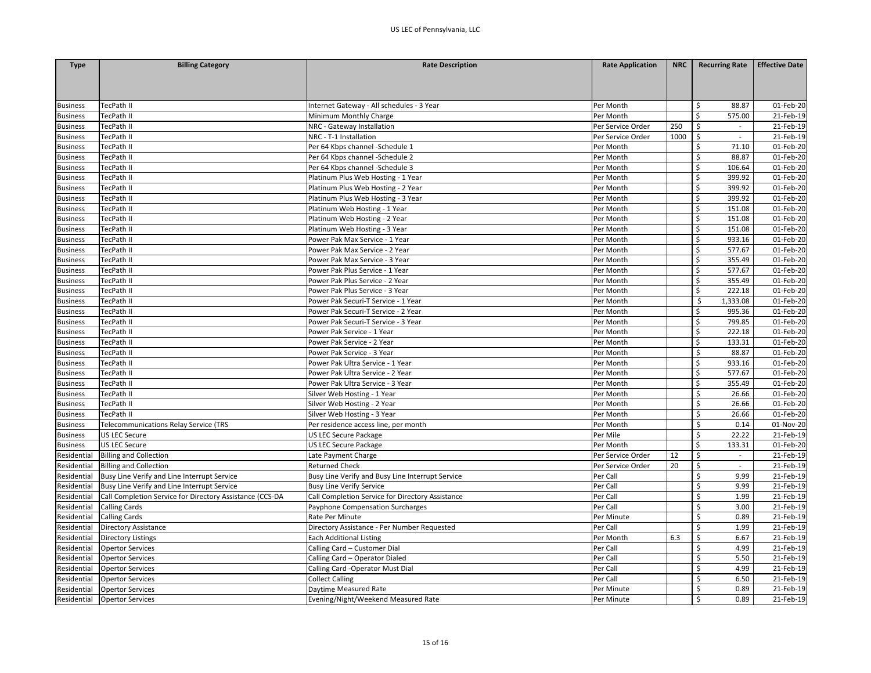| <b>Type</b>     | <b>Billing Category</b>                                  | <b>Rate Description</b>                          | <b>Rate Application</b> | <b>NRC</b> | <b>Recurring Rate</b>                             | <b>Effective Date</b> |
|-----------------|----------------------------------------------------------|--------------------------------------------------|-------------------------|------------|---------------------------------------------------|-----------------------|
|                 |                                                          |                                                  |                         |            |                                                   |                       |
|                 |                                                          |                                                  |                         |            |                                                   |                       |
|                 |                                                          |                                                  |                         |            |                                                   |                       |
| <b>Business</b> | TecPath II                                               | Internet Gateway - All schedules - 3 Year        | Per Month               |            | Ś<br>88.87                                        | 01-Feb-20             |
| <b>Business</b> | TecPath II                                               | Minimum Monthly Charge                           | Per Month               |            | $\mathsf{\$}$<br>575.00                           | 21-Feb-19             |
| <b>Business</b> | TecPath II                                               | NRC - Gateway Installation                       | Per Service Order       | 250        | Ŝ.<br>$\sim$                                      | 21-Feb-19             |
| <b>Business</b> | TecPath II                                               | NRC - T-1 Installation                           | Per Service Order       | 1000       | $\zeta$<br>$\sim$                                 | 21-Feb-19             |
| <b>Business</b> | TecPath II                                               | Per 64 Kbps channel -Schedule 1                  | Per Month               |            | -\$<br>71.10                                      | 01-Feb-20             |
| <b>Business</b> | TecPath II                                               | Per 64 Kbps channel -Schedule 2                  | Per Month               |            | $\zeta$<br>88.87                                  | 01-Feb-20             |
| <b>Business</b> | TecPath II                                               | Per 64 Kbps channel -Schedule 3                  | Per Month               |            | Ś<br>106.64                                       | 01-Feb-20             |
| <b>Business</b> | TecPath II                                               | Platinum Plus Web Hosting - 1 Year               | Per Month               |            | $\mathsf{\$}$<br>399.92                           | 01-Feb-20             |
| <b>Business</b> | TecPath II                                               | Platinum Plus Web Hosting - 2 Year               | Per Month               |            | $\mathsf{\$}$<br>399.92                           | 01-Feb-20             |
| <b>Business</b> | TecPath II                                               | Platinum Plus Web Hosting - 3 Year               | Per Month               |            | $\zeta$<br>399.92                                 | 01-Feb-20             |
| <b>Business</b> | TecPath II                                               | Platinum Web Hosting - 1 Year                    | Per Month               |            | $\zeta$<br>151.08                                 | 01-Feb-20             |
| <b>Business</b> | TecPath II                                               | Platinum Web Hosting - 2 Year                    | Per Month               |            | \$<br>151.08                                      | 01-Feb-20             |
| <b>Business</b> | TecPath II                                               | Platinum Web Hosting - 3 Year                    | Per Month               |            | \$<br>151.08                                      | 01-Feb-20             |
| <b>Business</b> | TecPath II                                               | Power Pak Max Service - 1 Year                   | Per Month               |            | \$<br>933.16                                      | 01-Feb-20             |
| <b>Business</b> | TecPath II                                               | Power Pak Max Service - 2 Year                   | Per Month               |            | $\zeta$<br>577.67                                 | 01-Feb-20             |
| <b>Business</b> | TecPath II                                               | Power Pak Max Service - 3 Year                   | Per Month               |            | \$<br>355.49                                      | 01-Feb-20             |
| <b>Business</b> | TecPath II                                               | Power Pak Plus Service - 1 Year                  | Per Month               |            | \$<br>577.67                                      | 01-Feb-20             |
| <b>Business</b> | TecPath II                                               | Power Pak Plus Service - 2 Year                  | Per Month               |            | \$<br>355.49                                      | 01-Feb-20             |
| <b>Business</b> | TecPath II                                               | Power Pak Plus Service - 3 Year                  | Per Month               |            | Ś<br>222.18                                       | 01-Feb-20             |
| <b>Business</b> | TecPath II                                               | Power Pak Securi-T Service - 1 Year              | Per Month               |            | \$<br>1,333.08                                    | 01-Feb-20             |
| <b>Business</b> | TecPath II                                               | Power Pak Securi-T Service - 2 Year              | Per Month               |            | \$<br>995.36                                      | 01-Feb-20             |
| <b>Business</b> | TecPath II                                               | Power Pak Securi-T Service - 3 Year              | Per Month               |            | \$<br>799.85                                      | 01-Feb-20             |
| <b>Business</b> | TecPath II                                               | Power Pak Service - 1 Year                       | Per Month               |            | \$<br>222.18                                      | 01-Feb-20             |
| <b>Business</b> | TecPath II                                               | Power Pak Service - 2 Year                       | Per Month               |            | $\zeta$<br>133.31                                 | 01-Feb-20             |
| <b>Business</b> | TecPath II                                               | Power Pak Service - 3 Year                       | Per Month               |            | $\mathsf{\mathsf{S}}$<br>88.87                    | 01-Feb-20             |
| <b>Business</b> | TecPath II                                               | Power Pak Ultra Service - 1 Year                 | Per Month               |            | \$<br>933.16                                      | 01-Feb-20             |
| <b>Business</b> | TecPath II                                               | Power Pak Ultra Service - 2 Year                 | Per Month               |            | $\zeta$<br>577.67                                 | 01-Feb-20             |
| <b>Business</b> | TecPath II                                               | Power Pak Ultra Service - 3 Year                 | Per Month               |            | \$<br>355.49                                      | 01-Feb-20             |
| <b>Business</b> | TecPath II                                               | Silver Web Hosting - 1 Year                      | Per Month               |            | \$<br>26.66                                       | 01-Feb-20             |
|                 |                                                          |                                                  |                         |            | $\zeta$<br>26.66                                  | 01-Feb-20             |
| <b>Business</b> | TecPath II<br>TecPath II                                 | Silver Web Hosting - 2 Year                      | Per Month               |            | Ś<br>26.66                                        |                       |
| <b>Business</b> |                                                          | Silver Web Hosting - 3 Year                      | Per Month               |            |                                                   | 01-Feb-20             |
| <b>Business</b> | Telecommunications Relay Service (TRS                    | Per residence access line, per month             | Per Month               |            | $\zeta$<br>0.14<br>$\mathsf{\mathsf{S}}$<br>22.22 | 01-Nov-20             |
| <b>Business</b> | <b>US LEC Secure</b>                                     | US LEC Secure Package                            | Per Mile                |            | \$                                                | 21-Feb-19             |
| <b>Business</b> | US LEC Secure                                            | US LEC Secure Package                            | Per Month               |            | 133.31                                            | 01-Feb-20             |
| Residential     | <b>Billing and Collection</b>                            | Late Payment Charge                              | Per Service Order       | 12         | \$<br>$\sim$                                      | 21-Feb-19             |
| Residential     | <b>Billing and Collection</b>                            | <b>Returned Check</b>                            | Per Service Order       | 20         | \$                                                | 21-Feb-19             |
| Residential     | Busy Line Verify and Line Interrupt Service              | Busy Line Verify and Busy Line Interrupt Service | Per Call                |            | $\zeta$<br>9.99                                   | 21-Feb-19             |
| Residential     | Busy Line Verify and Line Interrupt Service              | <b>Busy Line Verify Service</b>                  | Per Call                |            | $\zeta$<br>9.99                                   | 21-Feb-19             |
| Residential     | Call Completion Service for Directory Assistance (CCS-DA | Call Completion Service for Directory Assistance | Per Call                |            | $\zeta$<br>1.99                                   | 21-Feb-19             |
| Residential     | <b>Calling Cards</b>                                     | Payphone Compensation Surcharges                 | Per Call                |            | Ś<br>3.00                                         | 21-Feb-19             |
| Residential     | <b>Calling Cards</b>                                     | Rate Per Minute                                  | Per Minute              |            | $\zeta$<br>0.89                                   | 21-Feb-19             |
| Residential     | Directory Assistance                                     | Directory Assistance - Per Number Requested      | Per Call                |            | \$<br>1.99                                        | 21-Feb-19             |
| Residential     | <b>Directory Listings</b>                                | <b>Each Additional Listing</b>                   | Per Month               | 6.3        | Ś<br>6.67                                         | 21-Feb-19             |
| Residential     | <b>Opertor Services</b>                                  | Calling Card - Customer Dial                     | Per Call                |            | \$<br>4.99                                        | 21-Feb-19             |
| Residential     | <b>Opertor Services</b>                                  | Calling Card - Operator Dialed                   | Per Call                |            | \$<br>5.50                                        | 21-Feb-19             |
| Residential     | <b>Opertor Services</b>                                  | Calling Card -Operator Must Dial                 | Per Call                |            | \$<br>4.99                                        | 21-Feb-19             |
| Residential     | <b>Opertor Services</b>                                  | <b>Collect Calling</b>                           | Per Call                |            | $\zeta$<br>6.50                                   | 21-Feb-19             |
| Residential     | <b>Opertor Services</b>                                  | Daytime Measured Rate                            | Per Minute              |            | Ś<br>0.89                                         | 21-Feb-19             |
| Residential     | <b>Opertor Services</b>                                  | Evening/Night/Weekend Measured Rate              | Per Minute              |            | $\zeta$<br>0.89                                   | 21-Feb-19             |